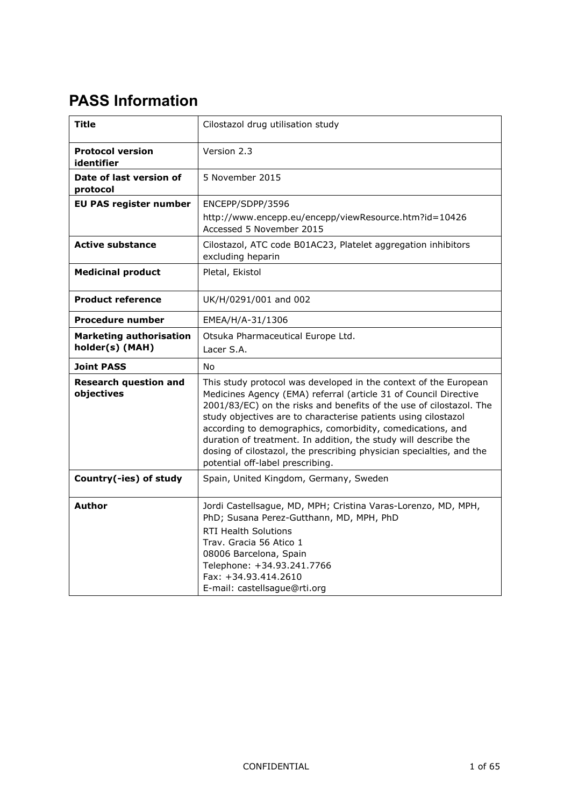# **PASS Information**

| Title                                             | Cilostazol drug utilisation study                                                                                                                                                                                                                                                                                                                                                                                                                                                                                          |
|---------------------------------------------------|----------------------------------------------------------------------------------------------------------------------------------------------------------------------------------------------------------------------------------------------------------------------------------------------------------------------------------------------------------------------------------------------------------------------------------------------------------------------------------------------------------------------------|
| <b>Protocol version</b><br>identifier             | Version 2.3                                                                                                                                                                                                                                                                                                                                                                                                                                                                                                                |
| Date of last version of<br>protocol               | 5 November 2015                                                                                                                                                                                                                                                                                                                                                                                                                                                                                                            |
| <b>EU PAS register number</b>                     | ENCEPP/SDPP/3596                                                                                                                                                                                                                                                                                                                                                                                                                                                                                                           |
|                                                   | http://www.encepp.eu/encepp/viewResource.htm?id=10426<br>Accessed 5 November 2015                                                                                                                                                                                                                                                                                                                                                                                                                                          |
| <b>Active substance</b>                           | Cilostazol, ATC code B01AC23, Platelet aggregation inhibitors<br>excluding heparin                                                                                                                                                                                                                                                                                                                                                                                                                                         |
| <b>Medicinal product</b>                          | Pletal, Ekistol                                                                                                                                                                                                                                                                                                                                                                                                                                                                                                            |
| <b>Product reference</b>                          | UK/H/0291/001 and 002                                                                                                                                                                                                                                                                                                                                                                                                                                                                                                      |
| <b>Procedure number</b>                           | EMEA/H/A-31/1306                                                                                                                                                                                                                                                                                                                                                                                                                                                                                                           |
| <b>Marketing authorisation</b><br>holder(s) (MAH) | Otsuka Pharmaceutical Europe Ltd.<br>Lacer S.A.                                                                                                                                                                                                                                                                                                                                                                                                                                                                            |
| <b>Joint PASS</b>                                 | N <sub>0</sub>                                                                                                                                                                                                                                                                                                                                                                                                                                                                                                             |
| <b>Research question and</b><br>objectives        | This study protocol was developed in the context of the European<br>Medicines Agency (EMA) referral (article 31 of Council Directive<br>2001/83/EC) on the risks and benefits of the use of cilostazol. The<br>study objectives are to characterise patients using cilostazol<br>according to demographics, comorbidity, comedications, and<br>duration of treatment. In addition, the study will describe the<br>dosing of cilostazol, the prescribing physician specialties, and the<br>potential off-label prescribing. |
| Country(-ies) of study                            | Spain, United Kingdom, Germany, Sweden                                                                                                                                                                                                                                                                                                                                                                                                                                                                                     |
| Author                                            | Jordi Castellsague, MD, MPH; Cristina Varas-Lorenzo, MD, MPH,<br>PhD; Susana Perez-Gutthann, MD, MPH, PhD<br><b>RTI Health Solutions</b><br>Trav. Gracia 56 Atico 1<br>08006 Barcelona, Spain<br>Telephone: +34.93.241.7766<br>Fax: +34.93.414.2610<br>E-mail: castellsague@rti.org                                                                                                                                                                                                                                        |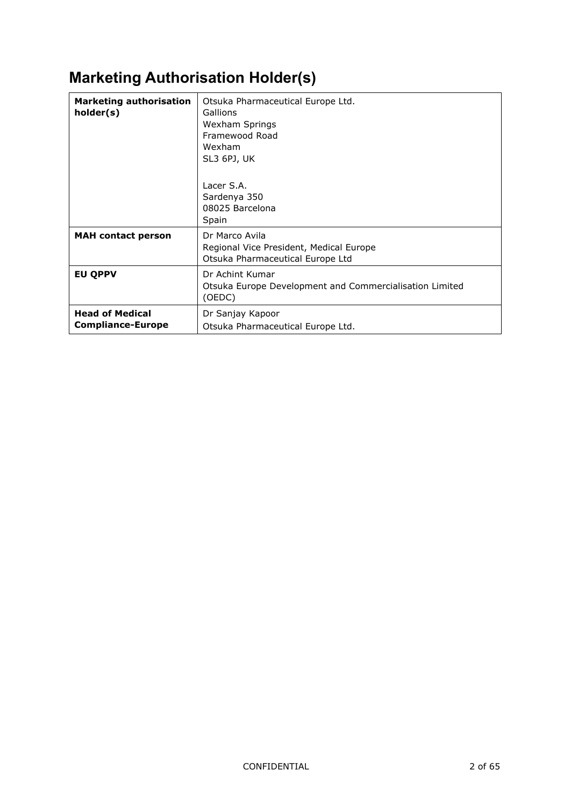# **Marketing Authorisation Holder(s)**

| <b>Marketing authorisation</b><br>holder(s)        | Otsuka Pharmaceutical Europe Ltd.<br>Gallions<br>Wexham Springs<br>Framewood Road<br>Wexham<br>SL3 6PJ, UK<br>Lacer S.A.<br>Sardenya 350<br>08025 Barcelona<br>Spain |
|----------------------------------------------------|----------------------------------------------------------------------------------------------------------------------------------------------------------------------|
| <b>MAH</b> contact person                          | Dr Marco Avila<br>Regional Vice President, Medical Europe<br>Otsuka Pharmaceutical Europe Ltd                                                                        |
| <b>EU QPPV</b>                                     | Dr Achint Kumar<br>Otsuka Europe Development and Commercialisation Limited<br>(OEDC)                                                                                 |
| <b>Head of Medical</b><br><b>Compliance-Europe</b> | Dr Sanjay Kapoor<br>Otsuka Pharmaceutical Europe Ltd.                                                                                                                |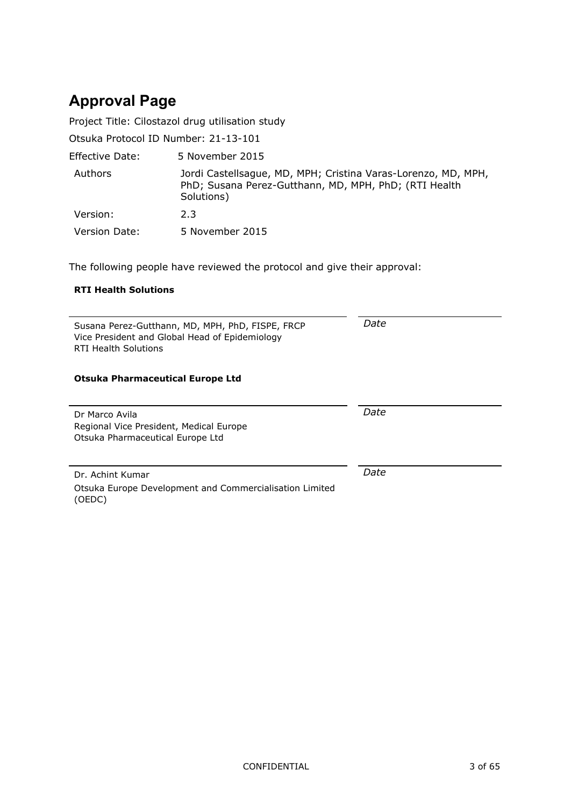# **Approval Page**

Project Title: Cilostazol drug utilisation study

Otsuka Protocol ID Number: 21-13-101

| Effective Date:      | 5 November 2015                                                                                                                      |
|----------------------|--------------------------------------------------------------------------------------------------------------------------------------|
| Authors              | Jordi Castellsague, MD, MPH; Cristina Varas-Lorenzo, MD, MPH,<br>PhD; Susana Perez-Gutthann, MD, MPH, PhD; (RTI Health<br>Solutions) |
| Version:             | 2.3                                                                                                                                  |
| <b>Version Date:</b> | 5 November 2015                                                                                                                      |

The following people have reviewed the protocol and give their approval:

#### **RTI Health Solutions**

| Susana Perez-Gutthann, MD, MPH, PhD, FISPE, FRCP<br>Vice President and Global Head of Epidemiology<br>RTI Health Solutions | Date |
|----------------------------------------------------------------------------------------------------------------------------|------|
|                                                                                                                            |      |

#### **Otsuka Pharmaceutical Europe Ltd**

| Dr Marco Avila                          | Date |
|-----------------------------------------|------|
| Regional Vice President, Medical Europe |      |
|                                         |      |
| Otsuka Pharmaceutical Europe Ltd        |      |
|                                         |      |
|                                         |      |

Dr. Achint Kumar Otsuka Europe Development and Commercialisation Limited (OEDC)

*Date*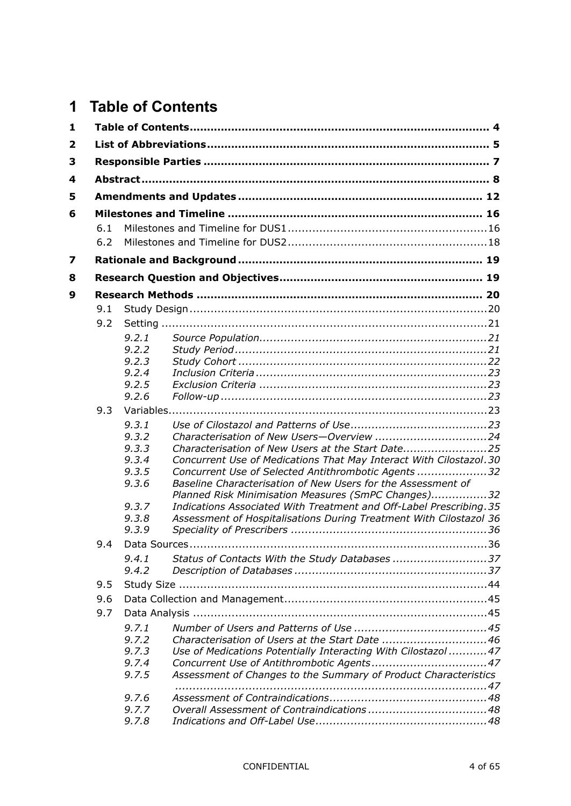# <span id="page-3-0"></span>**1 Table of Contents**

| 1                       |     |                |                                                                                                                     |  |
|-------------------------|-----|----------------|---------------------------------------------------------------------------------------------------------------------|--|
| $\overline{\mathbf{2}}$ |     |                |                                                                                                                     |  |
| 3                       |     |                |                                                                                                                     |  |
| 4                       |     |                |                                                                                                                     |  |
| 5                       |     |                |                                                                                                                     |  |
| 6                       |     |                |                                                                                                                     |  |
|                         | 6.1 |                |                                                                                                                     |  |
|                         | 6.2 |                |                                                                                                                     |  |
| 7                       |     |                |                                                                                                                     |  |
| 8                       |     |                |                                                                                                                     |  |
| 9                       |     |                |                                                                                                                     |  |
|                         | 9.1 |                |                                                                                                                     |  |
|                         | 9.2 |                |                                                                                                                     |  |
|                         |     | 9.2.1          |                                                                                                                     |  |
|                         |     | 9.2.2          |                                                                                                                     |  |
|                         |     | 9.2.3          |                                                                                                                     |  |
|                         |     | 9.2.4<br>9.2.5 |                                                                                                                     |  |
|                         |     | 9.2.6          |                                                                                                                     |  |
|                         | 9.3 |                |                                                                                                                     |  |
|                         |     | 9.3.1          |                                                                                                                     |  |
|                         |     | 9.3.2          |                                                                                                                     |  |
|                         |     | 9.3.3          | Characterisation of New Users at the Start Date25                                                                   |  |
|                         |     | 9.3.4          | Concurrent Use of Medications That May Interact With Cilostazol.30                                                  |  |
|                         |     | 9.3.5          | Concurrent Use of Selected Antithrombotic Agents 32                                                                 |  |
|                         |     | 9.3.6          | Baseline Characterisation of New Users for the Assessment of<br>Planned Risk Minimisation Measures (SmPC Changes)32 |  |
|                         |     | 9.3.7          | Indications Associated With Treatment and Off-Label Prescribing. 35                                                 |  |
|                         |     | 9.3.8          | Assessment of Hospitalisations During Treatment With Cilostazol 36                                                  |  |
|                         |     | 9.3.9          |                                                                                                                     |  |
|                         | 9.4 |                |                                                                                                                     |  |
|                         |     | 9.4.1          | Status of Contacts With the Study Databases 37                                                                      |  |
|                         |     | 9.4.2          |                                                                                                                     |  |
|                         | 9.5 |                |                                                                                                                     |  |
|                         | 9.6 |                |                                                                                                                     |  |
|                         | 9.7 |                |                                                                                                                     |  |
|                         |     | 9.7.1          |                                                                                                                     |  |
|                         |     | 9.7.2          | Characterisation of Users at the Start Date 46                                                                      |  |
|                         |     | 9.7.3          | Use of Medications Potentially Interacting With Cilostazol 47                                                       |  |
|                         |     | 9.7.4<br>9.7.5 |                                                                                                                     |  |
|                         |     |                | Assessment of Changes to the Summary of Product Characteristics                                                     |  |
|                         |     | 9.7.6          |                                                                                                                     |  |
|                         |     | 9.7.7          |                                                                                                                     |  |
|                         |     | 9.7.8          |                                                                                                                     |  |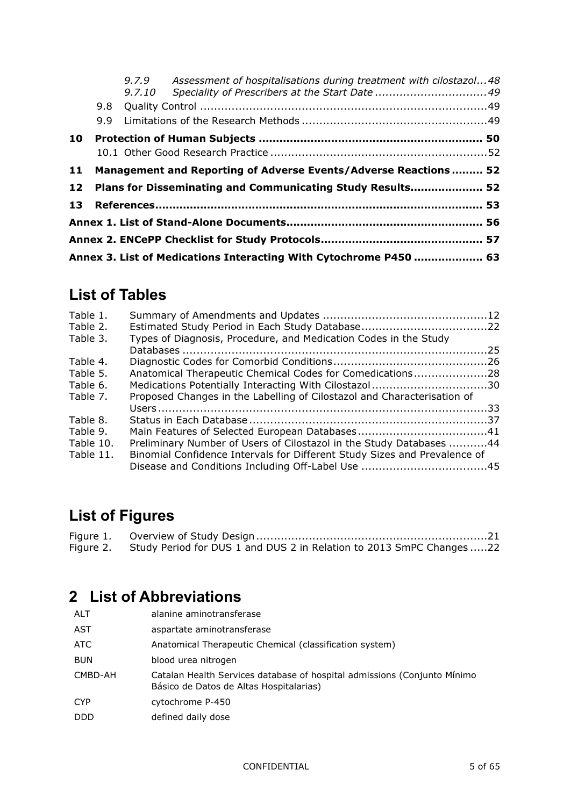|    |     | 9,7,10 | 9.7.9 Assessment of hospitalisations during treatment with cilostazol48 |  |
|----|-----|--------|-------------------------------------------------------------------------|--|
|    |     |        |                                                                         |  |
|    | 9.9 |        |                                                                         |  |
| 10 |     |        |                                                                         |  |
|    |     |        |                                                                         |  |
| 11 |     |        | Management and Reporting of Adverse Events/Adverse Reactions  52        |  |
| 12 |     |        | Plans for Disseminating and Communicating Study Results 52              |  |
| 13 |     |        |                                                                         |  |
|    |     |        |                                                                         |  |
|    |     |        |                                                                         |  |
|    |     |        | Annex 3. List of Medications Interacting With Cytochrome P450  63       |  |

# **List of Tables**

| Table 1.  |                                                                           |  |
|-----------|---------------------------------------------------------------------------|--|
| Table 2.  |                                                                           |  |
| Table 3.  | Types of Diagnosis, Procedure, and Medication Codes in the Study          |  |
|           |                                                                           |  |
| Table 4.  |                                                                           |  |
| Table 5.  | Anatomical Therapeutic Chemical Codes for Comedications28                 |  |
| Table 6.  | Medications Potentially Interacting With Cilostazol30                     |  |
| Table 7.  | Proposed Changes in the Labelling of Cilostazol and Characterisation of   |  |
|           |                                                                           |  |
| Table 8.  |                                                                           |  |
| Table 9.  |                                                                           |  |
| Table 10. | Preliminary Number of Users of Cilostazol in the Study Databases 44       |  |
| Table 11. | Binomial Confidence Intervals for Different Study Sizes and Prevalence of |  |
|           |                                                                           |  |
|           |                                                                           |  |

# **List of Figures**

| Figure 2. Study Period for DUS 1 and DUS 2 in Relation to 2013 SmPC Changes 22 |  |
|--------------------------------------------------------------------------------|--|

# <span id="page-4-0"></span>**2 List of Abbreviations**

| <b>ALT</b> | alanine aminotransferase                                                                                            |
|------------|---------------------------------------------------------------------------------------------------------------------|
| AST        | aspartate aminotransferase                                                                                          |
| ATC        | Anatomical Therapeutic Chemical (classification system)                                                             |
| <b>BUN</b> | blood urea nitrogen                                                                                                 |
| CMBD-AH    | Catalan Health Services database of hospital admissions (Conjunto Mínimo<br>Básico de Datos de Altas Hospitalarias) |
| <b>CYP</b> | cytochrome P-450                                                                                                    |
| <b>DDD</b> | defined daily dose                                                                                                  |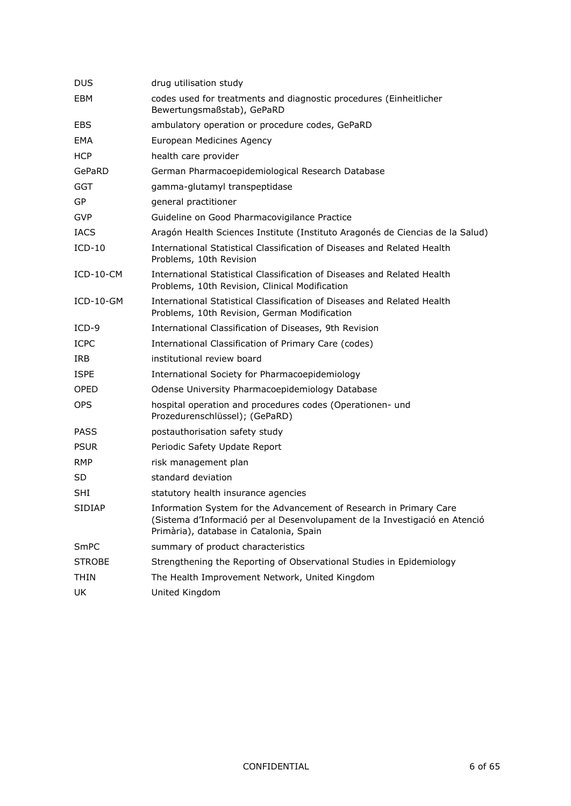| <b>DUS</b>    | drug utilisation study                                                                                                                                                                      |
|---------------|---------------------------------------------------------------------------------------------------------------------------------------------------------------------------------------------|
| EBM           | codes used for treatments and diagnostic procedures (Einheitlicher<br>Bewertungsmaßstab), GePaRD                                                                                            |
| <b>EBS</b>    | ambulatory operation or procedure codes, GePaRD                                                                                                                                             |
| EMA           | European Medicines Agency                                                                                                                                                                   |
| <b>HCP</b>    | health care provider                                                                                                                                                                        |
| GePaRD        | German Pharmacoepidemiological Research Database                                                                                                                                            |
| GGT           | gamma-glutamyl transpeptidase                                                                                                                                                               |
| <b>GP</b>     | general practitioner                                                                                                                                                                        |
| <b>GVP</b>    | Guideline on Good Pharmacovigilance Practice                                                                                                                                                |
| <b>IACS</b>   | Aragón Health Sciences Institute (Instituto Aragonés de Ciencias de la Salud)                                                                                                               |
| $ICD-10$      | International Statistical Classification of Diseases and Related Health<br>Problems, 10th Revision                                                                                          |
| ICD-10-CM     | International Statistical Classification of Diseases and Related Health<br>Problems, 10th Revision, Clinical Modification                                                                   |
| $ICD-10-GM$   | International Statistical Classification of Diseases and Related Health<br>Problems, 10th Revision, German Modification                                                                     |
| $ICD-9$       | International Classification of Diseases, 9th Revision                                                                                                                                      |
| <b>ICPC</b>   | International Classification of Primary Care (codes)                                                                                                                                        |
| IRB           | institutional review board                                                                                                                                                                  |
| <b>ISPE</b>   | International Society for Pharmacoepidemiology                                                                                                                                              |
| <b>OPED</b>   | Odense University Pharmacoepidemiology Database                                                                                                                                             |
| <b>OPS</b>    | hospital operation and procedures codes (Operationen- und<br>Prozedurenschlüssel); (GePaRD)                                                                                                 |
| <b>PASS</b>   | postauthorisation safety study                                                                                                                                                              |
| <b>PSUR</b>   | Periodic Safety Update Report                                                                                                                                                               |
| RMP           | risk management plan                                                                                                                                                                        |
| SD            | standard deviation                                                                                                                                                                          |
| SHI           | statutory health insurance agencies                                                                                                                                                         |
| SIDIAP        | Information System for the Advancement of Research in Primary Care<br>(Sistema d'Informació per al Desenvolupament de la Investigació en Atenció<br>Primària), database in Catalonia, Spain |
| SmPC          | summary of product characteristics                                                                                                                                                          |
| <b>STROBE</b> | Strengthening the Reporting of Observational Studies in Epidemiology                                                                                                                        |
| THIN          | The Health Improvement Network, United Kingdom                                                                                                                                              |
| UK            | United Kingdom                                                                                                                                                                              |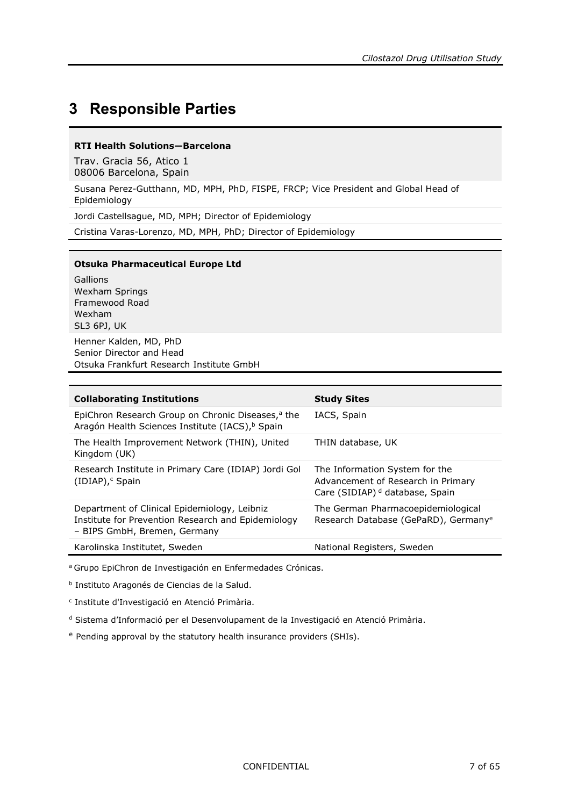## <span id="page-6-0"></span>**3 Responsible Parties**

#### **RTI Health Solutions—Barcelona**

Trav. Gracia 56, Atico 1 08006 Barcelona, Spain

Susana Perez-Gutthann, MD, MPH, PhD, FISPE, FRCP; Vice President and Global Head of Epidemiology

Jordi Castellsague, MD, MPH; Director of Epidemiology

Cristina Varas-Lorenzo, MD, MPH, PhD; Director of Epidemiology

#### **Otsuka Pharmaceutical Europe Ltd**

Gallions Wexham Springs Framewood Road Wexham SL3 6PJ, UK Henner Kalden, MD, PhD Senior Director and Head

Otsuka Frankfurt Research Institute GmbH

| THIN database, UK                                                                                                  |
|--------------------------------------------------------------------------------------------------------------------|
| The Information System for the<br>Advancement of Research in Primary<br>Care (SIDIAP) <sup>d</sup> database, Spain |
| The German Pharmacoepidemiological<br>Research Database (GePaRD), Germany <sup>e</sup>                             |
| National Registers, Sweden                                                                                         |
|                                                                                                                    |

<sup>a</sup> Grupo EpiChron de Investigación en Enfermedades Crónicas.

<sup>b</sup> Instituto Aragonés de Ciencias de la Salud.

<sup>c</sup> Institute d'Investigació en Atenció Primària.

<sup>d</sup> Sistema d'Informació per el Desenvolupament de la Investigació en Atenció Primària.

<span id="page-6-1"></span><sup>e</sup> Pending approval by the statutory health insurance providers (SHIs).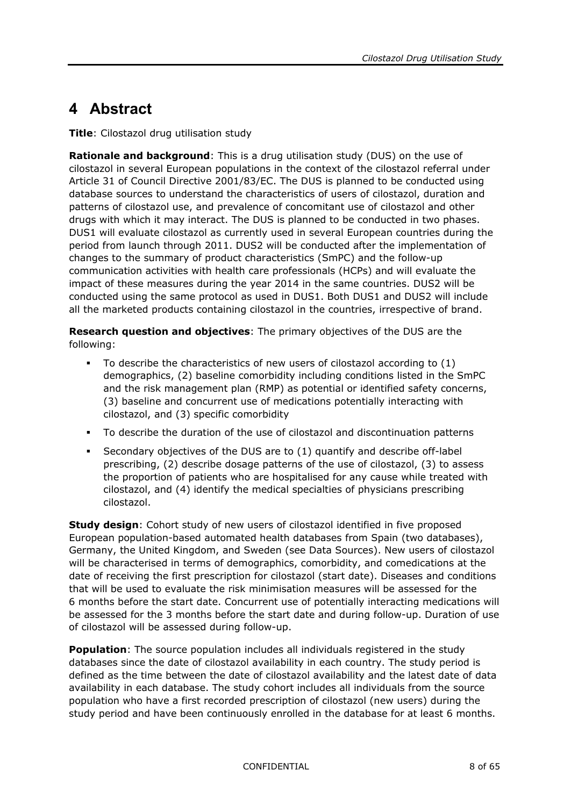# <span id="page-7-0"></span>**4 Abstract**

**Title**: Cilostazol drug utilisation study

**Rationale and background**: This is a drug utilisation study (DUS) on the use of cilostazol in several European populations in the context of the cilostazol referral under Article 31 of Council Directive 2001/83/EC. The DUS is planned to be conducted using database sources to understand the characteristics of users of cilostazol, duration and patterns of cilostazol use, and prevalence of concomitant use of cilostazol and other drugs with which it may interact. The DUS is planned to be conducted in two phases. DUS1 will evaluate cilostazol as currently used in several European countries during the period from launch through 2011. DUS2 will be conducted after the implementation of changes to the summary of product characteristics (SmPC) and the follow-up communication activities with health care professionals (HCPs) and will evaluate the impact of these measures during the year 2014 in the same countries. DUS2 will be conducted using the same protocol as used in DUS1. Both DUS1 and DUS2 will include all the marketed products containing cilostazol in the countries, irrespective of brand.

**Research question and objectives**: The primary objectives of the DUS are the following:

- To describe the characteristics of new users of cilostazol according to (1) demographics, (2) baseline comorbidity including conditions listed in the SmPC and the risk management plan (RMP) as potential or identified safety concerns, (3) baseline and concurrent use of medications potentially interacting with cilostazol, and (3) specific comorbidity
- To describe the duration of the use of cilostazol and discontinuation patterns
- Secondary objectives of the DUS are to (1) quantify and describe off-label prescribing, (2) describe dosage patterns of the use of cilostazol, (3) to assess the proportion of patients who are hospitalised for any cause while treated with cilostazol, and (4) identify the medical specialties of physicians prescribing cilostazol.

**Study design**: Cohort study of new users of cilostazol identified in five proposed European population-based automated health databases from Spain (two databases), Germany, the United Kingdom, and Sweden (see Data Sources). New users of cilostazol will be characterised in terms of demographics, comorbidity, and comedications at the date of receiving the first prescription for cilostazol (start date). Diseases and conditions that will be used to evaluate the risk minimisation measures will be assessed for the 6 months before the start date. Concurrent use of potentially interacting medications will be assessed for the 3 months before the start date and during follow-up. Duration of use of cilostazol will be assessed during follow-up.

**Population**: The source population includes all individuals registered in the study databases since the date of cilostazol availability in each country. The study period is defined as the time between the date of cilostazol availability and the latest date of data availability in each database. The study cohort includes all individuals from the source population who have a first recorded prescription of cilostazol (new users) during the study period and have been continuously enrolled in the database for at least 6 months.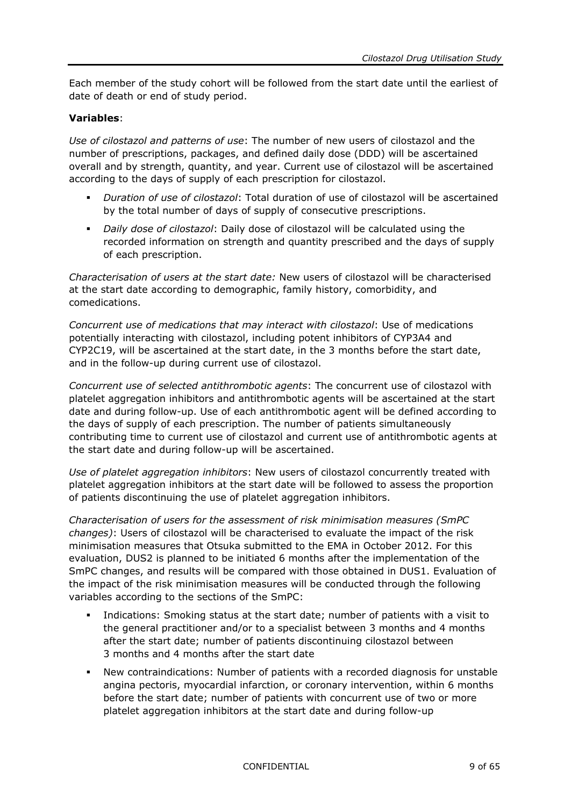Each member of the study cohort will be followed from the start date until the earliest of date of death or end of study period.

#### **Variables**:

*Use of cilostazol and patterns of use*: The number of new users of cilostazol and the number of prescriptions, packages, and defined daily dose (DDD) will be ascertained overall and by strength, quantity, and year. Current use of cilostazol will be ascertained according to the days of supply of each prescription for cilostazol.

- *Duration of use of cilostazol*: Total duration of use of cilostazol will be ascertained by the total number of days of supply of consecutive prescriptions.
- *Daily dose of cilostazol*: Daily dose of cilostazol will be calculated using the recorded information on strength and quantity prescribed and the days of supply of each prescription.

*Characterisation of users at the start date:* New users of cilostazol will be characterised at the start date according to demographic, family history, comorbidity, and comedications.

*Concurrent use of medications that may interact with cilostazol*: Use of medications potentially interacting with cilostazol, including potent inhibitors of CYP3A4 and CYP2C19, will be ascertained at the start date, in the 3 months before the start date, and in the follow-up during current use of cilostazol.

*Concurrent use of selected antithrombotic agents*: The concurrent use of cilostazol with platelet aggregation inhibitors and antithrombotic agents will be ascertained at the start date and during follow-up. Use of each antithrombotic agent will be defined according to the days of supply of each prescription. The number of patients simultaneously contributing time to current use of cilostazol and current use of antithrombotic agents at the start date and during follow-up will be ascertained.

*Use of platelet aggregation inhibitors*: New users of cilostazol concurrently treated with platelet aggregation inhibitors at the start date will be followed to assess the proportion of patients discontinuing the use of platelet aggregation inhibitors.

*Characterisation of users for the assessment of risk minimisation measures (SmPC changes)*: Users of cilostazol will be characterised to evaluate the impact of the risk minimisation measures that Otsuka submitted to the EMA in October 2012. For this evaluation, DUS2 is planned to be initiated 6 months after the implementation of the SmPC changes, and results will be compared with those obtained in DUS1. Evaluation of the impact of the risk minimisation measures will be conducted through the following variables according to the sections of the SmPC:

- Indications: Smoking status at the start date; number of patients with a visit to the general practitioner and/or to a specialist between 3 months and 4 months after the start date; number of patients discontinuing cilostazol between 3 months and 4 months after the start date
- New contraindications: Number of patients with a recorded diagnosis for unstable angina pectoris, myocardial infarction, or coronary intervention, within 6 months before the start date; number of patients with concurrent use of two or more platelet aggregation inhibitors at the start date and during follow-up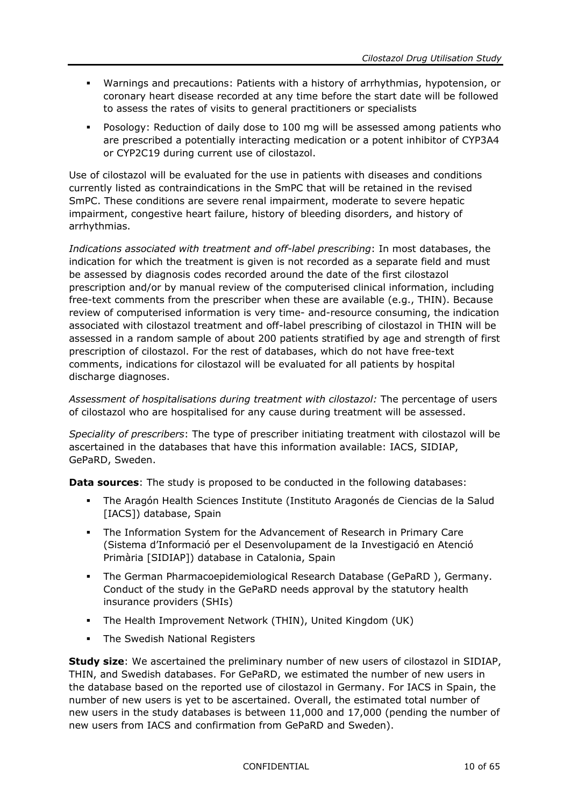- Warnings and precautions: Patients with a history of arrhythmias, hypotension, or coronary heart disease recorded at any time before the start date will be followed to assess the rates of visits to general practitioners or specialists
- Posology: Reduction of daily dose to 100 mg will be assessed among patients who are prescribed a potentially interacting medication or a potent inhibitor of CYP3A4 or CYP2C19 during current use of cilostazol.

Use of cilostazol will be evaluated for the use in patients with diseases and conditions currently listed as contraindications in the SmPC that will be retained in the revised SmPC. These conditions are severe renal impairment, moderate to severe hepatic impairment, congestive heart failure, history of bleeding disorders, and history of arrhythmias.

*Indications associated with treatment and off-label prescribing*: In most databases, the indication for which the treatment is given is not recorded as a separate field and must be assessed by diagnosis codes recorded around the date of the first cilostazol prescription and/or by manual review of the computerised clinical information, including free-text comments from the prescriber when these are available (e.g., THIN). Because review of computerised information is very time- and-resource consuming, the indication associated with cilostazol treatment and off-label prescribing of cilostazol in THIN will be assessed in a random sample of about 200 patients stratified by age and strength of first prescription of cilostazol. For the rest of databases, which do not have free-text comments, indications for cilostazol will be evaluated for all patients by hospital discharge diagnoses.

*Assessment of hospitalisations during treatment with cilostazol:* The percentage of users of cilostazol who are hospitalised for any cause during treatment will be assessed.

*Speciality of prescribers*: The type of prescriber initiating treatment with cilostazol will be ascertained in the databases that have this information available: IACS, SIDIAP, GePaRD, Sweden.

**Data sources**: The study is proposed to be conducted in the following databases:

- The Aragón Health Sciences Institute (Instituto Aragonés de Ciencias de la Salud [IACS]) database, Spain
- The Information System for the Advancement of Research in Primary Care (Sistema d'Informació per el Desenvolupament de la Investigació en Atenció Primària [SIDIAP]) database in Catalonia, Spain
- The German Pharmacoepidemiological Research Database (GePaRD ), Germany. Conduct of the study in the GePaRD needs approval by the statutory health insurance providers (SHIs)
- The Health Improvement Network (THIN), United Kingdom (UK)
- The Swedish National Registers

**Study size**: We ascertained the preliminary number of new users of cilostazol in SIDIAP, THIN, and Swedish databases. For GePaRD, we estimated the number of new users in the database based on the reported use of cilostazol in Germany. For IACS in Spain, the number of new users is yet to be ascertained. Overall, the estimated total number of new users in the study databases is between 11,000 and 17,000 (pending the number of new users from IACS and confirmation from GePaRD and Sweden).

CONFIDENTIAL 10 of 65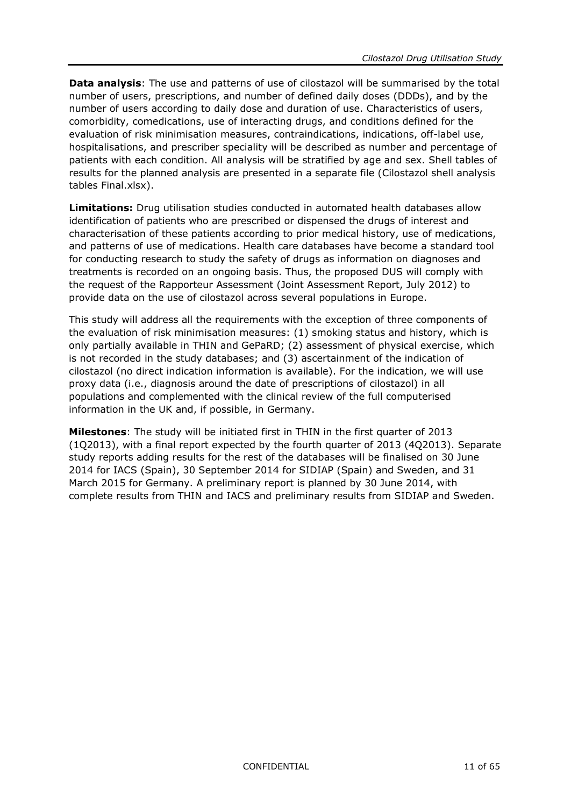**Data analysis**: The use and patterns of use of cilostazol will be summarised by the total number of users, prescriptions, and number of defined daily doses (DDDs), and by the number of users according to daily dose and duration of use. Characteristics of users, comorbidity, comedications, use of interacting drugs, and conditions defined for the evaluation of risk minimisation measures, contraindications, indications, off-label use, hospitalisations, and prescriber speciality will be described as number and percentage of patients with each condition. All analysis will be stratified by age and sex. Shell tables of results for the planned analysis are presented in a separate file (Cilostazol shell analysis tables Final.xlsx).

**Limitations:** Drug utilisation studies conducted in automated health databases allow identification of patients who are prescribed or dispensed the drugs of interest and characterisation of these patients according to prior medical history, use of medications, and patterns of use of medications. Health care databases have become a standard tool for conducting research to study the safety of drugs as information on diagnoses and treatments is recorded on an ongoing basis. Thus, the proposed DUS will comply with the request of the Rapporteur Assessment (Joint Assessment Report, July 2012) to provide data on the use of cilostazol across several populations in Europe.

This study will address all the requirements with the exception of three components of the evaluation of risk minimisation measures: (1) smoking status and history, which is only partially available in THIN and GePaRD; (2) assessment of physical exercise, which is not recorded in the study databases; and (3) ascertainment of the indication of cilostazol (no direct indication information is available). For the indication, we will use proxy data (i.e., diagnosis around the date of prescriptions of cilostazol) in all populations and complemented with the clinical review of the full computerised information in the UK and, if possible, in Germany.

**Milestones**: The study will be initiated first in THIN in the first quarter of 2013 (1Q2013), with a final report expected by the fourth quarter of 2013 (4Q2013). Separate study reports adding results for the rest of the databases will be finalised on 30 June 2014 for IACS (Spain), 30 September 2014 for SIDIAP (Spain) and Sweden, and 31 March 2015 for Germany. A preliminary report is planned by 30 June 2014, with complete results from THIN and IACS and preliminary results from SIDIAP and Sweden.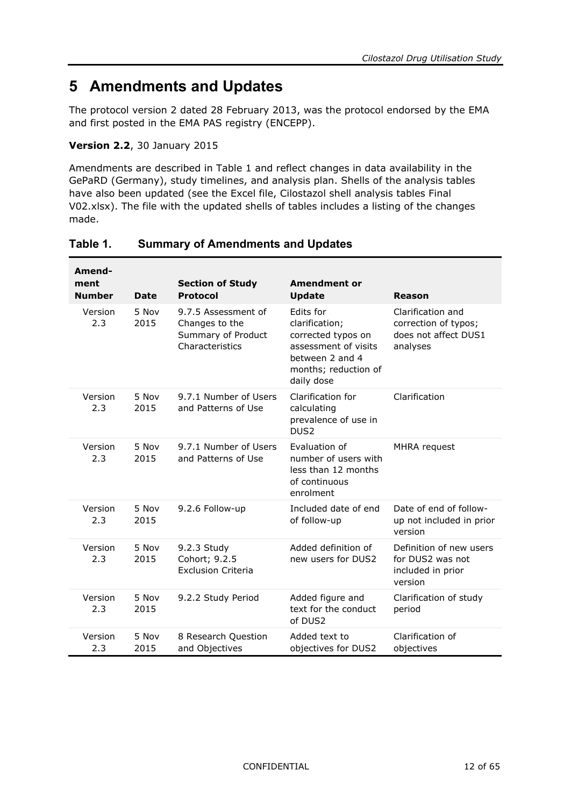# <span id="page-11-0"></span>**5 Amendments and Updates**

The protocol version 2 dated 28 February 2013, was the protocol endorsed by the EMA and first posted in the EMA PAS registry (ENCEPP).

#### **Version 2.2**, 30 January 2015

Amendments are described in [Table](#page-11-1) 1 and reflect changes in data availability in the GePaRD (Germany), study timelines, and analysis plan. Shells of the analysis tables have also been updated (see the Excel file, Cilostazol shell analysis tables Final V02.xlsx). The file with the updated shells of tables includes a listing of the changes made.

| Amend-<br>ment<br><b>Number</b> | <b>Date</b>   | <b>Section of Study</b><br><b>Protocol</b>                                     | <b>Amendment or</b><br><b>Update</b>                                                                                               | Reason                                                                        |
|---------------------------------|---------------|--------------------------------------------------------------------------------|------------------------------------------------------------------------------------------------------------------------------------|-------------------------------------------------------------------------------|
| Version<br>2.3                  | 5 Nov<br>2015 | 9.7.5 Assessment of<br>Changes to the<br>Summary of Product<br>Characteristics | Edits for<br>clarification;<br>corrected typos on<br>assessment of visits<br>between 2 and 4<br>months; reduction of<br>daily dose | Clarification and<br>correction of typos;<br>does not affect DUS1<br>analyses |
| Version<br>2.3                  | 5 Nov<br>2015 | 9.7.1 Number of Users<br>and Patterns of Use                                   | Clarification for<br>calculating<br>prevalence of use in<br>DUS <sub>2</sub>                                                       | Clarification                                                                 |
| Version<br>2.3                  | 5 Nov<br>2015 | 9.7.1 Number of Users<br>and Patterns of Use                                   | <b>Fyaluation of</b><br>number of users with<br>less than 12 months<br>of continuous<br>enrolment                                  | MHRA request                                                                  |
| Version<br>2.3                  | 5 Nov<br>2015 | 9.2.6 Follow-up                                                                | Included date of end<br>of follow-up                                                                                               | Date of end of follow-<br>up not included in prior<br>version                 |
| Version<br>2.3                  | 5 Nov<br>2015 | 9.2.3 Study<br>Cohort; 9.2.5<br><b>Exclusion Criteria</b>                      | Added definition of<br>new users for DUS2                                                                                          | Definition of new users<br>for DUS2 was not<br>included in prior<br>version   |
| Version<br>2.3                  | 5 Nov<br>2015 | 9.2.2 Study Period                                                             | Added figure and<br>text for the conduct<br>of DUS2                                                                                | Clarification of study<br>period                                              |
| Version<br>2.3                  | 5 Nov<br>2015 | 8 Research Question<br>and Objectives                                          | Added text to<br>objectives for DUS2                                                                                               | Clarification of<br>objectives                                                |

#### <span id="page-11-1"></span>**Table 1. Summary of Amendments and Updates**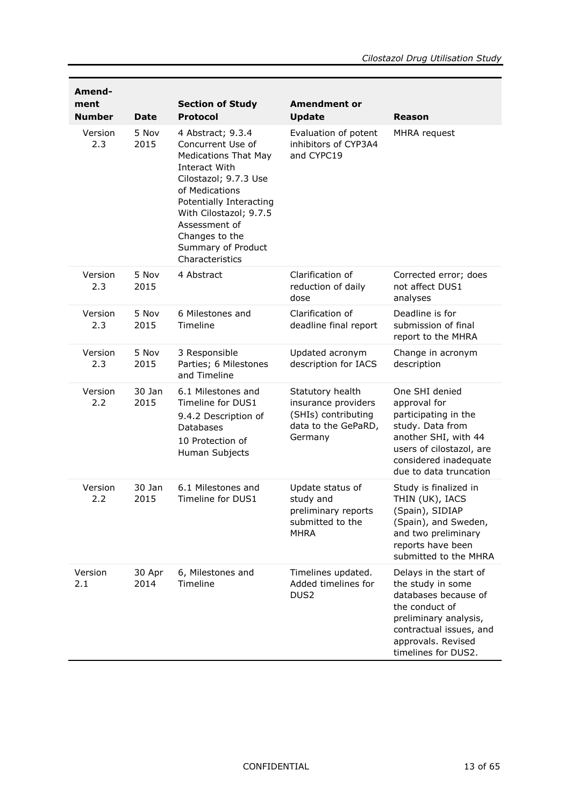| Amend-<br>ment<br><b>Number</b> | <b>Date</b>    | <b>Section of Study</b><br><b>Protocol</b>                                                                                                                                                                                                                         | <b>Amendment or</b><br><b>Update</b>                                                             | Reason                                                                                                                                                                                 |
|---------------------------------|----------------|--------------------------------------------------------------------------------------------------------------------------------------------------------------------------------------------------------------------------------------------------------------------|--------------------------------------------------------------------------------------------------|----------------------------------------------------------------------------------------------------------------------------------------------------------------------------------------|
| Version<br>2.3                  | 5 Nov<br>2015  | 4 Abstract; 9.3.4<br>Concurrent Use of<br><b>Medications That May</b><br>Interact With<br>Cilostazol; 9.7.3 Use<br>of Medications<br>Potentially Interacting<br>With Cilostazol; 9.7.5<br>Assessment of<br>Changes to the<br>Summary of Product<br>Characteristics | Evaluation of potent<br>inhibitors of CYP3A4<br>and CYPC19                                       | MHRA request                                                                                                                                                                           |
| Version<br>2.3                  | 5 Nov<br>2015  | 4 Abstract                                                                                                                                                                                                                                                         | Clarification of<br>reduction of daily<br>dose                                                   | Corrected error; does<br>not affect DUS1<br>analyses                                                                                                                                   |
| Version<br>2.3                  | 5 Nov<br>2015  | 6 Milestones and<br>Timeline                                                                                                                                                                                                                                       | Clarification of<br>deadline final report                                                        | Deadline is for<br>submission of final<br>report to the MHRA                                                                                                                           |
| Version<br>2.3                  | 5 Nov<br>2015  | 3 Responsible<br>Parties; 6 Milestones<br>and Timeline                                                                                                                                                                                                             | Updated acronym<br>description for IACS                                                          | Change in acronym<br>description                                                                                                                                                       |
| Version<br>2.2                  | 30 Jan<br>2015 | 6.1 Milestones and<br>Timeline for DUS1<br>9.4.2 Description of<br><b>Databases</b><br>10 Protection of<br>Human Subjects                                                                                                                                          | Statutory health<br>insurance providers<br>(SHIs) contributing<br>data to the GePaRD,<br>Germany | One SHI denied<br>approval for<br>participating in the<br>study. Data from<br>another SHI, with 44<br>users of cilostazol, are<br>considered inadequate<br>due to data truncation      |
| Version<br>2.2                  | 30 Jan<br>2015 | 6.1 Milestones and<br>Timeline for DUS1                                                                                                                                                                                                                            | Update status of<br>study and<br>preliminary reports<br>submitted to the<br><b>MHRA</b>          | Study is finalized in<br>THIN (UK), IACS<br>(Spain), SIDIAP<br>(Spain), and Sweden,<br>and two preliminary<br>reports have been<br>submitted to the MHRA                               |
| Version<br>2.1                  | 30 Apr<br>2014 | 6, Milestones and<br>Timeline                                                                                                                                                                                                                                      | Timelines updated.<br>Added timelines for<br>DUS <sub>2</sub>                                    | Delays in the start of<br>the study in some<br>databases because of<br>the conduct of<br>preliminary analysis,<br>contractual issues, and<br>approvals. Revised<br>timelines for DUS2. |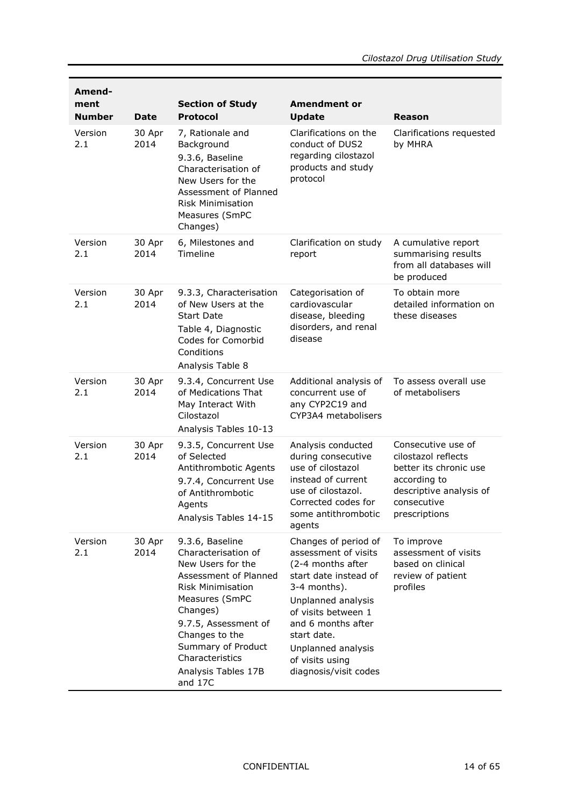| Amend-<br>ment<br><b>Number</b> | <b>Date</b>    | <b>Section of Study</b><br><b>Protocol</b>                                                                                                                                                                                                                          | <b>Amendment or</b><br><b>Update</b>                                                                                                                                                                                                                           | Reason                                                                                                                                         |
|---------------------------------|----------------|---------------------------------------------------------------------------------------------------------------------------------------------------------------------------------------------------------------------------------------------------------------------|----------------------------------------------------------------------------------------------------------------------------------------------------------------------------------------------------------------------------------------------------------------|------------------------------------------------------------------------------------------------------------------------------------------------|
| Version<br>2.1                  | 30 Apr<br>2014 | 7, Rationale and<br>Background<br>9.3.6, Baseline<br>Characterisation of<br>New Users for the<br>Assessment of Planned<br><b>Risk Minimisation</b><br>Measures (SmPC<br>Changes)                                                                                    | Clarifications on the<br>conduct of DUS2<br>regarding cilostazol<br>products and study<br>protocol                                                                                                                                                             | Clarifications requested<br>by MHRA                                                                                                            |
| Version<br>2.1                  | 30 Apr<br>2014 | 6, Milestones and<br>Timeline                                                                                                                                                                                                                                       | Clarification on study<br>report                                                                                                                                                                                                                               | A cumulative report<br>summarising results<br>from all databases will<br>be produced                                                           |
| Version<br>2.1                  | 30 Apr<br>2014 | 9.3.3, Characterisation<br>of New Users at the<br><b>Start Date</b><br>Table 4, Diagnostic<br>Codes for Comorbid<br>Conditions<br>Analysis Table 8                                                                                                                  | Categorisation of<br>cardiovascular<br>disease, bleeding<br>disorders, and renal<br>disease                                                                                                                                                                    | To obtain more<br>detailed information on<br>these diseases                                                                                    |
| Version<br>2.1                  | 30 Apr<br>2014 | 9.3.4, Concurrent Use<br>of Medications That<br>May Interact With<br>Cilostazol<br>Analysis Tables 10-13                                                                                                                                                            | Additional analysis of<br>concurrent use of<br>any CYP2C19 and<br>CYP3A4 metabolisers                                                                                                                                                                          | To assess overall use<br>of metabolisers                                                                                                       |
| Version<br>2.1                  | 30 Apr<br>2014 | 9.3.5, Concurrent Use<br>of Selected<br>Antithrombotic Agents<br>9.7.4, Concurrent Use<br>of Antithrombotic<br>Agents<br>Analysis Tables 14-15                                                                                                                      | Analysis conducted<br>during consecutive<br>use of cilostazol<br>instead of current<br>use of cilostazol.<br>Corrected codes for<br>some antithrombotic<br>agents                                                                                              | Consecutive use of<br>cilostazol reflects<br>better its chronic use<br>according to<br>descriptive analysis of<br>consecutive<br>prescriptions |
| Version<br>2.1                  | 30 Apr<br>2014 | 9.3.6, Baseline<br>Characterisation of<br>New Users for the<br>Assessment of Planned<br><b>Risk Minimisation</b><br>Measures (SmPC<br>Changes)<br>9.7.5, Assessment of<br>Changes to the<br>Summary of Product<br>Characteristics<br>Analysis Tables 17B<br>and 17C | Changes of period of<br>assessment of visits<br>(2-4 months after<br>start date instead of<br>3-4 months).<br>Unplanned analysis<br>of visits between 1<br>and 6 months after<br>start date.<br>Unplanned analysis<br>of visits using<br>diagnosis/visit codes | To improve<br>assessment of visits<br>based on clinical<br>review of patient<br>profiles                                                       |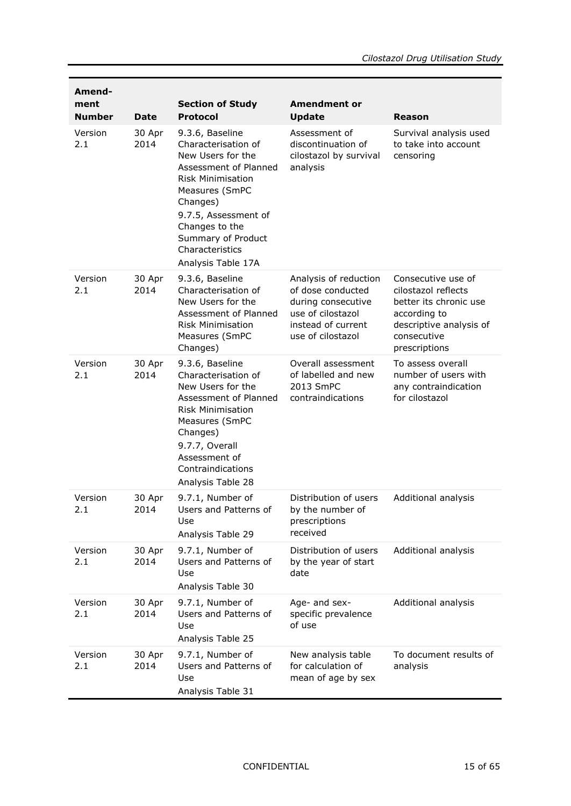| Amend-<br>ment<br><b>Number</b> | <b>Date</b>    | <b>Section of Study</b><br><b>Protocol</b>                                                                                                                                                                                                              | <b>Amendment or</b><br><b>Update</b>                                                                                             | Reason                                                                                                                                         |
|---------------------------------|----------------|---------------------------------------------------------------------------------------------------------------------------------------------------------------------------------------------------------------------------------------------------------|----------------------------------------------------------------------------------------------------------------------------------|------------------------------------------------------------------------------------------------------------------------------------------------|
| Version<br>2.1                  | 30 Apr<br>2014 | 9.3.6, Baseline<br>Characterisation of<br>New Users for the<br>Assessment of Planned<br><b>Risk Minimisation</b><br>Measures (SmPC<br>Changes)<br>9.7.5, Assessment of<br>Changes to the<br>Summary of Product<br>Characteristics<br>Analysis Table 17A | Assessment of<br>discontinuation of<br>cilostazol by survival<br>analysis                                                        | Survival analysis used<br>to take into account<br>censoring                                                                                    |
| Version<br>2.1                  | 30 Apr<br>2014 | 9.3.6, Baseline<br>Characterisation of<br>New Users for the<br>Assessment of Planned<br><b>Risk Minimisation</b><br>Measures (SmPC<br>Changes)                                                                                                          | Analysis of reduction<br>of dose conducted<br>during consecutive<br>use of cilostazol<br>instead of current<br>use of cilostazol | Consecutive use of<br>cilostazol reflects<br>better its chronic use<br>according to<br>descriptive analysis of<br>consecutive<br>prescriptions |
| Version<br>2.1                  | 30 Apr<br>2014 | 9.3.6, Baseline<br>Characterisation of<br>New Users for the<br>Assessment of Planned<br><b>Risk Minimisation</b><br>Measures (SmPC<br>Changes)<br>9.7.7, Overall<br>Assessment of<br>Contraindications<br>Analysis Table 28                             | Overall assessment<br>of labelled and new<br>2013 SmPC<br>contraindications                                                      | To assess overall<br>number of users with<br>any contraindication<br>for cilostazol                                                            |
| Version<br>2.1                  | 30 Apr<br>2014 | 9.7.1, Number of<br>Users and Patterns of<br>Use<br>Analysis Table 29                                                                                                                                                                                   | Distribution of users<br>by the number of<br>prescriptions<br>received                                                           | Additional analysis                                                                                                                            |
| Version<br>2.1                  | 30 Apr<br>2014 | 9.7.1, Number of<br>Users and Patterns of<br>Use<br>Analysis Table 30                                                                                                                                                                                   | Distribution of users<br>by the year of start<br>date                                                                            | Additional analysis                                                                                                                            |
| Version<br>2.1                  | 30 Apr<br>2014 | 9.7.1, Number of<br>Users and Patterns of<br>Use<br>Analysis Table 25                                                                                                                                                                                   | Age- and sex-<br>specific prevalence<br>of use                                                                                   | Additional analysis                                                                                                                            |
| Version<br>2.1                  | 30 Apr<br>2014 | 9.7.1, Number of<br>Users and Patterns of<br>Use<br>Analysis Table 31                                                                                                                                                                                   | New analysis table<br>for calculation of<br>mean of age by sex                                                                   | To document results of<br>analysis                                                                                                             |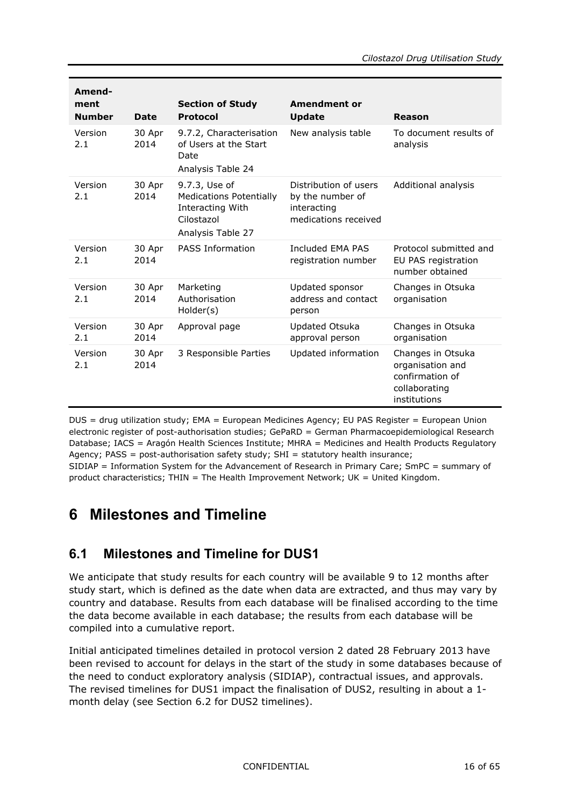| Amend-<br>ment<br><b>Number</b> | <b>Date</b>    | <b>Section of Study</b><br><b>Protocol</b>                                                             | <b>Amendment or</b><br><b>Update</b>                                             | Reason                                                                                    |
|---------------------------------|----------------|--------------------------------------------------------------------------------------------------------|----------------------------------------------------------------------------------|-------------------------------------------------------------------------------------------|
| Version<br>2.1                  | 30 Apr<br>2014 | 9.7.2, Characterisation<br>of Users at the Start<br>Date<br>Analysis Table 24                          | New analysis table                                                               | To document results of<br>analysis                                                        |
| Version<br>2.1                  | 30 Apr<br>2014 | 9.7.3, Use of<br><b>Medications Potentially</b><br>Interacting With<br>Cilostazol<br>Analysis Table 27 | Distribution of users<br>by the number of<br>interacting<br>medications received | Additional analysis                                                                       |
| Version<br>2.1                  | 30 Apr<br>2014 | <b>PASS Information</b>                                                                                | Included FMA PAS<br>registration number                                          | Protocol submitted and<br>EU PAS registration<br>number obtained                          |
| Version<br>2.1                  | 30 Apr<br>2014 | Marketing<br>Authorisation<br>Holder(s)                                                                | Updated sponsor<br>address and contact<br>person                                 | Changes in Otsuka<br>organisation                                                         |
| Version<br>2.1                  | 30 Apr<br>2014 | Approval page                                                                                          | Updated Otsuka<br>approval person                                                | Changes in Otsuka<br>organisation                                                         |
| Version<br>2.1                  | 30 Apr<br>2014 | 3 Responsible Parties                                                                                  | Updated information                                                              | Changes in Otsuka<br>organisation and<br>confirmation of<br>collaborating<br>institutions |

DUS = drug utilization study; EMA = European Medicines Agency; EU PAS Register = European Union electronic register of post-authorisation studies; GePaRD = German Pharmacoepidemiological Research Database; IACS = Aragón Health Sciences Institute; MHRA = Medicines and Health Products Regulatory Agency; PASS = post-authorisation safety study; SHI = statutory health insurance;

<span id="page-15-0"></span>SIDIAP = Information System for the Advancement of Research in Primary Care; SmPC = summary of product characteristics; THIN = The Health Improvement Network; UK = United Kingdom.

## <span id="page-15-1"></span>**6 Milestones and Timeline**

### **6.1 Milestones and Timeline for DUS1**

We anticipate that study results for each country will be available 9 to 12 months after study start, which is defined as the date when data are extracted, and thus may vary by country and database. Results from each database will be finalised according to the time the data become available in each database; the results from each database will be compiled into a cumulative report.

Initial anticipated timelines detailed in protocol version 2 dated 28 February 2013 have been revised to account for delays in the start of the study in some databases because of the need to conduct exploratory analysis (SIDIAP), contractual issues, and approvals. The revised timelines for DUS1 impact the finalisation of DUS2, resulting in about a 1 month delay (see Section [6.2](#page-17-0) for DUS2 timelines).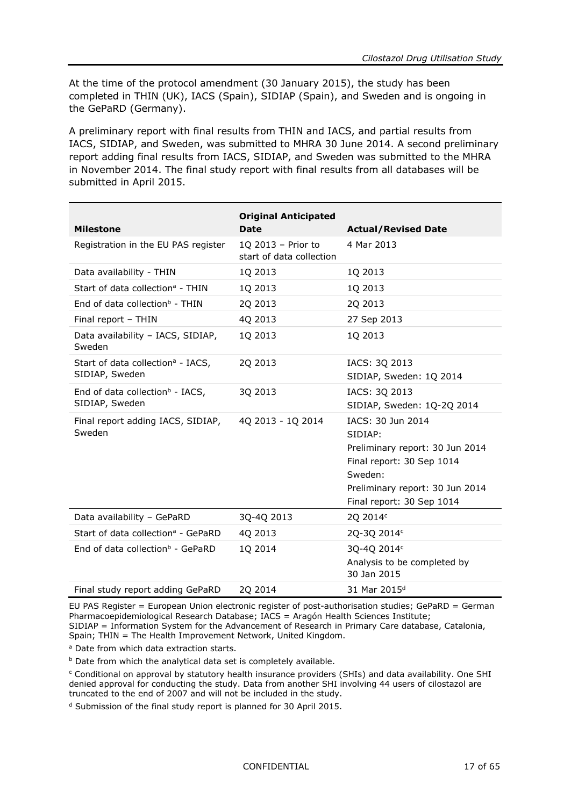At the time of the protocol amendment (30 January 2015), the study has been completed in THIN (UK), IACS (Spain), SIDIAP (Spain), and Sweden and is ongoing in the GePaRD (Germany).

A preliminary report with final results from THIN and IACS, and partial results from IACS, SIDIAP, and Sweden, was submitted to MHRA 30 June 2014. A second preliminary report adding final results from IACS, SIDIAP, and Sweden was submitted to the MHRA in November 2014. The final study report with final results from all databases will be submitted in April 2015.

| <b>Milestone</b>                                                | <b>Original Anticipated</b><br><b>Date</b>     | <b>Actual/Revised Date</b>                                                                                                                                              |
|-----------------------------------------------------------------|------------------------------------------------|-------------------------------------------------------------------------------------------------------------------------------------------------------------------------|
| Registration in the EU PAS register                             | 1Q 2013 - Prior to<br>start of data collection | 4 Mar 2013                                                                                                                                                              |
| Data availability - THIN                                        | 1Q 2013                                        | 1Q 2013                                                                                                                                                                 |
| Start of data collection <sup>a</sup> - THIN                    | 1Q 2013                                        | 1Q 2013                                                                                                                                                                 |
| End of data collection <sup>b</sup> - THIN                      | 2Q 2013                                        | 2Q 2013                                                                                                                                                                 |
| Final report - THIN                                             | 4Q 2013                                        | 27 Sep 2013                                                                                                                                                             |
| Data availability - IACS, SIDIAP,<br>Sweden                     | 1Q 2013                                        | 1Q 2013                                                                                                                                                                 |
| Start of data collection <sup>a</sup> - IACS,<br>SIDIAP, Sweden | 2Q 2013                                        | IACS: 3Q 2013<br>SIDIAP, Sweden: 1Q 2014                                                                                                                                |
| End of data collection $\flat$ - IACS,<br>SIDIAP, Sweden        | 3Q 2013                                        | IACS: 3Q 2013<br>SIDIAP, Sweden: 1Q-2Q 2014                                                                                                                             |
| Final report adding IACS, SIDIAP,<br>Sweden                     | 4Q 2013 - 1Q 2014                              | IACS: 30 Jun 2014<br>SIDIAP:<br>Preliminary report: 30 Jun 2014<br>Final report: 30 Sep 1014<br>Sweden:<br>Preliminary report: 30 Jun 2014<br>Final report: 30 Sep 1014 |
| Data availability - GePaRD                                      | 3Q-4Q 2013                                     | 2Q 2014c                                                                                                                                                                |
| Start of data collection <sup>a</sup> - GePaRD                  | 4Q 2013                                        | 2Q-3Q 2014c                                                                                                                                                             |
| End of data collection <sup>b</sup> - GePaRD                    | 1Q 2014                                        | 3Q-4Q 2014c<br>Analysis to be completed by<br>30 Jan 2015                                                                                                               |
| Final study report adding GePaRD                                | 2Q 2014                                        | 31 Mar 2015 <sup>d</sup>                                                                                                                                                |

EU PAS Register = European Union electronic register of post-authorisation studies; GePaRD = German Pharmacoepidemiological Research Database; IACS = Aragón Health Sciences Institute; SIDIAP = Information System for the Advancement of Research in Primary Care database, Catalonia, Spain; THIN = The Health Improvement Network, United Kingdom.

a Date from which data extraction starts.

**b** Date from which the analytical data set is completely available.

<sup>c</sup> Conditional on approval by statutory health insurance providers (SHIs) and data availability. One SHI denied approval for conducting the study. Data from another SHI involving 44 users of cilostazol are truncated to the end of 2007 and will not be included in the study.

<sup>d</sup> Submission of the final study report is planned for 30 April 2015.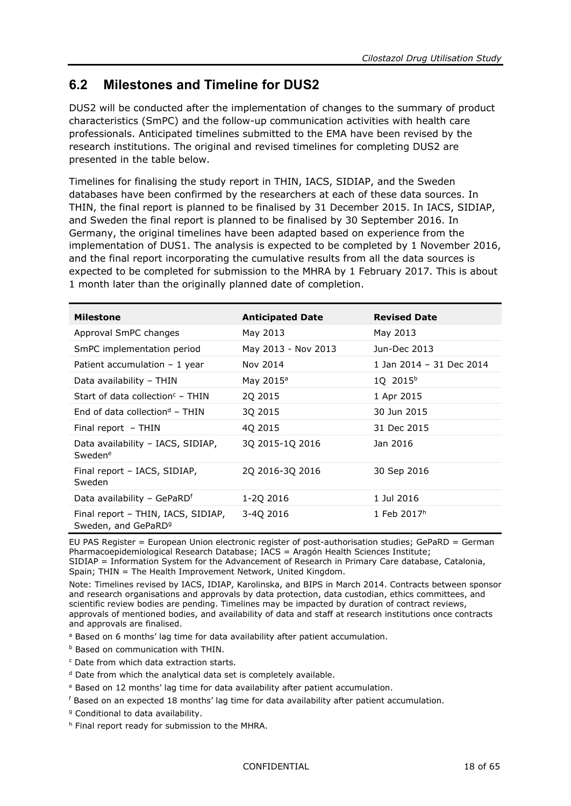### <span id="page-17-0"></span>**6.2 Milestones and Timeline for DUS2**

DUS2 will be conducted after the implementation of changes to the summary of product characteristics (SmPC) and the follow-up communication activities with health care professionals. Anticipated timelines submitted to the EMA have been revised by the research institutions. The original and revised timelines for completing DUS2 are presented in the table below.

Timelines for finalising the study report in THIN, IACS, SIDIAP, and the Sweden databases have been confirmed by the researchers at each of these data sources. In THIN, the final report is planned to be finalised by 31 December 2015. In IACS, SIDIAP, and Sweden the final report is planned to be finalised by 30 September 2016. In Germany, the original timelines have been adapted based on experience from the implementation of DUS1. The analysis is expected to be completed by 1 November 2016, and the final report incorporating the cumulative results from all the data sources is expected to be completed for submission to the MHRA by 1 February 2017. This is about 1 month later than the originally planned date of completion.

| <b>Milestone</b>                                                      | <b>Anticipated Date</b> | <b>Revised Date</b>      |
|-----------------------------------------------------------------------|-------------------------|--------------------------|
| Approval SmPC changes                                                 | May 2013                | May 2013                 |
| SmPC implementation period                                            | May 2013 - Nov 2013     | Jun-Dec 2013             |
| Patient accumulation $-1$ year                                        | Nov 2014                | 1 Jan 2014 - 31 Dec 2014 |
| Data availability – THIN                                              | May 2015 <sup>a</sup>   | 1Q 2015b                 |
| Start of data collection <sup>c</sup> – THIN                          | 20 20 15                | 1 Apr 2015               |
| End of data collection <sup>d</sup> – THIN                            | 30 2015                 | 30 Jun 2015              |
| Final report $-$ THIN                                                 | 40 2015                 | 31 Dec 2015              |
| Data availability - IACS, SIDIAP,<br>Swedene                          | 3Q 2015-1Q 2016         | Jan 2016                 |
| Final report - IACS, SIDIAP,<br>Sweden                                | 2Q 2016-3Q 2016         | 30 Sep 2016              |
| Data availability - GePaRD <sup>f</sup>                               | 1-20 2016               | 1 Jul 2016               |
| Final report - THIN, IACS, SIDIAP,<br>Sweden, and GePaRD <sup>9</sup> | 3-40 2016               | 1 Feb 2017h              |

EU PAS Register = European Union electronic register of post-authorisation studies; GePaRD = German Pharmacoepidemiological Research Database; IACS = Aragón Health Sciences Institute; SIDIAP = Information System for the Advancement of Research in Primary Care database, Catalonia,

Spain; THIN = The Health Improvement Network, United Kingdom.

Note: Timelines revised by IACS, IDIAP, Karolinska, and BIPS in March 2014. Contracts between sponsor and research organisations and approvals by data protection, data custodian, ethics committees, and scientific review bodies are pending. Timelines may be impacted by duration of contract reviews, approvals of mentioned bodies, and availability of data and staff at research institutions once contracts and approvals are finalised.

<sup>a</sup> Based on 6 months' lag time for data availability after patient accumulation.

**b** Based on communication with THIN.

<sup>c</sup> Date from which data extraction starts.

<sup>d</sup> Date from which the analytical data set is completely available.

<sup>e</sup> Based on 12 months' lag time for data availability after patient accumulation.

<sup>f</sup> Based on an expected 18 months' lag time for data availability after patient accumulation.

<sup>9</sup> Conditional to data availability.

h Final report ready for submission to the MHRA.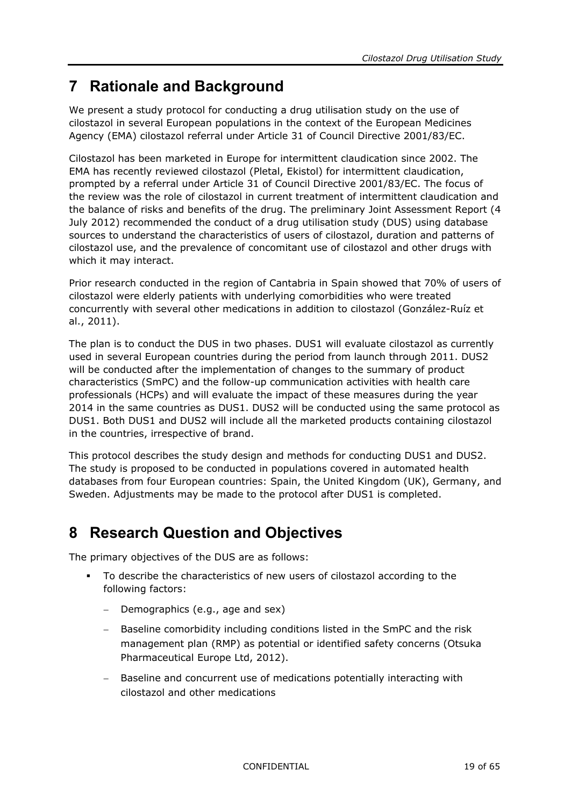# <span id="page-18-0"></span>**7 Rationale and Background**

We present a study protocol for conducting a drug utilisation study on the use of cilostazol in several European populations in the context of the European Medicines Agency (EMA) cilostazol referral under Article 31 of Council Directive 2001/83/EC.

Cilostazol has been marketed in Europe for intermittent claudication since 2002. The EMA has recently reviewed cilostazol (Pletal, Ekistol) for intermittent claudication, prompted by a referral under Article 31 of Council Directive 2001/83/EC. The focus of the review was the role of cilostazol in current treatment of intermittent claudication and the balance of risks and benefits of the drug. The preliminary Joint Assessment Report (4 July 2012) recommended the conduct of a drug utilisation study (DUS) using database sources to understand the characteristics of users of cilostazol, duration and patterns of cilostazol use, and the prevalence of concomitant use of cilostazol and other drugs with which it may interact.

Prior research conducted in the region of Cantabria in Spain showed that 70% of users of cilostazol were elderly patients with underlying comorbidities who were treated concurrently with several other medications in addition to cilostazol (González-Ruíz et al., 2011).

The plan is to conduct the DUS in two phases. DUS1 will evaluate cilostazol as currently used in several European countries during the period from launch through 2011. DUS2 will be conducted after the implementation of changes to the summary of product characteristics (SmPC) and the follow-up communication activities with health care professionals (HCPs) and will evaluate the impact of these measures during the year 2014 in the same countries as DUS1. DUS2 will be conducted using the same protocol as DUS1. Both DUS1 and DUS2 will include all the marketed products containing cilostazol in the countries, irrespective of brand.

This protocol describes the study design and methods for conducting DUS1 and DUS2. The study is proposed to be conducted in populations covered in automated health databases from four European countries: Spain, the United Kingdom (UK), Germany, and Sweden. Adjustments may be made to the protocol after DUS1 is completed.

# <span id="page-18-1"></span>**8 Research Question and Objectives**

The primary objectives of the DUS are as follows:

- To describe the characteristics of new users of cilostazol according to the following factors:
	- − Demographics (e.g., age and sex)
	- Baseline comorbidity including conditions listed in the SmPC and the risk management plan (RMP) as potential or identified safety concerns (Otsuka Pharmaceutical Europe Ltd, 2012).
	- Baseline and concurrent use of medications potentially interacting with cilostazol and other medications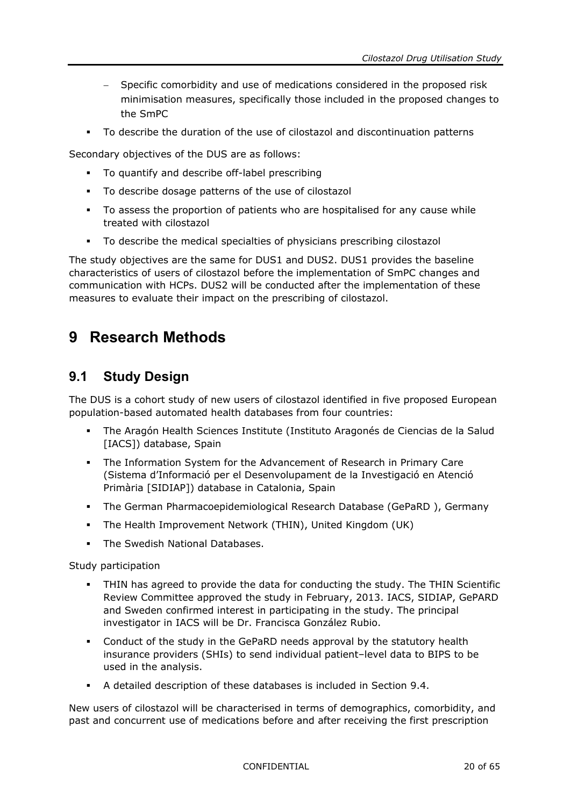- Specific comorbidity and use of medications considered in the proposed risk minimisation measures, specifically those included in the proposed changes to the SmPC
- To describe the duration of the use of cilostazol and discontinuation patterns

Secondary objectives of the DUS are as follows:

- To quantify and describe off-label prescribing
- To describe dosage patterns of the use of cilostazol
- To assess the proportion of patients who are hospitalised for any cause while treated with cilostazol
- To describe the medical specialties of physicians prescribing cilostazol

The study objectives are the same for DUS1 and DUS2. DUS1 provides the baseline characteristics of users of cilostazol before the implementation of SmPC changes and communication with HCPs. DUS2 will be conducted after the implementation of these measures to evaluate their impact on the prescribing of cilostazol.

# <span id="page-19-1"></span><span id="page-19-0"></span>**9 Research Methods**

### **9.1 Study Design**

The DUS is a cohort study of new users of cilostazol identified in five proposed European population-based automated health databases from four countries:

- The Aragón Health Sciences Institute (Instituto Aragonés de Ciencias de la Salud [IACS]) database, Spain
- The Information System for the Advancement of Research in Primary Care (Sistema d'Informació per el Desenvolupament de la Investigació en Atenció Primària [SIDIAP]) database in Catalonia, Spain
- The German Pharmacoepidemiological Research Database (GePaRD ), Germany
- The Health Improvement Network (THIN), United Kingdom (UK)
- The Swedish National Databases.

Study participation

- THIN has agreed to provide the data for conducting the study. The THIN Scientific Review Committee approved the study in February, 2013. IACS, SIDIAP, GePARD and Sweden confirmed interest in participating in the study. The principal investigator in IACS will be Dr. Francisca González Rubio.
- Conduct of the study in the GePaRD needs approval by the statutory health insurance providers (SHIs) to send individual patient–level data to BIPS to be used in the analysis.
- A detailed description of these databases is included in Section [9.4.](#page-35-2)

New users of cilostazol will be characterised in terms of demographics, comorbidity, and past and concurrent use of medications before and after receiving the first prescription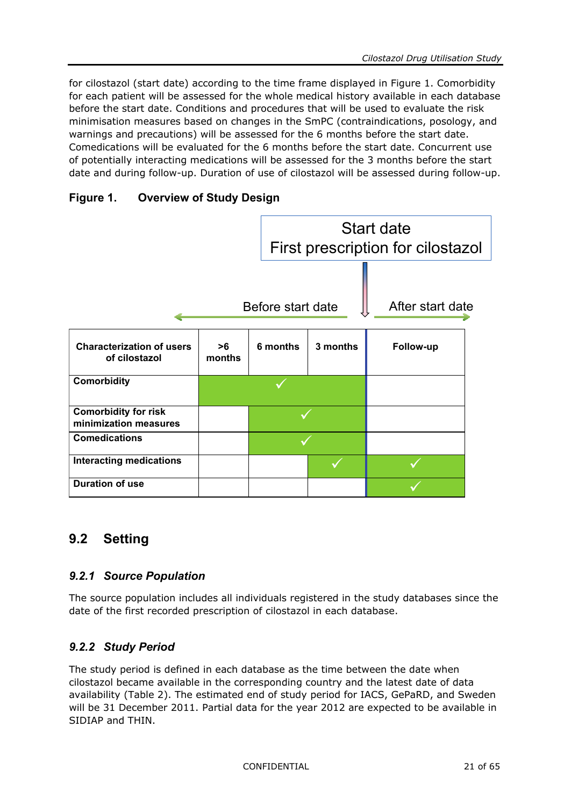for cilostazol (start date) according to the time frame displayed in [Figure](#page-20-3) 1. Comorbidity for each patient will be assessed for the whole medical history available in each database before the start date. Conditions and procedures that will be used to evaluate the risk minimisation measures based on changes in the SmPC (contraindications, posology, and warnings and precautions) will be assessed for the 6 months before the start date. Comedications will be evaluated for the 6 months before the start date. Concurrent use of potentially interacting medications will be assessed for the 3 months before the start date and during follow-up. Duration of use of cilostazol will be assessed during follow-up.

#### <span id="page-20-3"></span>**Figure 1. Overview of Study Design**



### <span id="page-20-1"></span><span id="page-20-0"></span>**9.2 Setting**

#### *9.2.1 Source Population*

The source population includes all individuals registered in the study databases since the date of the first recorded prescription of cilostazol in each database.

#### <span id="page-20-2"></span>*9.2.2 Study Period*

The study period is defined in each database as the time between the date when cilostazol became available in the corresponding country and the latest date of data availability [\(Table](#page-21-1) 2). The estimated end of study period for IACS, GePaRD, and Sweden will be 31 December 2011. Partial data for the year 2012 are expected to be available in SIDIAP and THIN.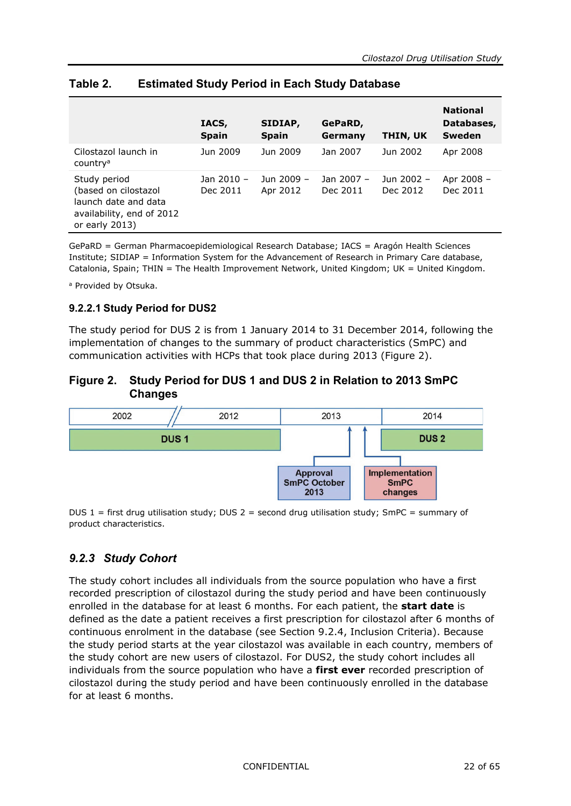|                                                                                                                | IACS,<br><b>Spain</b>  | SIDIAP,<br><b>Spain</b> | GePaRD,<br>Germany     | THIN, UK               | <b>National</b><br>Databases,<br>Sweden |
|----------------------------------------------------------------------------------------------------------------|------------------------|-------------------------|------------------------|------------------------|-----------------------------------------|
| Cilostazol launch in<br>country <sup>a</sup>                                                                   | Jun 2009               | Jun 2009                | Jan 2007               | Jun 2002               | Apr 2008                                |
| Study period<br>(based on cilostazol<br>launch date and data<br>availability, end of 2012<br>or early $2013$ ) | Jan 2010 -<br>Dec 2011 | Jun 2009 -<br>Apr 2012  | Jan 2007 -<br>Dec 2011 | Jun 2002 -<br>Dec 2012 | Apr 2008 -<br>Dec 2011                  |

#### <span id="page-21-1"></span>**Table 2. Estimated Study Period in Each Study Database**

GePaRD = German Pharmacoepidemiological Research Database; IACS = Aragón Health Sciences Institute; SIDIAP = Information System for the Advancement of Research in Primary Care database, Catalonia, Spain; THIN = The Health Improvement Network, United Kingdom; UK = United Kingdom.

a Provided by Otsuka.

#### **9.2.2.1 Study Period for DUS2**

The study period for DUS 2 is from 1 January 2014 to 31 December 2014, following the implementation of changes to the summary of product characteristics (SmPC) and communication activities with HCPs that took place during 2013 [\(Figure](#page-21-2) 2).

#### <span id="page-21-2"></span>**Figure 2. Study Period for DUS 1 and DUS 2 in Relation to 2013 SmPC Changes**



<span id="page-21-0"></span>DUS  $1 =$  first drug utilisation study; DUS  $2 =$  second drug utilisation study; SmPC = summary of product characteristics.

#### *9.2.3 Study Cohort*

The study cohort includes all individuals from the source population who have a first recorded prescription of cilostazol during the study period and have been continuously enrolled in the database for at least 6 months. For each patient, the **start date** is defined as the date a patient receives a first prescription for cilostazol after 6 months of continuous enrolment in the database (see Section [9.2.4,](#page-22-0) Inclusion Criteria). Because the study period starts at the year cilostazol was available in each country, members of the study cohort are new users of cilostazol. For DUS2, the study cohort includes all individuals from the source population who have a **first ever** recorded prescription of cilostazol during the study period and have been continuously enrolled in the database for at least 6 months.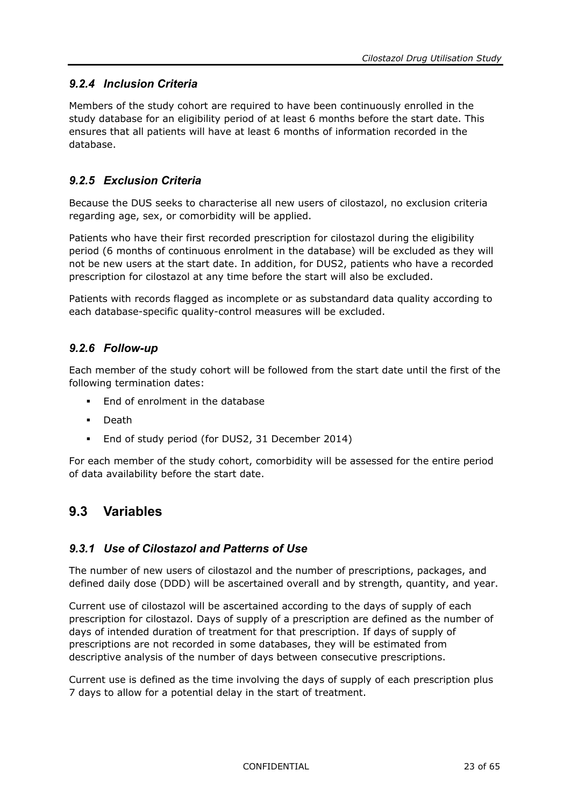#### <span id="page-22-0"></span>*9.2.4 Inclusion Criteria*

Members of the study cohort are required to have been continuously enrolled in the study database for an eligibility period of at least 6 months before the start date. This ensures that all patients will have at least 6 months of information recorded in the database.

#### <span id="page-22-1"></span>*9.2.5 Exclusion Criteria*

Because the DUS seeks to characterise all new users of cilostazol, no exclusion criteria regarding age, sex, or comorbidity will be applied.

Patients who have their first recorded prescription for cilostazol during the eligibility period (6 months of continuous enrolment in the database) will be excluded as they will not be new users at the start date. In addition, for DUS2, patients who have a recorded prescription for cilostazol at any time before the start will also be excluded.

Patients with records flagged as incomplete or as substandard data quality according to each database-specific quality-control measures will be excluded.

#### <span id="page-22-2"></span>*9.2.6 Follow-up*

Each member of the study cohort will be followed from the start date until the first of the following termination dates:

- End of enrolment in the database
- Death
- **End of study period (for DUS2, 31 December 2014)**

For each member of the study cohort, comorbidity will be assessed for the entire period of data availability before the start date.

### <span id="page-22-4"></span><span id="page-22-3"></span>**9.3 Variables**

#### *9.3.1 Use of Cilostazol and Patterns of Use*

The number of new users of cilostazol and the number of prescriptions, packages, and defined daily dose (DDD) will be ascertained overall and by strength, quantity, and year.

Current use of cilostazol will be ascertained according to the days of supply of each prescription for cilostazol. Days of supply of a prescription are defined as the number of days of intended duration of treatment for that prescription. If days of supply of prescriptions are not recorded in some databases, they will be estimated from descriptive analysis of the number of days between consecutive prescriptions.

Current use is defined as the time involving the days of supply of each prescription plus 7 days to allow for a potential delay in the start of treatment.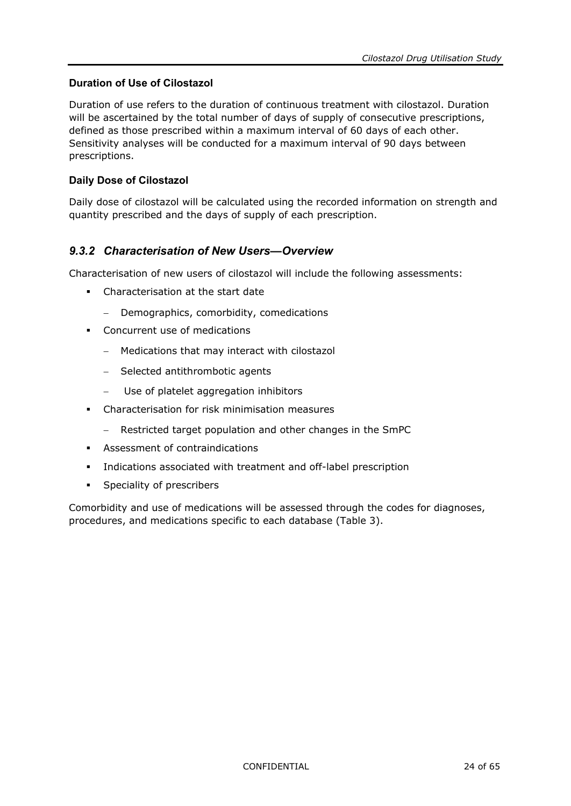#### **Duration of Use of Cilostazol**

Duration of use refers to the duration of continuous treatment with cilostazol. Duration will be ascertained by the total number of days of supply of consecutive prescriptions, defined as those prescribed within a maximum interval of 60 days of each other. Sensitivity analyses will be conducted for a maximum interval of 90 days between prescriptions.

#### **Daily Dose of Cilostazol**

Daily dose of cilostazol will be calculated using the recorded information on strength and quantity prescribed and the days of supply of each prescription.

#### <span id="page-23-0"></span>*9.3.2 Characterisation of New Users—Overview*

Characterisation of new users of cilostazol will include the following assessments:

- Characterisation at the start date
	- − Demographics, comorbidity, comedications
- Concurrent use of medications
	- − Medications that may interact with cilostazol
	- − Selected antithrombotic agents
	- − Use of platelet aggregation inhibitors
- Characterisation for risk minimisation measures
	- Restricted target population and other changes in the SmPC
- Assessment of contraindications
- Indications associated with treatment and off-label prescription
- **Speciality of prescribers**

Comorbidity and use of medications will be assessed through the codes for diagnoses, procedures, and medications specific to each database [\(Table](#page-24-1) 3).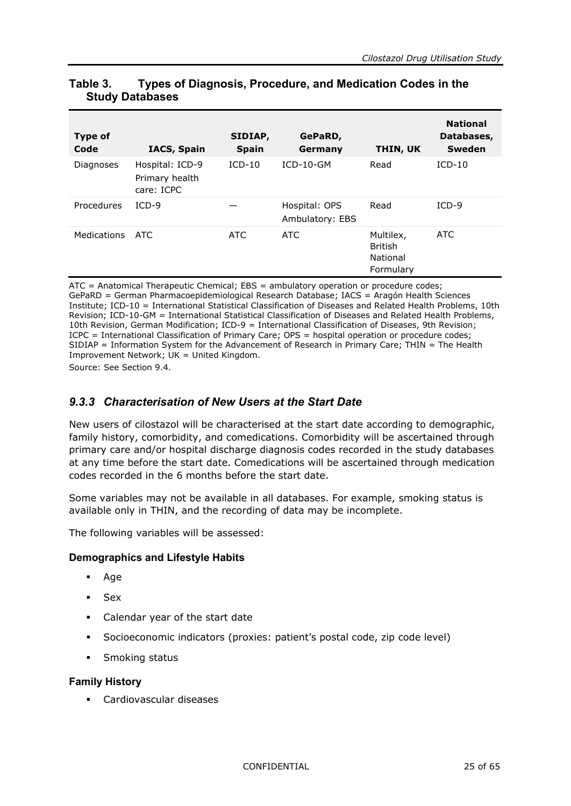| -                      |                                                 |                         |                                  |                                                             |                                                |
|------------------------|-------------------------------------------------|-------------------------|----------------------------------|-------------------------------------------------------------|------------------------------------------------|
| <b>Type of</b><br>Code | <b>IACS, Spain</b>                              | SIDIAP,<br><b>Spain</b> | GePaRD,<br>Germany               | THIN, UK                                                    | <b>National</b><br>Databases,<br><b>Sweden</b> |
| Diagnoses              | Hospital: ICD-9<br>Primary health<br>care: ICPC | $ICD-10$                | $ICD-10-GM$                      | Read                                                        | $ICD-10$                                       |
| Procedures             | $ICD-9$                                         |                         | Hospital: OPS<br>Ambulatory: EBS | Read                                                        | $ICD-9$                                        |
| <b>Medications</b>     | ATC                                             | <b>ATC</b>              | <b>ATC</b>                       | Multilex,<br><b>British</b><br><b>National</b><br>Formulary | <b>ATC</b>                                     |

#### <span id="page-24-1"></span>**Table 3. Types of Diagnosis, Procedure, and Medication Codes in the Study Databases**

ATC = Anatomical Therapeutic Chemical; EBS = ambulatory operation or procedure codes; GePaRD = German Pharmacoepidemiological Research Database; IACS = Aragón Health Sciences Institute; ICD-10 = International Statistical Classification of Diseases and Related Health Problems, 10th Revision; ICD-10-GM = International Statistical Classification of Diseases and Related Health Problems, 10th Revision, German Modification; ICD-9 = International Classification of Diseases, 9th Revision; ICPC = International Classification of Primary Care; OPS = hospital operation or procedure codes; SIDIAP = Information System for the Advancement of Research in Primary Care; THIN = The Health Improvement Network; UK = United Kingdom.

<span id="page-24-0"></span>Source: See Section [9.4.](#page-35-2)

#### *9.3.3 Characterisation of New Users at the Start Date*

New users of cilostazol will be characterised at the start date according to demographic, family history, comorbidity, and comedications. Comorbidity will be ascertained through primary care and/or hospital discharge diagnosis codes recorded in the study databases at any time before the start date. Comedications will be ascertained through medication codes recorded in the 6 months before the start date.

Some variables may not be available in all databases. For example, smoking status is available only in THIN, and the recording of data may be incomplete.

The following variables will be assessed:

#### **Demographics and Lifestyle Habits**

- Age
- Sex
- Calendar year of the start date
- Socioeconomic indicators (proxies: patient's postal code, zip code level)
- **Smoking status**

#### **Family History**

Cardiovascular diseases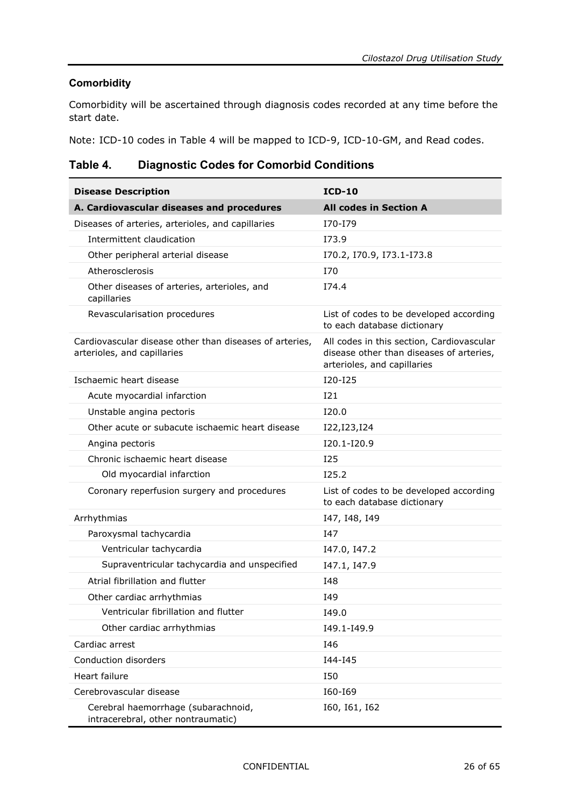#### **Comorbidity**

Comorbidity will be ascertained through diagnosis codes recorded at any time before the start date.

Note: ICD-10 codes in [Table](#page-25-0) 4 will be mapped to ICD-9, ICD-10-GM, and Read codes.

<span id="page-25-0"></span>**Table 4. Diagnostic Codes for Comorbid Conditions**

| <b>Disease Description</b>                                                             | $ICD-10$                                                                                                             |
|----------------------------------------------------------------------------------------|----------------------------------------------------------------------------------------------------------------------|
| A. Cardiovascular diseases and procedures                                              | <b>All codes in Section A</b>                                                                                        |
| Diseases of arteries, arterioles, and capillaries                                      | I70-I79                                                                                                              |
| Intermittent claudication                                                              | I73.9                                                                                                                |
| Other peripheral arterial disease                                                      | I70.2, I70.9, I73.1-I73.8                                                                                            |
| Atherosclerosis                                                                        | <b>I70</b>                                                                                                           |
| Other diseases of arteries, arterioles, and<br>capillaries                             | I74.4                                                                                                                |
| Revascularisation procedures                                                           | List of codes to be developed according<br>to each database dictionary                                               |
| Cardiovascular disease other than diseases of arteries,<br>arterioles, and capillaries | All codes in this section, Cardiovascular<br>disease other than diseases of arteries,<br>arterioles, and capillaries |
| Ischaemic heart disease                                                                | I20-I25                                                                                                              |
| Acute myocardial infarction                                                            | I21                                                                                                                  |
| Unstable angina pectoris                                                               | I20.0                                                                                                                |
| Other acute or subacute ischaemic heart disease                                        | I22, I23, I24                                                                                                        |
| Angina pectoris                                                                        | I20.1-I20.9                                                                                                          |
| Chronic ischaemic heart disease                                                        | <b>I25</b>                                                                                                           |
| Old myocardial infarction                                                              | I25.2                                                                                                                |
| Coronary reperfusion surgery and procedures                                            | List of codes to be developed according<br>to each database dictionary                                               |
| Arrhythmias                                                                            | I47, I48, I49                                                                                                        |
| Paroxysmal tachycardia                                                                 | I47                                                                                                                  |
| Ventricular tachycardia                                                                | I47.0, I47.2                                                                                                         |
| Supraventricular tachycardia and unspecified                                           | I47.1, I47.9                                                                                                         |
| Atrial fibrillation and flutter                                                        | I48                                                                                                                  |
| Other cardiac arrhythmias                                                              | I49                                                                                                                  |
| Ventricular fibrillation and flutter                                                   | I49.0                                                                                                                |
| Other cardiac arrhythmias                                                              | I49.1-I49.9                                                                                                          |
| Cardiac arrest                                                                         | I46                                                                                                                  |
| Conduction disorders                                                                   | I44-I45                                                                                                              |
| Heart failure                                                                          | I50                                                                                                                  |
| Cerebrovascular disease                                                                | I60-I69                                                                                                              |
| Cerebral haemorrhage (subarachnoid,<br>intracerebral, other nontraumatic)              | I60, I61, I62                                                                                                        |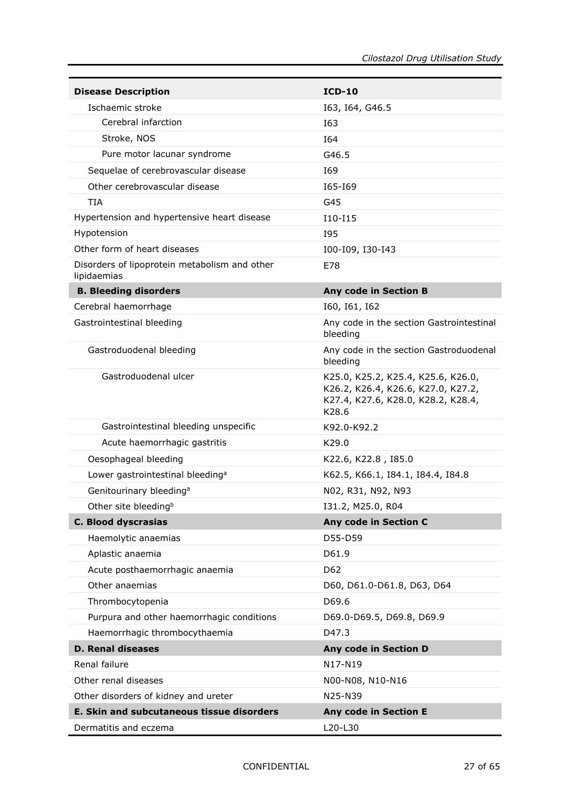| <b>Disease Description</b>                                   | $ICD-10$                                                                                                                |
|--------------------------------------------------------------|-------------------------------------------------------------------------------------------------------------------------|
| Ischaemic stroke                                             | I63, I64, G46.5                                                                                                         |
| Cerebral infarction                                          | I63                                                                                                                     |
| Stroke, NOS                                                  | I64                                                                                                                     |
| Pure motor lacunar syndrome                                  | G46.5                                                                                                                   |
| Sequelae of cerebrovascular disease                          | I69                                                                                                                     |
| Other cerebrovascular disease                                | I65-I69                                                                                                                 |
| <b>TIA</b>                                                   | G45                                                                                                                     |
| Hypertension and hypertensive heart disease                  | I10-I15                                                                                                                 |
| Hypotension                                                  | I95                                                                                                                     |
| Other form of heart diseases                                 | I00-I09, I30-I43                                                                                                        |
| Disorders of lipoprotein metabolism and other<br>lipidaemias | E78                                                                                                                     |
| <b>B. Bleeding disorders</b>                                 | <b>Any code in Section B</b>                                                                                            |
| Cerebral haemorrhage                                         | 160, 161, 162                                                                                                           |
| Gastrointestinal bleeding                                    | Any code in the section Gastrointestinal<br>bleeding                                                                    |
| Gastroduodenal bleeding                                      | Any code in the section Gastroduodenal<br>bleeding                                                                      |
| Gastroduodenal ulcer                                         | K25.0, K25.2, K25.4, K25.6, K26.0,<br>K26.2, K26.4, K26.6, K27.0, K27.2,<br>K27.4, K27.6, K28.0, K28.2, K28.4,<br>K28.6 |
| Gastrointestinal bleeding unspecific                         | K92.0-K92.2                                                                                                             |
| Acute haemorrhagic gastritis                                 | K29.0                                                                                                                   |
| Oesophageal bleeding                                         | K22.6, K22.8, I85.0                                                                                                     |
| Lower gastrointestinal bleeding <sup>a</sup>                 | K62.5, K66.1, I84.1, I84.4, I84.8                                                                                       |
| Genitourinary bleeding <sup>a</sup>                          | N02, R31, N92, N93                                                                                                      |
| Other site bleeding <sup>b</sup>                             | I31.2, M25.0, R04                                                                                                       |
| <b>C. Blood dyscrasias</b>                                   | Any code in Section C                                                                                                   |
| Haemolytic anaemias                                          | D55-D59                                                                                                                 |
| Aplastic anaemia                                             | D61.9                                                                                                                   |
| Acute posthaemorrhagic anaemia                               | D62                                                                                                                     |
| Other anaemias                                               | D60, D61.0-D61.8, D63, D64                                                                                              |
| Thrombocytopenia                                             | D69.6                                                                                                                   |
| Purpura and other haemorrhagic conditions                    | D69.0-D69.5, D69.8, D69.9                                                                                               |
| Haemorrhagic thrombocythaemia                                | D47.3                                                                                                                   |
| <b>D. Renal diseases</b>                                     | Any code in Section D                                                                                                   |
| Renal failure                                                | N17-N19                                                                                                                 |
| Other renal diseases                                         | N00-N08, N10-N16                                                                                                        |
| Other disorders of kidney and ureter                         | N25-N39                                                                                                                 |
| E. Skin and subcutaneous tissue disorders                    | Any code in Section E                                                                                                   |
| Dermatitis and eczema                                        | L20-L30                                                                                                                 |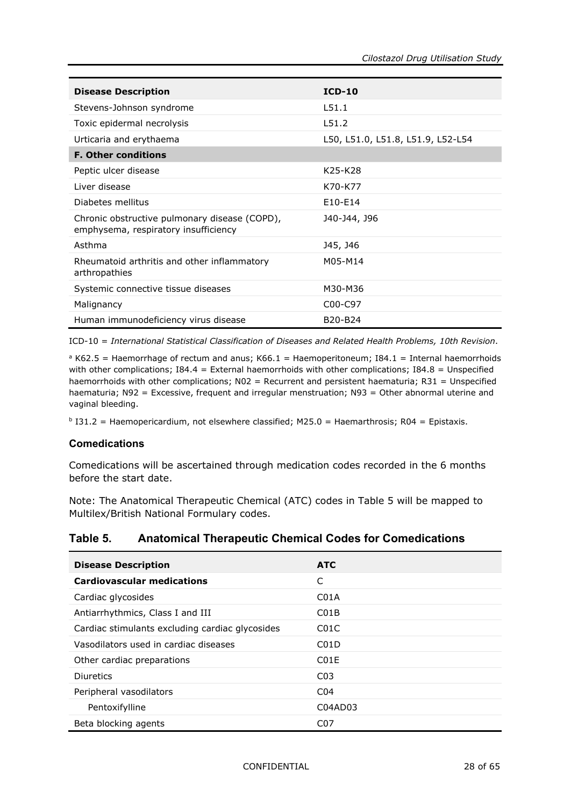| <b>Disease Description</b>                                                            | $ICD-10$                          |
|---------------------------------------------------------------------------------------|-----------------------------------|
| Stevens-Johnson syndrome                                                              | L51.1                             |
| Toxic epidermal necrolysis                                                            | L51.2                             |
| Urticaria and erythaema                                                               | L50, L51.0, L51.8, L51.9, L52-L54 |
| <b>F. Other conditions</b>                                                            |                                   |
| Peptic ulcer disease                                                                  | K25-K28                           |
| Liver disease                                                                         | K70-K77                           |
| Diabetes mellitus                                                                     | E10-E14                           |
| Chronic obstructive pulmonary disease (COPD),<br>emphysema, respiratory insufficiency | J40-J44, J96                      |
| Asthma                                                                                | J45, J46                          |
| Rheumatoid arthritis and other inflammatory<br>arthropathies                          | M05-M14                           |
| Systemic connective tissue diseases                                                   | M30-M36                           |
| Malignancy                                                                            | C00-C97                           |
| Human immunodeficiency virus disease                                                  | B20-B24                           |

ICD-10 = *International Statistical Classification of Diseases and Related Health Problems, 10th Revision*.

 $a K62.5$  = Haemorrhage of rectum and anus; K66.1 = Haemoperitoneum; I84.1 = Internal haemorrhoids with other complications;  $I84.4 =$  External haemorrhoids with other complications;  $I84.8 =$  Unspecified haemorrhoids with other complications; N02 = Recurrent and persistent haematuria; R31 = Unspecified haematuria; N92 = Excessive, frequent and irregular menstruation; N93 = Other abnormal uterine and vaginal bleeding.

 $b$  I31.2 = Haemopericardium, not elsewhere classified; M25.0 = Haemarthrosis; R04 = Epistaxis.

#### **Comedications**

Comedications will be ascertained through medication codes recorded in the 6 months before the start date.

Note: The Anatomical Therapeutic Chemical (ATC) codes in [Table](#page-27-0) 5 will be mapped to Multilex/British National Formulary codes.

#### <span id="page-27-0"></span>**Table 5. Anatomical Therapeutic Chemical Codes for Comedications**

| <b>Disease Description</b>                      | <b>ATC</b>        |
|-------------------------------------------------|-------------------|
| <b>Cardiovascular medications</b>               | C                 |
| Cardiac glycosides                              | CO <sub>1</sub> A |
| Antiarrhythmics, Class I and III                | CO1B              |
| Cardiac stimulants excluding cardiac glycosides | C <sub>0</sub> 1C |
| Vasodilators used in cardiac diseases           | C <sub>0</sub> 1D |
| Other cardiac preparations                      | C <sub>0</sub> 1F |
| Diuretics                                       | CO <sub>3</sub>   |
| Peripheral vasodilators                         | C <sub>04</sub>   |
| Pentoxifylline                                  | C04AD03           |
| Beta blocking agents                            | C <sub>0</sub> 7  |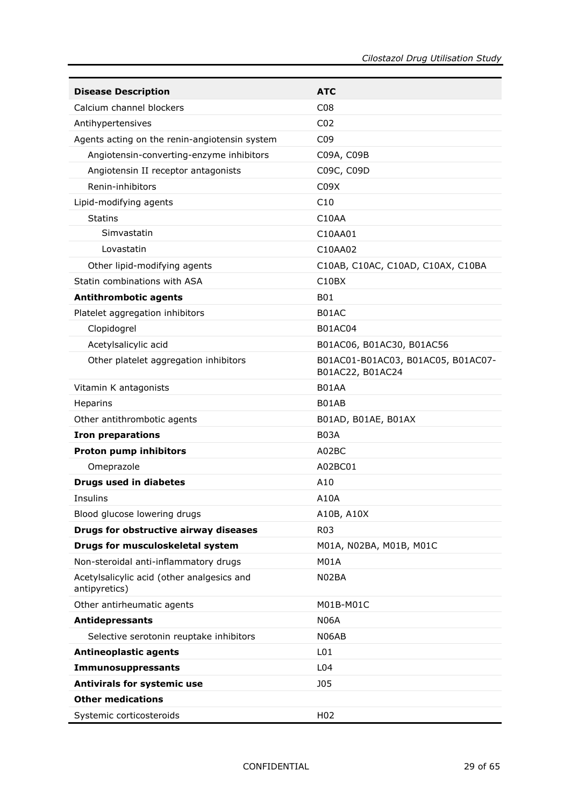| <b>Disease Description</b>                                  | <b>ATC</b>                                             |
|-------------------------------------------------------------|--------------------------------------------------------|
| Calcium channel blockers                                    | C <sub>08</sub>                                        |
| Antihypertensives                                           | CO <sub>2</sub>                                        |
| Agents acting on the renin-angiotensin system               | C <sub>09</sub>                                        |
| Angiotensin-converting-enzyme inhibitors                    | C09A, C09B                                             |
| Angiotensin II receptor antagonists                         | C09C, C09D                                             |
| Renin-inhibitors                                            | C09X                                                   |
| Lipid-modifying agents                                      | C10                                                    |
| <b>Statins</b>                                              | C10AA                                                  |
| Simvastatin                                                 | C10AA01                                                |
| Lovastatin                                                  | C10AA02                                                |
| Other lipid-modifying agents                                | C10AB, C10AC, C10AD, C10AX, C10BA                      |
| Statin combinations with ASA                                | C <sub>10</sub> B <sub>X</sub>                         |
| <b>Antithrombotic agents</b>                                | B01                                                    |
| Platelet aggregation inhibitors                             | B01AC                                                  |
| Clopidogrel                                                 | <b>B01AC04</b>                                         |
| Acetylsalicylic acid                                        | B01AC06, B01AC30, B01AC56                              |
| Other platelet aggregation inhibitors                       | B01AC01-B01AC03, B01AC05, B01AC07-<br>B01AC22, B01AC24 |
| Vitamin K antagonists                                       | B01AA                                                  |
| Heparins                                                    | B01AB                                                  |
| Other antithrombotic agents                                 | B01AD, B01AE, B01AX                                    |
| <b>Iron preparations</b>                                    | <b>B03A</b>                                            |
| <b>Proton pump inhibitors</b>                               | A02BC                                                  |
| Omeprazole                                                  | A02BC01                                                |
| <b>Drugs used in diabetes</b>                               | A10                                                    |
| Insulins                                                    | A10A                                                   |
| Blood glucose lowering drugs                                | A10B, A10X                                             |
| Drugs for obstructive airway diseases                       | <b>R03</b>                                             |
| Drugs for musculoskeletal system                            | M01A, N02BA, M01B, M01C                                |
| Non-steroidal anti-inflammatory drugs                       | M01A                                                   |
| Acetylsalicylic acid (other analgesics and<br>antipyretics) | N02BA                                                  |
| Other antirheumatic agents                                  | M01B-M01C                                              |
| <b>Antidepressants</b>                                      | <b>N06A</b>                                            |
| Selective serotonin reuptake inhibitors                     | N06AB                                                  |
| <b>Antineoplastic agents</b>                                | L <sub>01</sub>                                        |
| Immunosuppressants                                          | L04                                                    |
| Antivirals for systemic use                                 | <b>JO5</b>                                             |
| <b>Other medications</b>                                    |                                                        |
| Systemic corticosteroids                                    | H <sub>02</sub>                                        |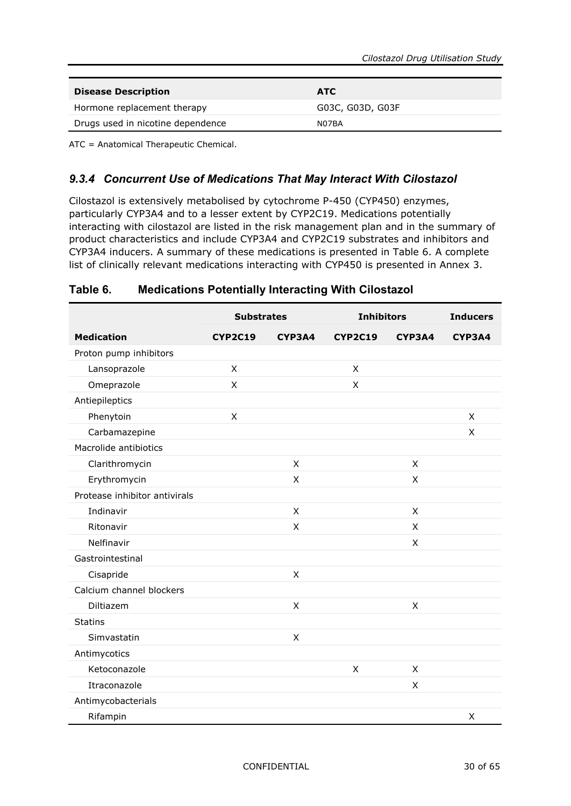| <b>Disease Description</b>        | <b>ATC</b>       |
|-----------------------------------|------------------|
| Hormone replacement therapy       | G03C, G03D, G03F |
| Drugs used in nicotine dependence | N07BA            |

<span id="page-29-0"></span>ATC = Anatomical Therapeutic Chemical.

#### *9.3.4 Concurrent Use of Medications That May Interact With Cilostazol*

Cilostazol is extensively metabolised by cytochrome P-450 (CYP450) enzymes, particularly CYP3A4 and to a lesser extent by CYP2C19. Medications potentially interacting with cilostazol are listed in the risk management plan and in the summary of product characteristics and include CYP3A4 and CYP2C19 substrates and inhibitors and CYP3A4 inducers. A summary of these medications is presented in [Table](#page-29-1) 6. A complete list of clinically relevant medications interacting with CYP450 is presented in Annex 3.

|                               | <b>Substrates</b> |        | <b>Inhibitors</b> |              | <b>Inducers</b> |
|-------------------------------|-------------------|--------|-------------------|--------------|-----------------|
| <b>Medication</b>             | <b>CYP2C19</b>    | CYP3A4 | <b>CYP2C19</b>    | CYP3A4       | CYP3A4          |
| Proton pump inhibitors        |                   |        |                   |              |                 |
| Lansoprazole                  | $\mathsf{x}$      |        | X                 |              |                 |
| Omeprazole                    | X                 |        | $\sf X$           |              |                 |
| Antiepileptics                |                   |        |                   |              |                 |
| Phenytoin                     | X                 |        |                   |              | X               |
| Carbamazepine                 |                   |        |                   |              | X               |
| Macrolide antibiotics         |                   |        |                   |              |                 |
| Clarithromycin                |                   | X      |                   | X            |                 |
| Erythromycin                  |                   | X      |                   | X            |                 |
| Protease inhibitor antivirals |                   |        |                   |              |                 |
| Indinavir                     |                   | X      |                   | X            |                 |
| Ritonavir                     |                   | X      |                   | $\sf X$      |                 |
| Nelfinavir                    |                   |        |                   | X            |                 |
| Gastrointestinal              |                   |        |                   |              |                 |
| Cisapride                     |                   | X      |                   |              |                 |
| Calcium channel blockers      |                   |        |                   |              |                 |
| Diltiazem                     |                   | X      |                   | $\mathsf{X}$ |                 |
| <b>Statins</b>                |                   |        |                   |              |                 |
| Simvastatin                   |                   | X      |                   |              |                 |
| Antimycotics                  |                   |        |                   |              |                 |
| Ketoconazole                  |                   |        | X                 | X            |                 |
| Itraconazole                  |                   |        |                   | X            |                 |
| Antimycobacterials            |                   |        |                   |              |                 |
| Rifampin                      |                   |        |                   |              | X               |

#### <span id="page-29-1"></span>**Table 6. Medications Potentially Interacting With Cilostazol**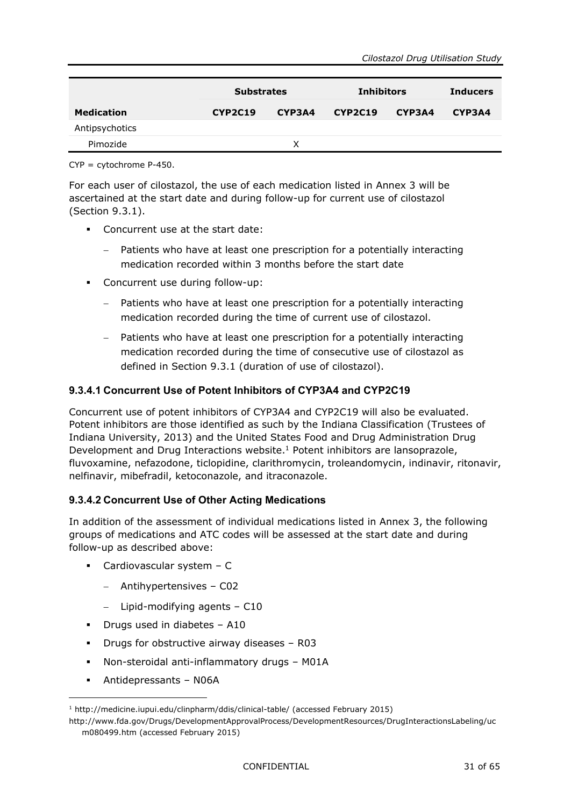|                   | <b>Substrates</b> |        | <b>Inhibitors</b> |        | <b>Inducers</b> |
|-------------------|-------------------|--------|-------------------|--------|-----------------|
| <b>Medication</b> | CYP2C19           | CYP3A4 | <b>CYP2C19</b>    | CYP3A4 | CYP3A4          |
| Antipsychotics    |                   |        |                   |        |                 |
| Pimozide          |                   | x      |                   |        |                 |

CYP = cytochrome P-450.

For each user of cilostazol, the use of each medication listed in Annex 3 will be ascertained at the start date and during follow-up for current use of cilostazol (Section [9.3.1\)](#page-22-4).

- Concurrent use at the start date:
	- Patients who have at least one prescription for a potentially interacting medication recorded within 3 months before the start date
- Concurrent use during follow-up:
	- Patients who have at least one prescription for a potentially interacting medication recorded during the time of current use of cilostazol.
	- − Patients who have at least one prescription for a potentially interacting medication recorded during the time of consecutive use of cilostazol as defined in Section [9.3.1](#page-22-4) (duration of use of cilostazol).

#### **9.3.4.1 Concurrent Use of Potent Inhibitors of CYP3A4 and CYP2C19**

Concurrent use of potent inhibitors of CYP3A4 and CYP2C19 will also be evaluated. Potent inhibitors are those identified as such by the Indiana Classification (Trustees of Indiana University, 2013) and the United States Food and Drug Administration Drug Development and Drug Interactions website.<sup>1</sup> Potent inhibitors are lansoprazole, fluvoxamine, nefazodone, ticlopidine, clarithromycin, troleandomycin, indinavir, ritonavir, nelfinavir, mibefradil, ketoconazole, and itraconazole.

#### **9.3.4.2 Concurrent Use of Other Acting Medications**

In addition of the assessment of individual medications listed in Annex 3, the following groups of medications and ATC codes will be assessed at the start date and during follow-up as described above:

- Cardiovascular system C
	- − Antihypertensives C02
	- − Lipid-modifying agents C10
- Drugs used in diabetes A10
- Drugs for obstructive airway diseases R03
- Non-steroidal anti-inflammatory drugs M01A
- Antidepressants N06A

-

<sup>1</sup> <http://medicine.iupui.edu/clinpharm/ddis/clinical-table/> (accessed February 2015)

[http://www.fda.gov/Drugs/DevelopmentApprovalProcess/DevelopmentResources/DrugInteractionsLabeling/uc](http://www.fda.gov/Drugs/DevelopmentApprovalProcess/DevelopmentResources/DrugInteractionsLabeling/ucm080499.htm) [m080499.htm](http://www.fda.gov/Drugs/DevelopmentApprovalProcess/DevelopmentResources/DrugInteractionsLabeling/ucm080499.htm) (accessed February 2015)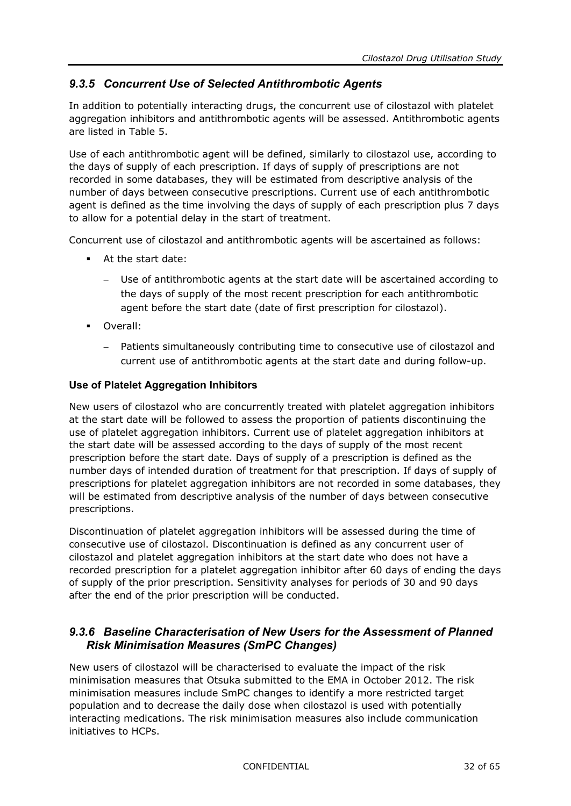#### <span id="page-31-0"></span>*9.3.5 Concurrent Use of Selected Antithrombotic Agents*

In addition to potentially interacting drugs, the concurrent use of cilostazol with platelet aggregation inhibitors and antithrombotic agents will be assessed. Antithrombotic agents are listed in [Table](#page-27-0) 5.

Use of each antithrombotic agent will be defined, similarly to cilostazol use, according to the days of supply of each prescription. If days of supply of prescriptions are not recorded in some databases, they will be estimated from descriptive analysis of the number of days between consecutive prescriptions. Current use of each antithrombotic agent is defined as the time involving the days of supply of each prescription plus 7 days to allow for a potential delay in the start of treatment.

Concurrent use of cilostazol and antithrombotic agents will be ascertained as follows:

- At the start date:
	- Use of antithrombotic agents at the start date will be ascertained according to the days of supply of the most recent prescription for each antithrombotic agent before the start date (date of first prescription for cilostazol).
- **D** Overall:
	- Patients simultaneously contributing time to consecutive use of cilostazol and current use of antithrombotic agents at the start date and during follow-up.

#### **Use of Platelet Aggregation Inhibitors**

New users of cilostazol who are concurrently treated with platelet aggregation inhibitors at the start date will be followed to assess the proportion of patients discontinuing the use of platelet aggregation inhibitors. Current use of platelet aggregation inhibitors at the start date will be assessed according to the days of supply of the most recent prescription before the start date. Days of supply of a prescription is defined as the number days of intended duration of treatment for that prescription. If days of supply of prescriptions for platelet aggregation inhibitors are not recorded in some databases, they will be estimated from descriptive analysis of the number of days between consecutive prescriptions.

Discontinuation of platelet aggregation inhibitors will be assessed during the time of consecutive use of cilostazol. Discontinuation is defined as any concurrent user of cilostazol and platelet aggregation inhibitors at the start date who does not have a recorded prescription for a platelet aggregation inhibitor after 60 days of ending the days of supply of the prior prescription. Sensitivity analyses for periods of 30 and 90 days after the end of the prior prescription will be conducted.

#### <span id="page-31-1"></span>*9.3.6 Baseline Characterisation of New Users for the Assessment of Planned Risk Minimisation Measures (SmPC Changes)*

New users of cilostazol will be characterised to evaluate the impact of the risk minimisation measures that Otsuka submitted to the EMA in October 2012. The risk minimisation measures include SmPC changes to identify a more restricted target population and to decrease the daily dose when cilostazol is used with potentially interacting medications. The risk minimisation measures also include communication initiatives to HCPs.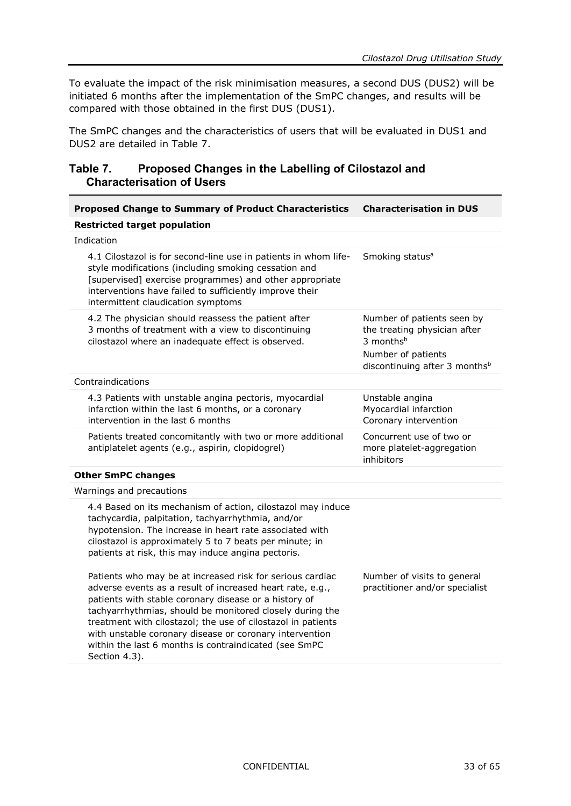To evaluate the impact of the risk minimisation measures, a second DUS (DUS2) will be initiated 6 months after the implementation of the SmPC changes, and results will be compared with those obtained in the first DUS (DUS1).

The SmPC changes and the characteristics of users that will be evaluated in DUS1 and DUS2 are detailed in [Table](#page-32-0) 7.

#### <span id="page-32-0"></span>**Table 7. Proposed Changes in the Labelling of Cilostazol and Characterisation of Users**

| <b>Proposed Change to Summary of Product Characteristics</b>                                                                                                                                                                                                                                                                                                                                                                                     | <b>Characterisation in DUS</b>                                                                                                                         |
|--------------------------------------------------------------------------------------------------------------------------------------------------------------------------------------------------------------------------------------------------------------------------------------------------------------------------------------------------------------------------------------------------------------------------------------------------|--------------------------------------------------------------------------------------------------------------------------------------------------------|
| <b>Restricted target population</b>                                                                                                                                                                                                                                                                                                                                                                                                              |                                                                                                                                                        |
| Indication                                                                                                                                                                                                                                                                                                                                                                                                                                       |                                                                                                                                                        |
| 4.1 Cilostazol is for second-line use in patients in whom life-<br>style modifications (including smoking cessation and<br>[supervised] exercise programmes) and other appropriate<br>interventions have failed to sufficiently improve their<br>intermittent claudication symptoms                                                                                                                                                              | Smoking status <sup>a</sup>                                                                                                                            |
| 4.2 The physician should reassess the patient after<br>3 months of treatment with a view to discontinuing<br>cilostazol where an inadequate effect is observed.                                                                                                                                                                                                                                                                                  | Number of patients seen by<br>the treating physician after<br>3 months <sup>b</sup><br>Number of patients<br>discontinuing after 3 months <sup>b</sup> |
| Contraindications                                                                                                                                                                                                                                                                                                                                                                                                                                |                                                                                                                                                        |
| 4.3 Patients with unstable angina pectoris, myocardial<br>infarction within the last 6 months, or a coronary<br>intervention in the last 6 months                                                                                                                                                                                                                                                                                                | Unstable angina<br>Myocardial infarction<br>Coronary intervention                                                                                      |
| Patients treated concomitantly with two or more additional<br>antiplatelet agents (e.g., aspirin, clopidogrel)                                                                                                                                                                                                                                                                                                                                   | Concurrent use of two or<br>more platelet-aggregation<br>inhibitors                                                                                    |
| <b>Other SmPC changes</b>                                                                                                                                                                                                                                                                                                                                                                                                                        |                                                                                                                                                        |
| Warnings and precautions                                                                                                                                                                                                                                                                                                                                                                                                                         |                                                                                                                                                        |
| 4.4 Based on its mechanism of action, cilostazol may induce<br>tachycardia, palpitation, tachyarrhythmia, and/or<br>hypotension. The increase in heart rate associated with<br>cilostazol is approximately 5 to 7 beats per minute; in<br>patients at risk, this may induce angina pectoris.                                                                                                                                                     |                                                                                                                                                        |
| Patients who may be at increased risk for serious cardiac<br>adverse events as a result of increased heart rate, e.g.,<br>patients with stable coronary disease or a history of<br>tachyarrhythmias, should be monitored closely during the<br>treatment with cilostazol; the use of cilostazol in patients<br>with unstable coronary disease or coronary intervention<br>within the last 6 months is contraindicated (see SmPC<br>Section 4.3). | Number of visits to general<br>practitioner and/or specialist                                                                                          |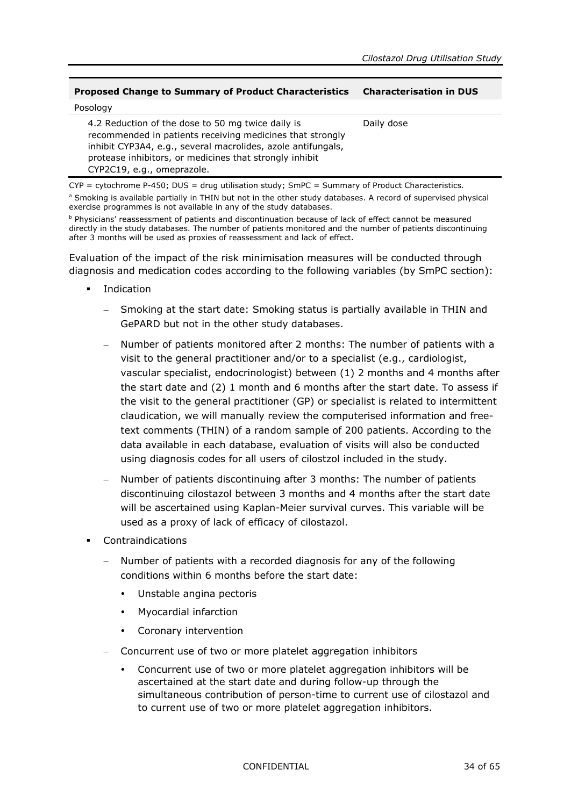#### **Proposed Change to Summary of Product Characteristics Characterisation in DUS**

| Posology                                                                                                                                                                                                                                                                |            |
|-------------------------------------------------------------------------------------------------------------------------------------------------------------------------------------------------------------------------------------------------------------------------|------------|
| 4.2 Reduction of the dose to 50 mg twice daily is<br>recommended in patients receiving medicines that strongly<br>inhibit CYP3A4, e.g., several macrolides, azole antifungals,<br>protease inhibitors, or medicines that strongly inhibit<br>CYP2C19, e.g., omeprazole. | Daily dose |

 $CYP$  = cytochrome P-450; DUS = drug utilisation study; SmPC = Summary of Product Characteristics. <sup>a</sup> Smoking is available partially in THIN but not in the other study databases. A record of supervised physical exercise programmes is not available in any of the study databases.

<sup>b</sup> Physicians' reassessment of patients and discontinuation because of lack of effect cannot be measured directly in the study databases. The number of patients monitored and the number of patients discontinuing after 3 months will be used as proxies of reassessment and lack of effect.

Evaluation of the impact of the risk minimisation measures will be conducted through diagnosis and medication codes according to the following variables (by SmPC section):

- **Indication** 
	- Smoking at the start date: Smoking status is partially available in THIN and GePARD but not in the other study databases.
	- − Number of patients monitored after 2 months: The number of patients with a visit to the general practitioner and/or to a specialist (e.g., cardiologist, vascular specialist, endocrinologist) between (1) 2 months and 4 months after the start date and (2) 1 month and 6 months after the start date. To assess if the visit to the general practitioner (GP) or specialist is related to intermittent claudication, we will manually review the computerised information and freetext comments (THIN) of a random sample of 200 patients. According to the data available in each database, evaluation of visits will also be conducted using diagnosis codes for all users of cilostzol included in the study.
	- Number of patients discontinuing after 3 months: The number of patients discontinuing cilostazol between 3 months and 4 months after the start date will be ascertained using Kaplan-Meier survival curves. This variable will be used as a proxy of lack of efficacy of cilostazol.
- Contraindications
	- − Number of patients with a recorded diagnosis for any of the following conditions within 6 months before the start date:
		- Unstable angina pectoris
		- Myocardial infarction
		- Coronary intervention
	- − Concurrent use of two or more platelet aggregation inhibitors
		- Concurrent use of two or more platelet aggregation inhibitors will be ascertained at the start date and during follow-up through the simultaneous contribution of person-time to current use of cilostazol and to current use of two or more platelet aggregation inhibitors.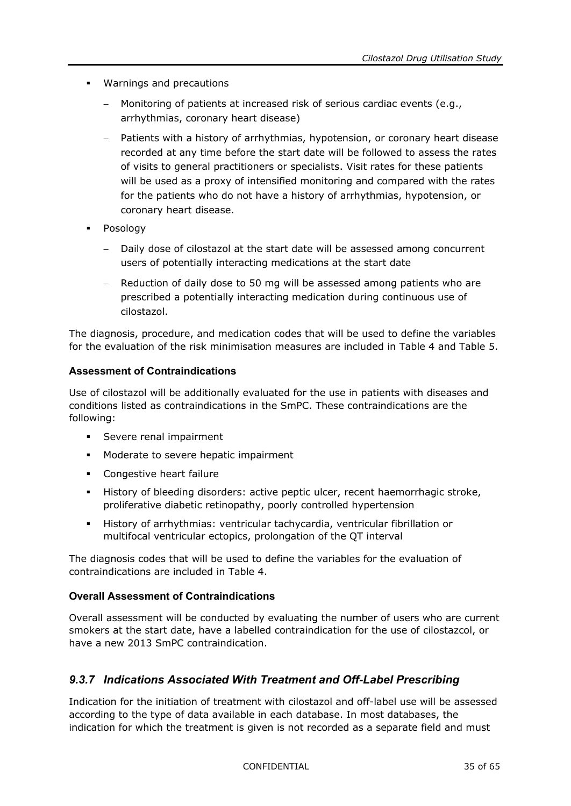- Warnings and precautions
	- − Monitoring of patients at increased risk of serious cardiac events (e.g., arrhythmias, coronary heart disease)
	- Patients with a history of arrhythmias, hypotension, or coronary heart disease recorded at any time before the start date will be followed to assess the rates of visits to general practitioners or specialists. Visit rates for these patients will be used as a proxy of intensified monitoring and compared with the rates for the patients who do not have a history of arrhythmias, hypotension, or coronary heart disease.
- **•** Posology
	- − Daily dose of cilostazol at the start date will be assessed among concurrent users of potentially interacting medications at the start date
	- − Reduction of daily dose to 50 mg will be assessed among patients who are prescribed a potentially interacting medication during continuous use of cilostazol.

The diagnosis, procedure, and medication codes that will be used to define the variables for the evaluation of the risk minimisation measures are included in [Table](#page-25-0) 4 and [Table](#page-27-0) 5.

#### **Assessment of Contraindications**

Use of cilostazol will be additionally evaluated for the use in patients with diseases and conditions listed as contraindications in the SmPC. These contraindications are the following:

- **Severe renal impairment**
- **Moderate to severe hepatic impairment**
- **Congestive heart failure**
- History of bleeding disorders: active peptic ulcer, recent haemorrhagic stroke, proliferative diabetic retinopathy, poorly controlled hypertension
- History of arrhythmias: ventricular tachycardia, ventricular fibrillation or multifocal ventricular ectopics, prolongation of the QT interval

The diagnosis codes that will be used to define the variables for the evaluation of contraindications are included in [Table](#page-25-0) 4.

#### **Overall Assessment of Contraindications**

Overall assessment will be conducted by evaluating the number of users who are current smokers at the start date, have a labelled contraindication for the use of cilostazcol, or have a new 2013 SmPC contraindication.

#### <span id="page-34-0"></span>*9.3.7 Indications Associated With Treatment and Off-Label Prescribing*

Indication for the initiation of treatment with cilostazol and off-label use will be assessed according to the type of data available in each database. In most databases, the indication for which the treatment is given is not recorded as a separate field and must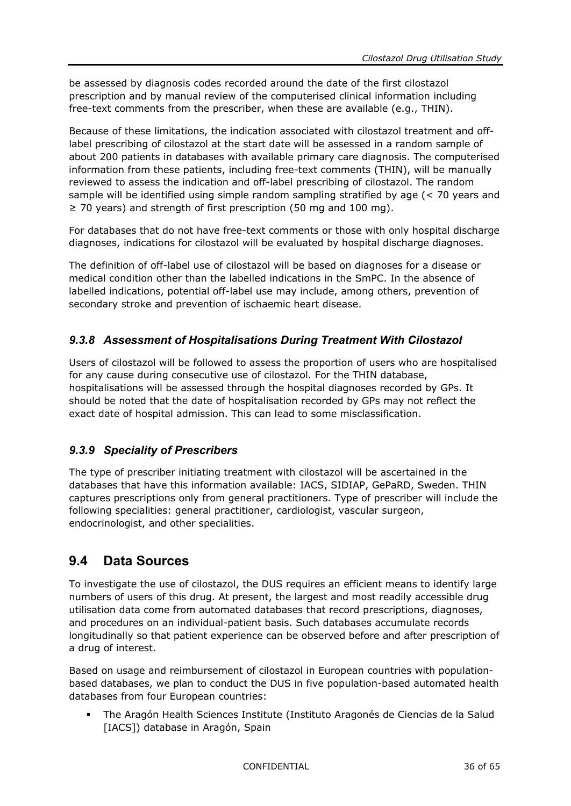be assessed by diagnosis codes recorded around the date of the first cilostazol prescription and by manual review of the computerised clinical information including free-text comments from the prescriber, when these are available (e.g., THIN).

Because of these limitations, the indication associated with cilostazol treatment and offlabel prescribing of cilostazol at the start date will be assessed in a random sample of about 200 patients in databases with available primary care diagnosis. The computerised information from these patients, including free-text comments (THIN), will be manually reviewed to assess the indication and off-label prescribing of cilostazol. The random sample will be identified using simple random sampling stratified by age (< 70 years and ≥ 70 years) and strength of first prescription (50 mg and 100 mg).

For databases that do not have free-text comments or those with only hospital discharge diagnoses, indications for cilostazol will be evaluated by hospital discharge diagnoses.

The definition of off-label use of cilostazol will be based on diagnoses for a disease or medical condition other than the labelled indications in the SmPC. In the absence of labelled indications, potential off-label use may include, among others, prevention of secondary stroke and prevention of ischaemic heart disease.

#### <span id="page-35-0"></span>*9.3.8 Assessment of Hospitalisations During Treatment With Cilostazol*

Users of cilostazol will be followed to assess the proportion of users who are hospitalised for any cause during consecutive use of cilostazol. For the THIN database, hospitalisations will be assessed through the hospital diagnoses recorded by GPs. It should be noted that the date of hospitalisation recorded by GPs may not reflect the exact date of hospital admission. This can lead to some misclassification.

#### <span id="page-35-1"></span>*9.3.9 Speciality of Prescribers*

The type of prescriber initiating treatment with cilostazol will be ascertained in the databases that have this information available: IACS, SIDIAP, GePaRD, Sweden. THIN captures prescriptions only from general practitioners. Type of prescriber will include the following specialities: general practitioner, cardiologist, vascular surgeon, endocrinologist, and other specialities.

### <span id="page-35-2"></span>**9.4 Data Sources**

To investigate the use of cilostazol, the DUS requires an efficient means to identify large numbers of users of this drug. At present, the largest and most readily accessible drug utilisation data come from automated databases that record prescriptions, diagnoses, and procedures on an individual-patient basis. Such databases accumulate records longitudinally so that patient experience can be observed before and after prescription of a drug of interest.

Based on usage and reimbursement of cilostazol in European countries with populationbased databases, we plan to conduct the DUS in five population-based automated health databases from four European countries:

 The Aragón Health Sciences Institute (Instituto Aragonés de Ciencias de la Salud [IACS]) database in Aragón, Spain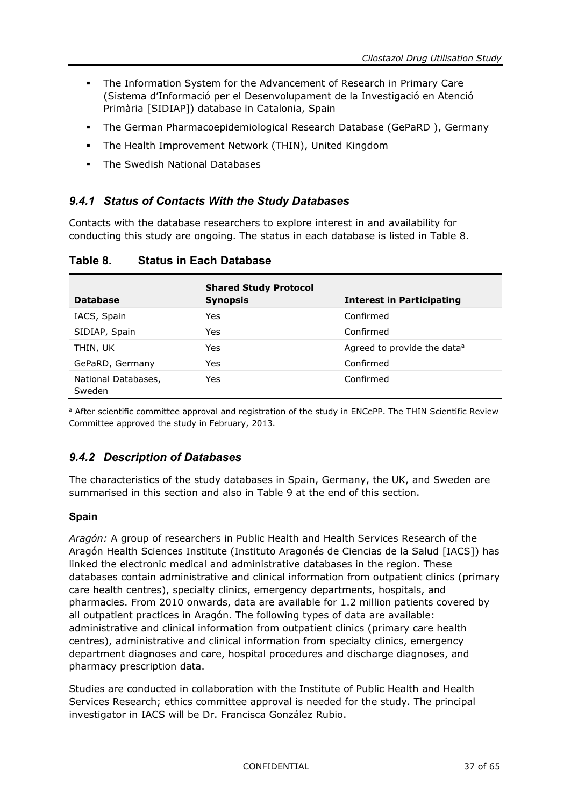- The Information System for the Advancement of Research in Primary Care (Sistema d'Informació per el Desenvolupament de la Investigació en Atenció Primària [SIDIAP]) database in Catalonia, Spain
- The German Pharmacoepidemiological Research Database (GePaRD ), Germany
- The Health Improvement Network (THIN), United Kingdom
- <span id="page-36-0"></span>**The Swedish National Databases**

#### *9.4.1 Status of Contacts With the Study Databases*

Contacts with the database researchers to explore interest in and availability for conducting this study are ongoing. The status in each database is listed in [Table](#page-36-2) 8.

| <b>Database</b>               | <b>Shared Study Protocol</b><br><b>Synopsis</b> | <b>Interest in Participating</b>        |
|-------------------------------|-------------------------------------------------|-----------------------------------------|
| IACS, Spain                   | Yes                                             | Confirmed                               |
| SIDIAP, Spain                 | Yes                                             | Confirmed                               |
| THIN, UK                      | Yes                                             | Agreed to provide the data <sup>a</sup> |
| GePaRD, Germany               | Yes                                             | Confirmed                               |
| National Databases,<br>Sweden | Yes                                             | Confirmed                               |

#### <span id="page-36-2"></span>**Table 8. Status in Each Database**

<span id="page-36-1"></span>a After scientific committee approval and registration of the study in ENCePP. The THIN Scientific Review Committee approved the study in February, 2013.

#### *9.4.2 Description of Databases*

The characteristics of the study databases in Spain, Germany, the UK, and Sweden are summarised in this section and also in [Table](#page-40-0) 9 at the end of this section.

#### **Spain**

*Aragón:* A group of researchers in Public Health and Health Services Research of the Aragón Health Sciences Institute (Instituto Aragonés de Ciencias de la Salud [IACS]) has linked the electronic medical and administrative databases in the region. These databases contain administrative and clinical information from outpatient clinics (primary care health centres), specialty clinics, emergency departments, hospitals, and pharmacies. From 2010 onwards, data are available for 1.2 million patients covered by all outpatient practices in Aragón. The following types of data are available: administrative and clinical information from outpatient clinics (primary care health centres), administrative and clinical information from specialty clinics, emergency department diagnoses and care, hospital procedures and discharge diagnoses, and pharmacy prescription data.

Studies are conducted in collaboration with the Institute of Public Health and Health Services Research; ethics committee approval is needed for the study. The principal investigator in IACS will be Dr. Francisca González Rubio.

CONFIDENTIAL 37 of 65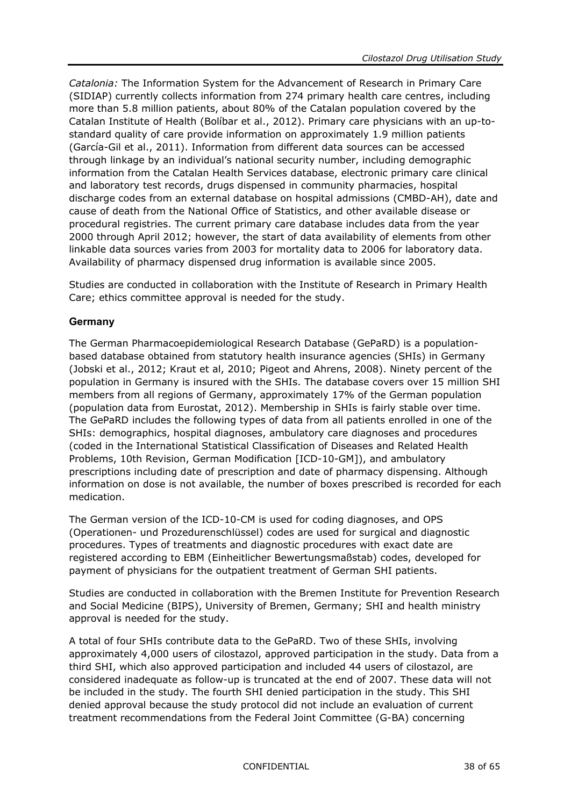*Catalonia:* The Information System for the Advancement of Research in Primary Care (SIDIAP) currently collects information from 274 primary health care centres, including more than 5.8 million patients, about 80% of the Catalan population covered by the Catalan Institute of Health (Bolíbar et al., 2012). Primary care physicians with an up-tostandard quality of care provide information on approximately 1.9 million patients (García-Gil et al., 2011). Information from different data sources can be accessed through linkage by an individual's national security number, including demographic information from the Catalan Health Services database, electronic primary care clinical and laboratory test records, drugs dispensed in community pharmacies, hospital discharge codes from an external database on hospital admissions (CMBD-AH), date and cause of death from the National Office of Statistics, and other available disease or procedural registries. The current primary care database includes data from the year 2000 through April 2012; however, the start of data availability of elements from other linkable data sources varies from 2003 for mortality data to 2006 for laboratory data. Availability of pharmacy dispensed drug information is available since 2005.

Studies are conducted in collaboration with the Institute of Research in Primary Health Care; ethics committee approval is needed for the study.

#### **Germany**

The German Pharmacoepidemiological Research Database (GePaRD) is a populationbased database obtained from statutory health insurance agencies (SHIs) in Germany (Jobski et al., 2012; Kraut et al, 2010; Pigeot and Ahrens, 2008). Ninety percent of the population in Germany is insured with the SHIs. The database covers over 15 million SHI members from all regions of Germany, approximately 17% of the German population (population data from Eurostat, 2012). Membership in SHIs is fairly stable over time. The GePaRD includes the following types of data from all patients enrolled in one of the SHIs: demographics, hospital diagnoses, ambulatory care diagnoses and procedures (coded in the International Statistical Classification of Diseases and Related Health Problems, 10th Revision, German Modification [ICD-10-GM]), and ambulatory prescriptions including date of prescription and date of pharmacy dispensing. Although information on dose is not available, the number of boxes prescribed is recorded for each medication.

The German version of the ICD-10-CM is used for coding diagnoses, and OPS (Operationen- und Prozedurenschlüssel) codes are used for surgical and diagnostic procedures. Types of treatments and diagnostic procedures with exact date are registered according to EBM (Einheitlicher Bewertungsmaßstab) codes, developed for payment of physicians for the outpatient treatment of German SHI patients.

Studies are conducted in collaboration with the Bremen Institute for Prevention Research and Social Medicine (BIPS), University of Bremen, Germany; SHI and health ministry approval is needed for the study.

A total of four SHIs contribute data to the GePaRD. Two of these SHIs, involving approximately 4,000 users of cilostazol, approved participation in the study. Data from a third SHI, which also approved participation and included 44 users of cilostazol, are considered inadequate as follow-up is truncated at the end of 2007. These data will not be included in the study. The fourth SHI denied participation in the study. This SHI denied approval because the study protocol did not include an evaluation of current treatment recommendations from the Federal Joint Committee (G-BA) concerning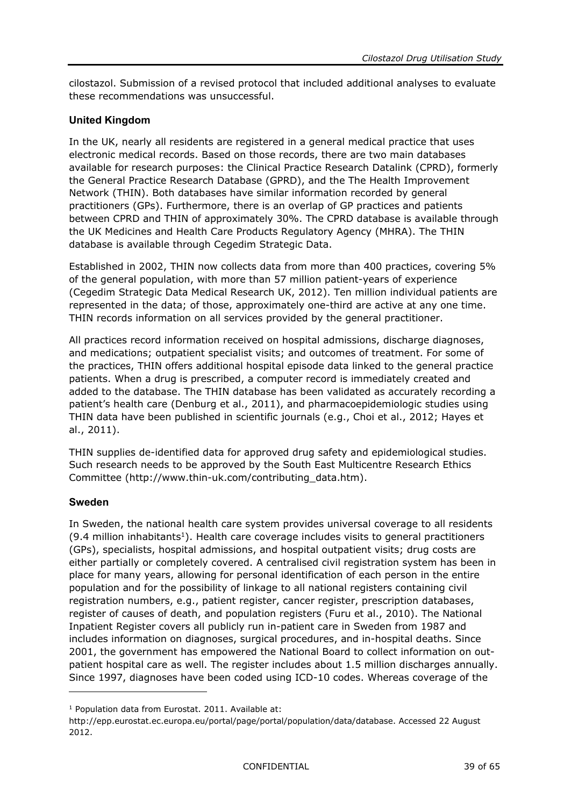cilostazol. Submission of a revised protocol that included additional analyses to evaluate these recommendations was unsuccessful.

#### **United Kingdom**

In the UK, nearly all residents are registered in a general medical practice that uses electronic medical records. Based on those records, there are two main databases available for research purposes: the Clinical Practice Research Datalink (CPRD), formerly the General Practice Research Database (GPRD), and the The Health Improvement Network (THIN). Both databases have similar information recorded by general practitioners (GPs). Furthermore, there is an overlap of GP practices and patients between CPRD and THIN of approximately 30%. The CPRD database is available through the UK Medicines and Health Care Products Regulatory Agency (MHRA). The THIN database is available through Cegedim Strategic Data.

Established in 2002, THIN now collects data from more than 400 practices, covering 5% of the general population, with more than 57 million patient-years of experience (Cegedim Strategic Data Medical Research UK, 2012). Ten million individual patients are represented in the data; of those, approximately one-third are active at any one time. THIN records information on all services provided by the general practitioner.

All practices record information received on hospital admissions, discharge diagnoses, and medications; outpatient specialist visits; and outcomes of treatment. For some of the practices, THIN offers additional hospital episode data linked to the general practice patients. When a drug is prescribed, a computer record is immediately created and added to the database. The THIN database has been validated as accurately recording a patient's health care (Denburg et al., 2011), and pharmacoepidemiologic studies using THIN data have been published in scientific journals (e.g., Choi et al., 2012; Hayes et al., 2011).

THIN supplies de-identified data for approved drug safety and epidemiological studies. Such research needs to be approved by the [South East Multicentre Research Ethics](http://www.corec.org.uk/public/contacts/recsalpha.htm#s) [Committee](http://www.corec.org.uk/public/contacts/recsalpha.htm#s) [\(http://www.thin-uk.com/contributing\\_data.htm\)](http://www.thin-uk.com/contributing_data.htm).

#### **Sweden**

-

In Sweden, the national health care system provides universal coverage to all residents  $(9.4$  million inhabitants<sup>1</sup>). Health care coverage includes visits to general practitioners (GPs), specialists, hospital admissions, and hospital outpatient visits; drug costs are either partially or completely covered. A centralised civil registration system has been in place for many years, allowing for personal identification of each person in the entire population and for the possibility of linkage to all national registers containing civil registration numbers, e.g., patient register, cancer register, prescription databases, register of causes of death, and population registers (Furu et al., 2010). The National Inpatient Register covers all publicly run in-patient care in Sweden from 1987 and includes information on diagnoses, surgical procedures, and in-hospital deaths. Since 2001, the government has empowered the National Board to collect information on outpatient hospital care as well. The register includes about 1.5 million discharges annually. Since 1997, diagnoses have been coded using ICD-10 codes. Whereas coverage of the

<sup>&</sup>lt;sup>1</sup> Population data from Eurostat. 2011. Available at:

[http://epp.eurostat.ec.europa.eu/portal/page/portal/population/data/database.](http://epp.eurostat.ec.europa.eu/portal/page/portal/population/data/database) Accessed 22 August 2012.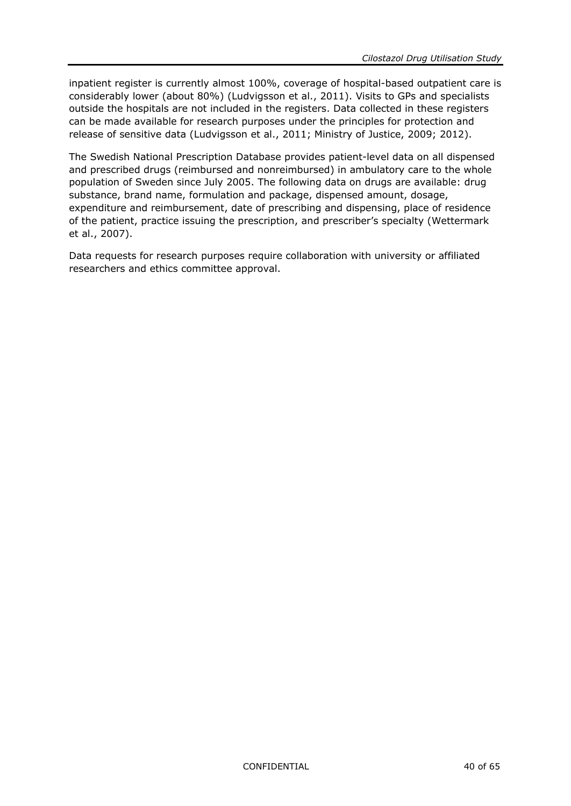inpatient register is currently almost 100%, coverage of hospital-based outpatient care is considerably lower (about 80%) (Ludvigsson et al., 2011). Visits to GPs and specialists outside the hospitals are not included in the registers. Data collected in these registers can be made available for research purposes under the principles for protection and release of sensitive data (Ludvigsson et al., 2011; Ministry of Justice, 2009; 2012).

The Swedish National Prescription Database provides patient-level data on all dispensed and prescribed drugs (reimbursed and nonreimbursed) in ambulatory care to the whole population of Sweden since July 2005. The following data on drugs are available: drug substance, brand name, formulation and package, dispensed amount, dosage, expenditure and reimbursement, date of prescribing and dispensing, place of residence of the patient, practice issuing the prescription, and prescriber's specialty (Wettermark et al., 2007).

Data requests for research purposes require collaboration with university or affiliated researchers and ethics committee approval.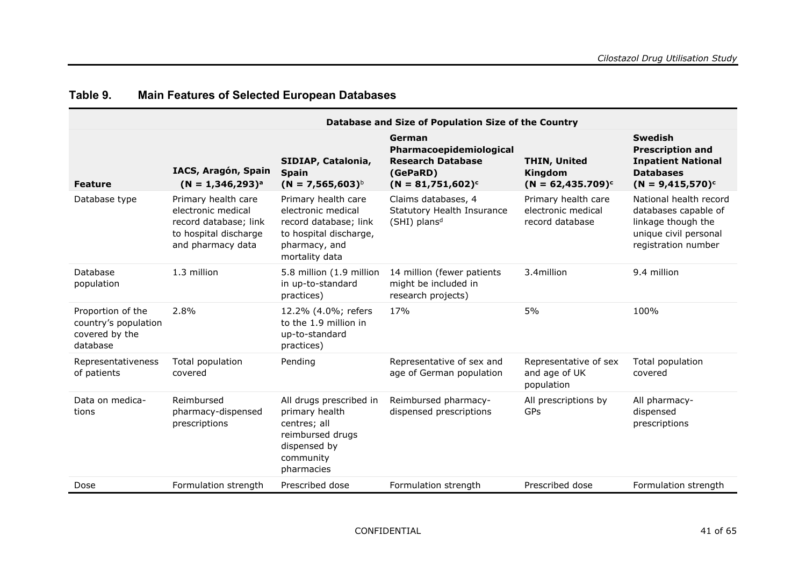<span id="page-40-0"></span>

|                                                                         |                                                                                                                  |                                                                                                                                 | Database and Size of Population Size of the Country                                               |                                                              |                                                                                                                      |
|-------------------------------------------------------------------------|------------------------------------------------------------------------------------------------------------------|---------------------------------------------------------------------------------------------------------------------------------|---------------------------------------------------------------------------------------------------|--------------------------------------------------------------|----------------------------------------------------------------------------------------------------------------------|
| <b>Feature</b>                                                          | IACS, Aragón, Spain<br>$(N = 1,346,293)^{a}$                                                                     | SIDIAP, Catalonia,<br><b>Spain</b><br>$(N = 7,565,603)^{b}$                                                                     | German<br>Pharmacoepidemiological<br><b>Research Database</b><br>(GePaRD)<br>$(N = 81,751,602)^c$ | <b>THIN, United</b><br>Kingdom<br>$(N = 62,435.709)^c$       | <b>Swedish</b><br><b>Prescription and</b><br><b>Inpatient National</b><br><b>Databases</b><br>$(N = 9,415,570)^c$    |
| Database type                                                           | Primary health care<br>electronic medical<br>record database; link<br>to hospital discharge<br>and pharmacy data | Primary health care<br>electronic medical<br>record database; link<br>to hospital discharge,<br>pharmacy, and<br>mortality data | Claims databases, 4<br>Statutory Health Insurance<br>(SHI) plans <sup>d</sup>                     | Primary health care<br>electronic medical<br>record database | National health record<br>databases capable of<br>linkage though the<br>unique civil personal<br>registration number |
| Database<br>population                                                  | 1.3 million                                                                                                      | 5.8 million (1.9 million<br>in up-to-standard<br>practices)                                                                     | 14 million (fewer patients<br>might be included in<br>research projects)                          | 3.4million                                                   | 9.4 million                                                                                                          |
| Proportion of the<br>country's population<br>covered by the<br>database | 2.8%                                                                                                             | 12.2% (4.0%; refers<br>to the 1.9 million in<br>up-to-standard<br>practices)                                                    | 17%                                                                                               | 5%                                                           | 100%                                                                                                                 |
| Representativeness<br>of patients                                       | Total population<br>covered                                                                                      | Pending                                                                                                                         | Representative of sex and<br>age of German population                                             | Representative of sex<br>and age of UK<br>population         | Total population<br>covered                                                                                          |
| Data on medica-<br>tions                                                | Reimbursed<br>pharmacy-dispensed<br>prescriptions                                                                | All drugs prescribed in<br>primary health<br>centres; all<br>reimbursed drugs<br>dispensed by<br>community<br>pharmacies        | Reimbursed pharmacy-<br>dispensed prescriptions                                                   | All prescriptions by<br><b>GPs</b>                           | All pharmacy-<br>dispensed<br>prescriptions                                                                          |
| Dose                                                                    | Formulation strength                                                                                             | Prescribed dose                                                                                                                 | Formulation strength                                                                              | Prescribed dose                                              | Formulation strength                                                                                                 |

### **Table 9. Main Features of Selected European Databases**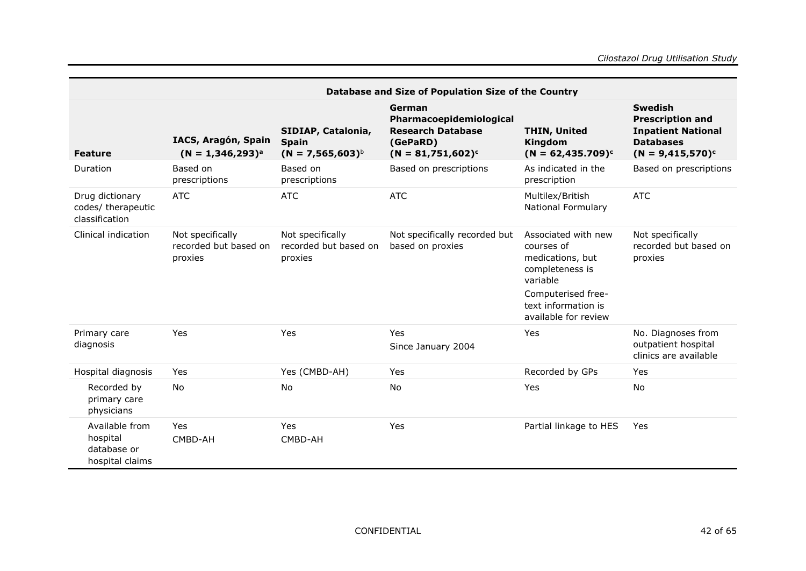|                                                              |                                                      |                                                             | Database and Size of Population Size of the Country                                               |                                                                                                                                                           |                                                                                                                   |
|--------------------------------------------------------------|------------------------------------------------------|-------------------------------------------------------------|---------------------------------------------------------------------------------------------------|-----------------------------------------------------------------------------------------------------------------------------------------------------------|-------------------------------------------------------------------------------------------------------------------|
| <b>Feature</b>                                               | IACS, Aragón, Spain<br>$(N = 1,346,293)^{a}$         | SIDIAP, Catalonia,<br><b>Spain</b><br>$(N = 7,565,603)^{b}$ | German<br>Pharmacoepidemiological<br><b>Research Database</b><br>(GePaRD)<br>$(N = 81,751,602)^c$ | <b>THIN, United</b><br>Kingdom<br>$(N = 62,435.709)^c$                                                                                                    | <b>Swedish</b><br><b>Prescription and</b><br><b>Inpatient National</b><br><b>Databases</b><br>$(N = 9,415,570)^c$ |
| Duration                                                     | Based on<br>prescriptions                            | Based on<br>prescriptions                                   | Based on prescriptions                                                                            | As indicated in the<br>prescription                                                                                                                       | Based on prescriptions                                                                                            |
| Drug dictionary<br>codes/ therapeutic<br>classification      | <b>ATC</b>                                           | <b>ATC</b>                                                  | <b>ATC</b>                                                                                        | Multilex/British<br><b>National Formulary</b>                                                                                                             | ATC                                                                                                               |
| Clinical indication                                          | Not specifically<br>recorded but based on<br>proxies | Not specifically<br>recorded but based on<br>proxies        | Not specifically recorded but<br>based on proxies                                                 | Associated with new<br>courses of<br>medications, but<br>completeness is<br>variable<br>Computerised free-<br>text information is<br>available for review | Not specifically<br>recorded but based on<br>proxies                                                              |
| Primary care<br>diagnosis                                    | Yes                                                  | Yes                                                         | Yes<br>Since January 2004                                                                         | Yes                                                                                                                                                       | No. Diagnoses from<br>outpatient hospital<br>clinics are available                                                |
| Hospital diagnosis                                           | Yes                                                  | Yes (CMBD-AH)                                               | Yes                                                                                               | Recorded by GPs                                                                                                                                           | Yes                                                                                                               |
| Recorded by<br>primary care<br>physicians                    | No                                                   | No                                                          | No                                                                                                | Yes                                                                                                                                                       | No                                                                                                                |
| Available from<br>hospital<br>database or<br>hospital claims | Yes<br>CMBD-AH                                       | Yes<br>CMBD-AH                                              | Yes                                                                                               | Partial linkage to HES                                                                                                                                    | Yes                                                                                                               |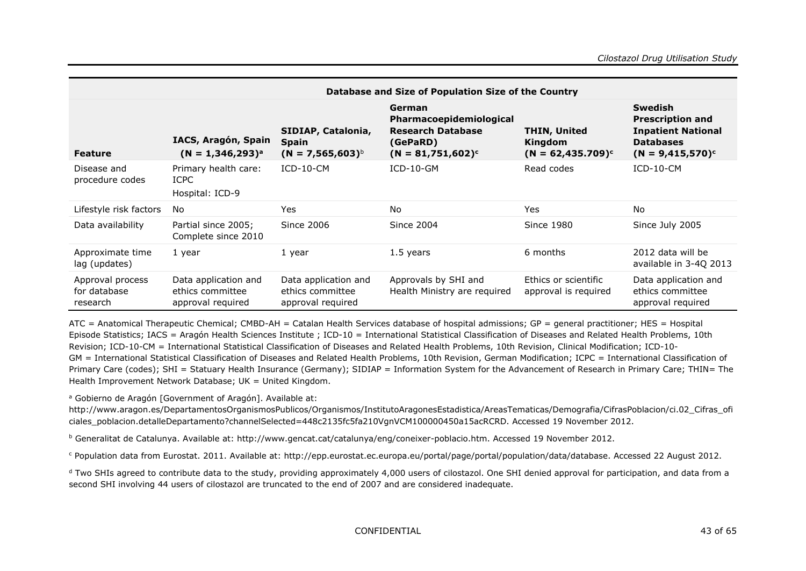|                                              | Database and Size of Population Size of the Country           |                                                               |                                                                                                   |                                                        |                                                                                                                   |
|----------------------------------------------|---------------------------------------------------------------|---------------------------------------------------------------|---------------------------------------------------------------------------------------------------|--------------------------------------------------------|-------------------------------------------------------------------------------------------------------------------|
| <b>Feature</b>                               | IACS, Aragón, Spain<br>$(N = 1,346,293)^{a}$                  | SIDIAP, Catalonia,<br><b>Spain</b><br>$(N = 7,565,603)^{6}$   | German<br>Pharmacoepidemiological<br><b>Research Database</b><br>(GePaRD)<br>$(N = 81,751,602)^c$ | <b>THIN, United</b><br>Kingdom<br>$(N = 62,435.709)^c$ | <b>Swedish</b><br><b>Prescription and</b><br><b>Inpatient National</b><br><b>Databases</b><br>$(N = 9,415,570)^c$ |
| Disease and<br>procedure codes               | Primary health care:<br><b>ICPC</b><br>Hospital: ICD-9        | $ICD-10-CM$                                                   | $ICD-10-GM$                                                                                       | Read codes                                             | $ICD-10-CM$                                                                                                       |
| Lifestyle risk factors                       | No                                                            | Yes                                                           | No                                                                                                | <b>Yes</b>                                             | <b>No</b>                                                                                                         |
| Data availability                            | Partial since 2005;<br>Complete since 2010                    | <b>Since 2006</b>                                             | Since 2004                                                                                        | <b>Since 1980</b>                                      | Since July 2005                                                                                                   |
| Approximate time<br>lag (updates)            | 1 year                                                        | 1 year                                                        | 1.5 years                                                                                         | 6 months                                               | 2012 data will be<br>available in 3-40 2013                                                                       |
| Approval process<br>for database<br>research | Data application and<br>ethics committee<br>approval required | Data application and<br>ethics committee<br>approval required | Approvals by SHI and<br>Health Ministry are required                                              | Ethics or scientific<br>approval is required           | Data application and<br>ethics committee<br>approval required                                                     |

ATC = Anatomical Therapeutic Chemical; CMBD-AH = Catalan Health Services database of hospital admissions; GP = general practitioner; HES = Hospital Episode Statistics; IACS = Aragón Health Sciences Institute ; ICD-10 = International Statistical Classification of Diseases and Related Health Problems, 10th Revision; ICD-10-CM = International Statistical Classification of Diseases and Related Health Problems, 10th Revision, Clinical Modification; ICD-10- GM = International Statistical Classification of Diseases and Related Health Problems, 10th Revision, German Modification; ICPC = International Classification of Primary Care (codes); SHI = Statuary Health Insurance (Germany); SIDIAP = Information System for the Advancement of Research in Primary Care; THIN= The Health Improvement Network Database: UK = United Kingdom.

<sup>a</sup> Gobierno de Aragón [Government of Aragón]. Available at:

http://www.aragon.es/DepartamentosOrganismosPublicos/Organismos/InstitutoAragonesEstadistica/AreasTematicas/Demografia/CifrasPoblacion/ci.02 Cifras\_ofi [ciales\\_poblacion.detalleDepartamento?channelSelected=448c2135fc5fa210VgnVCM100000450a15acRCRD.](http://www.aragon.es/DepartamentosOrganismosPublicos/Organismos/InstitutoAragonesEstadistica/AreasTematicas/Demografia/CifrasPoblacion/ci.02_Cifras_oficiales_poblacion.detalleDepartamento?channelSelected=448c2135fc5fa210VgnVCM100000450a15acRCRD) Accessed 19 November 2012.

<sup>b</sup> Generalitat de Catalunya. Available at: [http://www.gencat.cat/catalunya/eng/coneixer-poblacio.htm.](http://www.gencat.cat/catalunya/eng/coneixer-poblacio.htm) Accessed 19 November 2012.

<sup>c</sup> Population data from Eurostat. 2011. Available at: [http://epp.eurostat.ec.europa.eu/portal/page/portal/population/data/database. Accessed 22 August 2012.](http://epp.eurostat.ec.europa.eu/portal/page/portal/population/data/database.%20Accessed%2022%20August%202012)

<sup>d</sup> Two SHIs agreed to contribute data to the study, providing approximately 4,000 users of cilostazol. One SHI denied approval for participation, and data from a second SHI involving 44 users of cilostazol are truncated to the end of 2007 and are considered inadequate.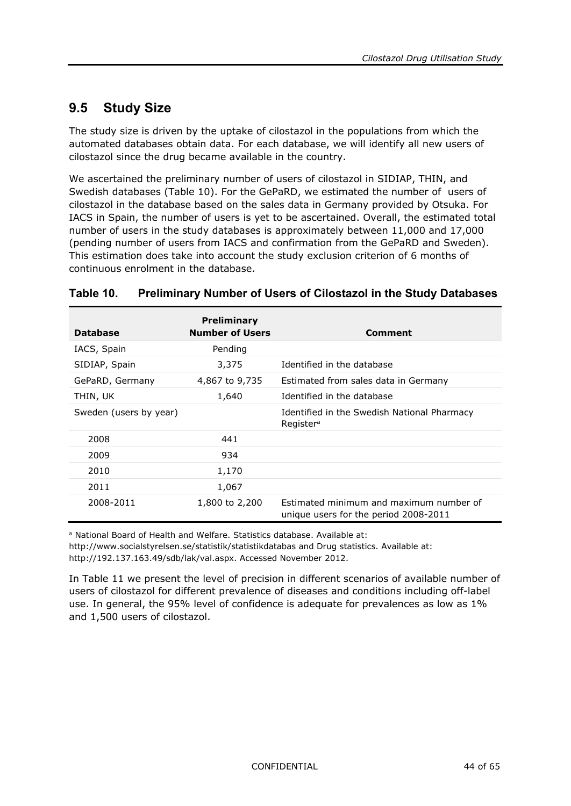### <span id="page-43-0"></span>**9.5 Study Size**

The study size is driven by the uptake of cilostazol in the populations from which the automated databases obtain data. For each database, we will identify all new users of cilostazol since the drug became available in the country.

We ascertained the preliminary number of users of cilostazol in SIDIAP, THIN, and Swedish databases [\(Table](#page-43-1) 10). For the GePaRD, we estimated the number of users of cilostazol in the database based on the sales data in Germany provided by Otsuka. For IACS in Spain, the number of users is yet to be ascertained. Overall, the estimated total number of users in the study databases is approximately between 11,000 and 17,000 (pending number of users from IACS and confirmation from the GePaRD and Sweden). This estimation does take into account the study exclusion criterion of 6 months of continuous enrolment in the database.

| <b>Database</b>        | <b>Preliminary</b><br><b>Number of Users</b> | Comment                                                                          |
|------------------------|----------------------------------------------|----------------------------------------------------------------------------------|
| IACS, Spain            | Pending                                      |                                                                                  |
| SIDIAP, Spain          | 3,375                                        | Identified in the database                                                       |
| GePaRD, Germany        | 4,867 to 9,735                               | Estimated from sales data in Germany                                             |
| THIN, UK               | 1,640                                        | Identified in the database                                                       |
| Sweden (users by year) |                                              | Identified in the Swedish National Pharmacy<br>Register <sup>a</sup>             |
| 2008                   | 441                                          |                                                                                  |
| 2009                   | 934                                          |                                                                                  |
| 2010                   | 1,170                                        |                                                                                  |
| 2011                   | 1,067                                        |                                                                                  |
| 2008-2011              | 1,800 to 2,200                               | Estimated minimum and maximum number of<br>unique users for the period 2008-2011 |

#### <span id="page-43-1"></span>**Table 10. Preliminary Number of Users of Cilostazol in the Study Databases**

a National Board of Health and Welfare. Statistics database. Available at: <http://www.socialstyrelsen.se/statistik/statistikdatabas> and Drug statistics. Available at: [http://192.137.163.49/sdb/lak/val.aspx.](http://192.137.163.49/sdb/lak/val.aspx) Accessed November 2012.

In [Table](#page-44-3) 11 we present the level of precision in different scenarios of available number of users of cilostazol for different prevalence of diseases and conditions including off-label use. In general, the 95% level of confidence is adequate for prevalences as low as 1% and 1,500 users of cilostazol.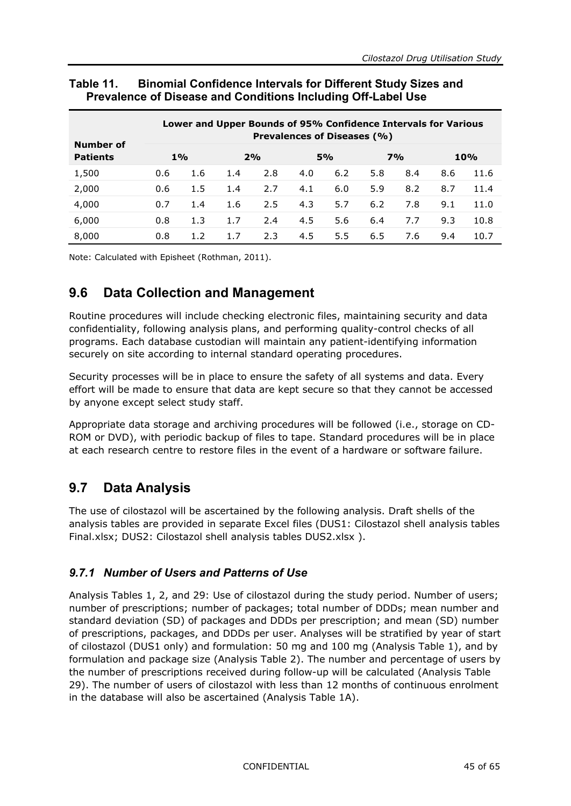|                              |     |       |     | Lower and Upper Bounds of 95% Confidence Intervals for Various | <b>Prevalences of Diseases (%)</b> |     |     |           |     |      |
|------------------------------|-----|-------|-----|----------------------------------------------------------------|------------------------------------|-----|-----|-----------|-----|------|
| Number of<br><b>Patients</b> |     | $1\%$ |     | 2%                                                             |                                    | 5%  |     | <b>7%</b> |     | 10%  |
| 1,500                        | 0.6 | 1.6   | 1.4 | 2.8                                                            | 4.0                                | 6.2 | 5.8 | 8.4       | 8.6 | 11.6 |
| 2,000                        | 0.6 | 1.5   | 1.4 | 2.7                                                            | 4.1                                | 6.0 | 5.9 | 8.2       | 8.7 | 11.4 |
| 4,000                        | 0.7 | 1.4   | 1.6 | 2.5                                                            | 4.3                                | 5.7 | 6.2 | 7.8       | 9.1 | 11.0 |
| 6,000                        | 0.8 | 1.3   | 1.7 | 2.4                                                            | 4.5                                | 5.6 | 6.4 | 7.7       | 9.3 | 10.8 |
| 8,000                        | 0.8 | 1.2   | 1.7 | 2.3                                                            | 4.5                                | 5.5 | 6.5 | 7.6       | 9.4 | 10.7 |

#### <span id="page-44-3"></span>**Table 11. Binomial Confidence Intervals for Different Study Sizes and Prevalence of Disease and Conditions Including Off-Label Use**

<span id="page-44-0"></span>Note: Calculated with Episheet (Rothman, 2011).

### **9.6 Data Collection and Management**

Routine procedures will include checking electronic files, maintaining security and data confidentiality, following analysis plans, and performing quality-control checks of all programs. Each database custodian will maintain any patient-identifying information securely on site according to internal standard operating procedures.

Security processes will be in place to ensure the safety of all systems and data. Every effort will be made to ensure that data are kept secure so that they cannot be accessed by anyone except select study staff.

Appropriate data storage and archiving procedures will be followed (i.e., storage on CD-ROM or DVD), with periodic backup of files to tape. Standard procedures will be in place at each research centre to restore files in the event of a hardware or software failure.

### <span id="page-44-1"></span>**9.7 Data Analysis**

The use of cilostazol will be ascertained by the following analysis. Draft shells of the analysis tables are provided in separate Excel files (DUS1: Cilostazol shell analysis tables Final.xlsx; DUS2: Cilostazol shell analysis tables DUS2.xlsx ).

#### <span id="page-44-2"></span>*9.7.1 Number of Users and Patterns of Use*

Analysis Tables 1, 2, and 29: Use of cilostazol during the study period. Number of users; number of prescriptions; number of packages; total number of DDDs; mean number and standard deviation (SD) of packages and DDDs per prescription; and mean (SD) number of prescriptions, packages, and DDDs per user. Analyses will be stratified by year of start of cilostazol (DUS1 only) and formulation: 50 mg and 100 mg (Analysis Table 1), and by formulation and package size (Analysis Table 2). The number and percentage of users by the number of prescriptions received during follow-up will be calculated (Analysis Table 29). The number of users of cilostazol with less than 12 months of continuous enrolment in the database will also be ascertained (Analysis Table 1A).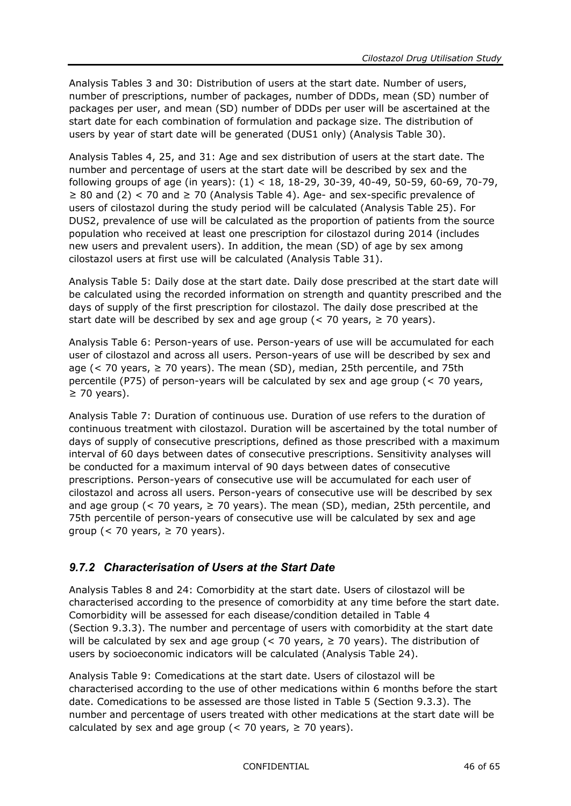Analysis Tables 3 and 30: Distribution of users at the start date. Number of users, number of prescriptions, number of packages, number of DDDs, mean (SD) number of packages per user, and mean (SD) number of DDDs per user will be ascertained at the start date for each combination of formulation and package size. The distribution of users by year of start date will be generated (DUS1 only) (Analysis Table 30).

Analysis Tables 4, 25, and 31: Age and sex distribution of users at the start date. The number and percentage of users at the start date will be described by sex and the following groups of age (in years): (1) < 18, 18-29, 30-39, 40-49, 50-59, 60-69, 70-79,  $≥ 80$  and (2) < 70 and  $≥ 70$  (Analysis Table 4). Age- and sex-specific prevalence of users of cilostazol during the study period will be calculated (Analysis Table 25). For DUS2, prevalence of use will be calculated as the proportion of patients from the source population who received at least one prescription for cilostazol during 2014 (includes new users and prevalent users). In addition, the mean (SD) of age by sex among cilostazol users at first use will be calculated (Analysis Table 31).

Analysis Table 5: Daily dose at the start date. Daily dose prescribed at the start date will be calculated using the recorded information on strength and quantity prescribed and the days of supply of the first prescription for cilostazol. The daily dose prescribed at the start date will be described by sex and age group (< 70 years,  $\ge$  70 years).

Analysis Table 6: Person-years of use. Person-years of use will be accumulated for each user of cilostazol and across all users. Person-years of use will be described by sex and age ( $<$  70 years,  $\geq$  70 years). The mean (SD), median, 25th percentile, and 75th percentile (P75) of person-years will be calculated by sex and age group (< 70 years,  $\geq$  70 years).

Analysis Table 7: Duration of continuous use. Duration of use refers to the duration of continuous treatment with cilostazol. Duration will be ascertained by the total number of days of supply of consecutive prescriptions, defined as those prescribed with a maximum interval of 60 days between dates of consecutive prescriptions. Sensitivity analyses will be conducted for a maximum interval of 90 days between dates of consecutive prescriptions. Person-years of consecutive use will be accumulated for each user of cilostazol and across all users. Person-years of consecutive use will be described by sex and age group (< 70 years,  $\geq$  70 years). The mean (SD), median, 25th percentile, and 75th percentile of person-years of consecutive use will be calculated by sex and age group (< 70 years,  $\geq$  70 years).

#### <span id="page-45-0"></span>*9.7.2 Characterisation of Users at the Start Date*

Analysis Tables 8 and 24: Comorbidity at the start date. Users of cilostazol will be characterised according to the presence of comorbidity at any time before the start date. Comorbidity will be assessed for each disease/condition detailed in [Table](#page-25-0) 4 (Section [9.3.3\)](#page-24-0). The number and percentage of users with comorbidity at the start date will be calculated by sex and age group ( $<$  70 years,  $\geq$  70 years). The distribution of users by socioeconomic indicators will be calculated (Analysis Table 24).

Analysis Table 9: Comedications at the start date. Users of cilostazol will be characterised according to the use of other medications within 6 months before the start date. Comedications to be assessed are those listed in [Table](#page-27-0) 5 (Section [9.3.3\)](#page-24-0). The number and percentage of users treated with other medications at the start date will be calculated by sex and age group (< 70 years,  $\ge$  70 years).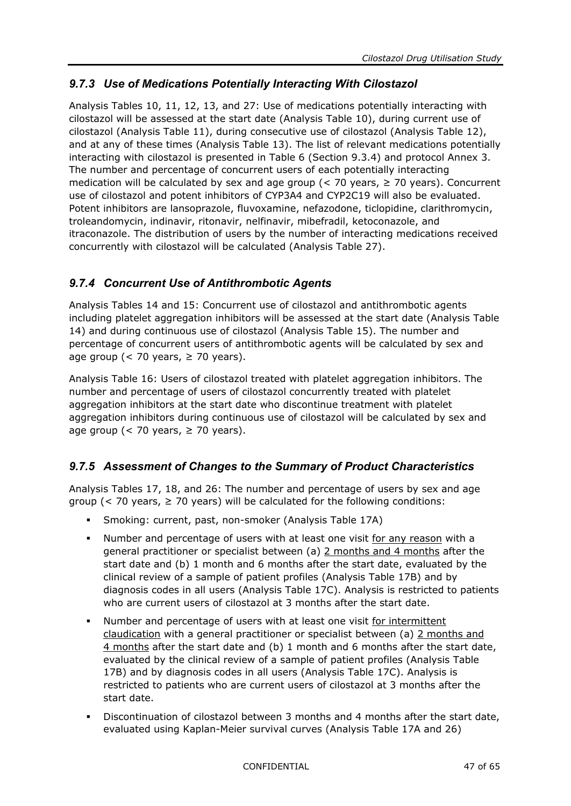#### <span id="page-46-0"></span>*9.7.3 Use of Medications Potentially Interacting With Cilostazol*

Analysis Tables 10, 11, 12, 13, and 27: Use of medications potentially interacting with cilostazol will be assessed at the start date (Analysis Table 10), during current use of cilostazol (Analysis Table 11), during consecutive use of cilostazol (Analysis Table 12), and at any of these times (Analysis Table 13). The list of relevant medications potentially interacting with cilostazol is presented in [Table](#page-29-1) 6 (Section [9.3.4\)](#page-29-0) and protocol Annex 3. The number and percentage of concurrent users of each potentially interacting medication will be calculated by sex and age group (< 70 years,  $\ge$  70 years). Concurrent use of cilostazol and potent inhibitors of CYP3A4 and CYP2C19 will also be evaluated. Potent inhibitors are lansoprazole, fluvoxamine, nefazodone, ticlopidine, clarithromycin, troleandomycin, indinavir, ritonavir, nelfinavir, mibefradil, ketoconazole, and itraconazole. The distribution of users by the number of interacting medications received concurrently with cilostazol will be calculated (Analysis Table 27).

#### <span id="page-46-1"></span>*9.7.4 Concurrent Use of Antithrombotic Agents*

Analysis Tables 14 and 15: Concurrent use of cilostazol and antithrombotic agents including platelet aggregation inhibitors will be assessed at the start date (Analysis Table 14) and during continuous use of cilostazol (Analysis Table 15). The number and percentage of concurrent users of antithrombotic agents will be calculated by sex and age group ( $<$  70 years,  $\geq$  70 years).

Analysis Table 16: Users of cilostazol treated with platelet aggregation inhibitors. The number and percentage of users of cilostazol concurrently treated with platelet aggregation inhibitors at the start date who discontinue treatment with platelet aggregation inhibitors during continuous use of cilostazol will be calculated by sex and age group ( $<$  70 years,  $\ge$  70 years).

#### <span id="page-46-2"></span>*9.7.5 Assessment of Changes to the Summary of Product Characteristics*

Analysis Tables 17, 18, and 26: The number and percentage of users by sex and age group (< 70 years,  $\geq$  70 years) will be calculated for the following conditions:

- Smoking: current, past, non-smoker (Analysis Table 17A)
- Number and percentage of users with at least one visit for any reason with a general practitioner or specialist between (a) 2 months and 4 months after the start date and (b) 1 month and 6 months after the start date, evaluated by the clinical review of a sample of patient profiles (Analysis Table 17B) and by diagnosis codes in all users (Analysis Table 17C). Analysis is restricted to patients who are current users of cilostazol at 3 months after the start date.
- Number and percentage of users with at least one visit for intermittent claudication with a general practitioner or specialist between (a) 2 months and 4 months after the start date and (b) 1 month and 6 months after the start date, evaluated by the clinical review of a sample of patient profiles (Analysis Table 17B) and by diagnosis codes in all users (Analysis Table 17C). Analysis is restricted to patients who are current users of cilostazol at 3 months after the start date.
- Discontinuation of cilostazol between 3 months and 4 months after the start date, evaluated using Kaplan-Meier survival curves (Analysis Table 17A and 26)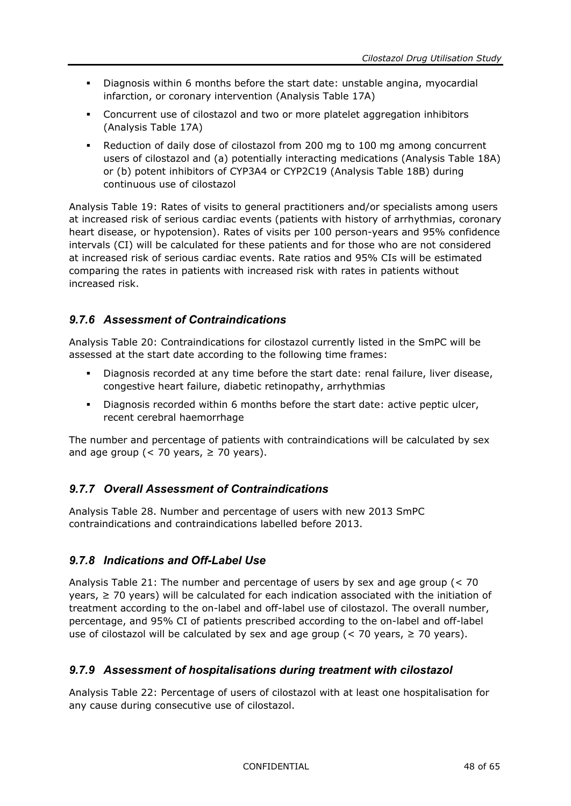- Diagnosis within 6 months before the start date: unstable angina, myocardial infarction, or coronary intervention (Analysis Table 17A)
- Concurrent use of cilostazol and two or more platelet aggregation inhibitors (Analysis Table 17A)
- Reduction of daily dose of cilostazol from 200 mg to 100 mg among concurrent users of cilostazol and (a) potentially interacting medications (Analysis Table 18A) or (b) potent inhibitors of CYP3A4 or CYP2C19 (Analysis Table 18B) during continuous use of cilostazol

Analysis Table 19: Rates of visits to general practitioners and/or specialists among users at increased risk of serious cardiac events (patients with history of arrhythmias, coronary heart disease, or hypotension). Rates of visits per 100 person-years and 95% confidence intervals (CI) will be calculated for these patients and for those who are not considered at increased risk of serious cardiac events. Rate ratios and 95% CIs will be estimated comparing the rates in patients with increased risk with rates in patients without increased risk.

#### <span id="page-47-0"></span>*9.7.6 Assessment of Contraindications*

Analysis Table 20: Contraindications for cilostazol currently listed in the SmPC will be assessed at the start date according to the following time frames:

- Diagnosis recorded at any time before the start date: renal failure, liver disease, congestive heart failure, diabetic retinopathy, arrhythmias
- Diagnosis recorded within 6 months before the start date: active peptic ulcer, recent cerebral haemorrhage

The number and percentage of patients with contraindications will be calculated by sex and age group (< 70 years,  $\ge$  70 years).

#### <span id="page-47-1"></span>*9.7.7 Overall Assessment of Contraindications*

Analysis Table 28. Number and percentage of users with new 2013 SmPC contraindications and contraindications labelled before 2013.

#### <span id="page-47-2"></span>*9.7.8 Indications and Off-Label Use*

Analysis Table 21: The number and percentage of users by sex and age group (< 70 years,  $\geq$  70 years) will be calculated for each indication associated with the initiation of treatment according to the on-label and off-label use of cilostazol. The overall number, percentage, and 95% CI of patients prescribed according to the on-label and off-label use of cilostazol will be calculated by sex and age group  $\zeta$  < 70 years, ≥ 70 years).

#### <span id="page-47-3"></span>*9.7.9 Assessment of hospitalisations during treatment with cilostazol*

Analysis Table 22: Percentage of users of cilostazol with at least one hospitalisation for any cause during consecutive use of cilostazol.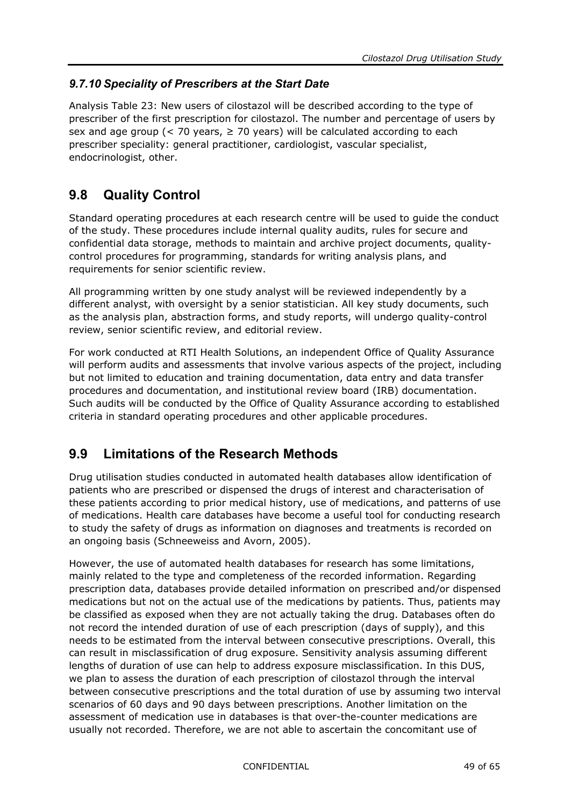#### <span id="page-48-0"></span>*9.7.10 Speciality of Prescribers at the Start Date*

Analysis Table 23: New users of cilostazol will be described according to the type of prescriber of the first prescription for cilostazol. The number and percentage of users by sex and age group (< 70 years,  $\geq$  70 years) will be calculated according to each prescriber speciality: general practitioner, cardiologist, vascular specialist, endocrinologist, other.

### <span id="page-48-1"></span>**9.8 Quality Control**

Standard operating procedures at each research centre will be used to guide the conduct of the study. These procedures include internal quality audits, rules for secure and confidential data storage, methods to maintain and archive project documents, qualitycontrol procedures for programming, standards for writing analysis plans, and requirements for senior scientific review.

All programming written by one study analyst will be reviewed independently by a different analyst, with oversight by a senior statistician. All key study documents, such as the analysis plan, abstraction forms, and study reports, will undergo quality-control review, senior scientific review, and editorial review.

For work conducted at RTI Health Solutions, an independent Office of Quality Assurance will perform audits and assessments that involve various aspects of the project, including but not limited to education and training documentation, data entry and data transfer procedures and documentation, and institutional review board (IRB) documentation. Such audits will be conducted by the Office of Quality Assurance according to established criteria in standard operating procedures and other applicable procedures.

### <span id="page-48-2"></span>**9.9 Limitations of the Research Methods**

Drug utilisation studies conducted in automated health databases allow identification of patients who are prescribed or dispensed the drugs of interest and characterisation of these patients according to prior medical history, use of medications, and patterns of use of medications. Health care databases have become a useful tool for conducting research to study the safety of drugs as information on diagnoses and treatments is recorded on an ongoing basis (Schneeweiss and Avorn, 2005).

However, the use of automated health databases for research has some limitations, mainly related to the type and completeness of the recorded information. Regarding prescription data, databases provide detailed information on prescribed and/or dispensed medications but not on the actual use of the medications by patients. Thus, patients may be classified as exposed when they are not actually taking the drug. Databases often do not record the intended duration of use of each prescription (days of supply), and this needs to be estimated from the interval between consecutive prescriptions. Overall, this can result in misclassification of drug exposure. Sensitivity analysis assuming different lengths of duration of use can help to address exposure misclassification. In this DUS, we plan to assess the duration of each prescription of cilostazol through the interval between consecutive prescriptions and the total duration of use by assuming two interval scenarios of 60 days and 90 days between prescriptions. Another limitation on the assessment of medication use in databases is that over-the-counter medications are usually not recorded. Therefore, we are not able to ascertain the concomitant use of

CONFIDENTIAL 49 of 65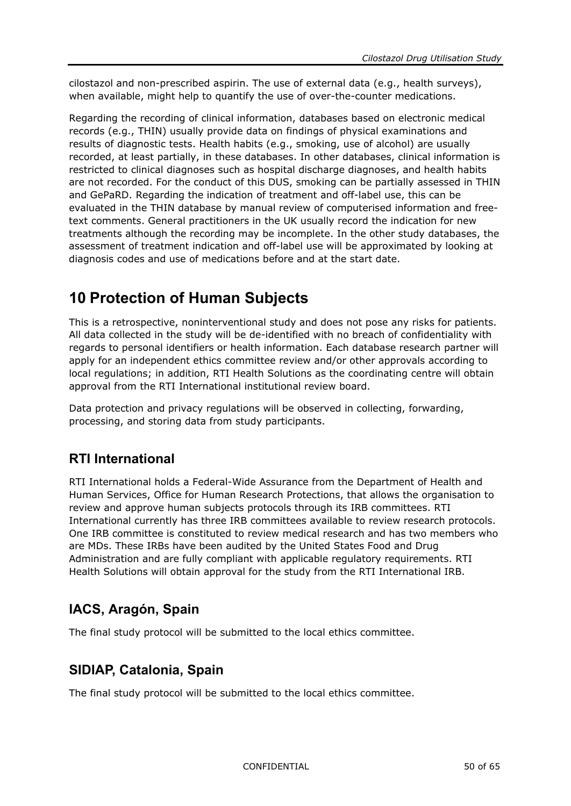cilostazol and non-prescribed aspirin. The use of external data (e.g., health surveys), when available, might help to quantify the use of over-the-counter medications.

Regarding the recording of clinical information, databases based on electronic medical records (e.g., THIN) usually provide data on findings of physical examinations and results of diagnostic tests. Health habits (e.g., smoking, use of alcohol) are usually recorded, at least partially, in these databases. In other databases, clinical information is restricted to clinical diagnoses such as hospital discharge diagnoses, and health habits are not recorded. For the conduct of this DUS, smoking can be partially assessed in THIN and GePaRD. Regarding the indication of treatment and off-label use, this can be evaluated in the THIN database by manual review of computerised information and freetext comments. General practitioners in the UK usually record the indication for new treatments although the recording may be incomplete. In the other study databases, the assessment of treatment indication and off-label use will be approximated by looking at diagnosis codes and use of medications before and at the start date.

# <span id="page-49-0"></span>**10 Protection of Human Subjects**

This is a retrospective, noninterventional study and does not pose any risks for patients. All data collected in the study will be de-identified with no breach of confidentiality with regards to personal identifiers or health information. Each database research partner will apply for an independent ethics committee review and/or other approvals according to local regulations; in addition, RTI Health Solutions as the coordinating centre will obtain approval from the RTI International institutional review board.

Data protection and privacy regulations will be observed in collecting, forwarding, processing, and storing data from study participants.

### **RTI International**

RTI International holds a Federal-Wide Assurance from the Department of Health and Human Services, Office for Human Research Protections, that allows the organisation to review and approve human subjects protocols through its IRB committees. RTI International currently has three IRB committees available to review research protocols. One IRB committee is constituted to review medical research and has two members who are MDs. These IRBs have been audited by the United States Food and Drug Administration and are fully compliant with applicable regulatory requirements. RTI Health Solutions will obtain approval for the study from the RTI International IRB.

## **IACS, Aragón, Spain**

The final study protocol will be submitted to the local ethics committee.

### **SIDIAP, Catalonia, Spain**

The final study protocol will be submitted to the local ethics committee.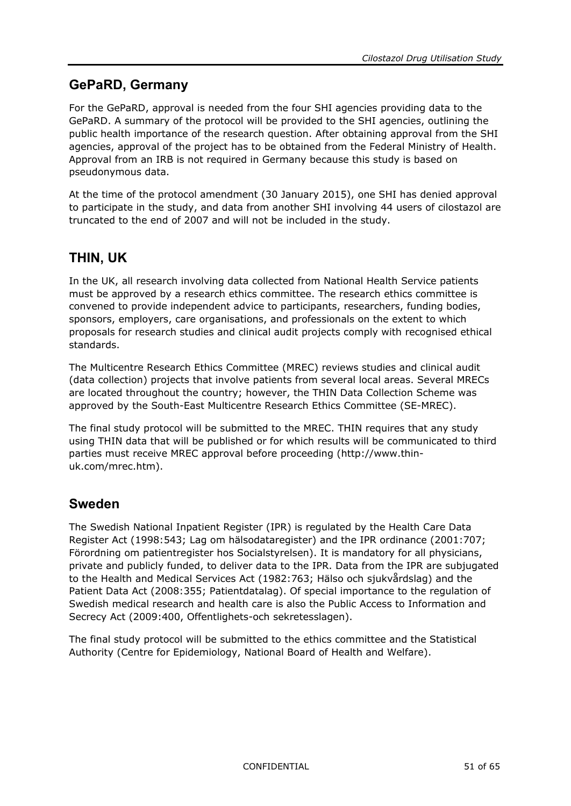### **GePaRD, Germany**

For the GePaRD, approval is needed from the four SHI agencies providing data to the GePaRD. A summary of the protocol will be provided to the SHI agencies, outlining the public health importance of the research question. After obtaining approval from the SHI agencies, approval of the project has to be obtained from the Federal Ministry of Health. Approval from an IRB is not required in Germany because this study is based on pseudonymous data.

At the time of the protocol amendment (30 January 2015), one SHI has denied approval to participate in the study, and data from another SHI involving 44 users of cilostazol are truncated to the end of 2007 and will not be included in the study.

### **THIN, UK**

In the UK, all research involving data collected from National Health Service patients must be approved by a research ethics committee. The research ethics committee is convened to provide independent advice to participants, researchers, funding bodies, sponsors, employers, care organisations, and professionals on the extent to which proposals for research studies and clinical audit projects comply with recognised ethical standards.

The Multicentre Research Ethics Committee (MREC) reviews studies and clinical audit (data collection) projects that involve patients from several local areas. Several MRECs are located throughout the country; however, the THIN Data Collection Scheme was approved by the South-East Multicentre Research Ethics Committee (SE-MREC).

The final study protocol will be submitted to the MREC. THIN requires that any study using THIN data that will be published or for which results will be communicated to third parties must receive MREC approval before proceeding (http://www.thinuk.com/mrec.htm).

### **Sweden**

The Swedish National Inpatient Register (IPR) is regulated by the Health Care Data Register Act (1998:543; Lag om hälsodataregister) and the IPR ordinance (2001:707; Förordning om patientregister hos Socialstyrelsen). It is mandatory for all physicians, private and publicly funded, to deliver data to the IPR. Data from the IPR are subjugated to the Health and Medical Services Act (1982:763; Hälso och sjukvårdslag) and the Patient Data Act (2008:355; Patientdatalag). Of special importance to the regulation of Swedish medical research and health care is also the Public Access to Information and Secrecy Act (2009:400, Offentlighets-och sekretesslagen).

The final study protocol will be submitted to the ethics committee and the Statistical Authority (Centre for Epidemiology, National Board of Health and Welfare).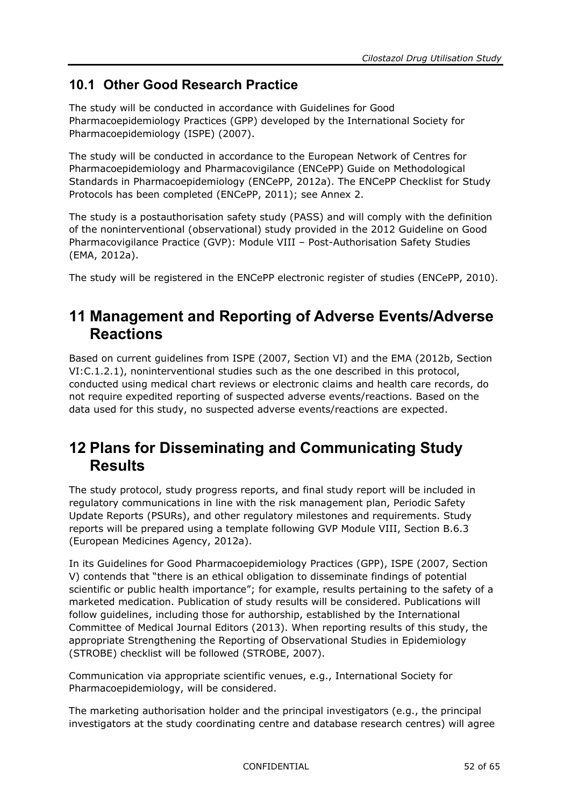### <span id="page-51-0"></span>**10.1 Other Good Research Practice**

The study will be conducted in accordance with Guidelines for Good Pharmacoepidemiology Practices (GPP) developed by the International Society for Pharmacoepidemiology (ISPE) (2007).

The study will be conducted in accordance to the European Network of Centres for Pharmacoepidemiology and Pharmacovigilance (ENCePP) Guide on Methodological Standards in Pharmacoepidemiology (ENCePP, 2012a). The ENCePP Checklist for Study Protocols has been completed (ENCePP, 2011); see Annex 2.

The study is a postauthorisation safety study (PASS) and will comply with the definition of the noninterventional (observational) study provided in the 2012 Guideline on Good Pharmacovigilance Practice (GVP): Module VIII – Post-Authorisation Safety Studies (EMA, 2012a).

<span id="page-51-1"></span>The study will be registered in the ENCePP electronic register of studies (ENCePP, 2010).

# **11 Management and Reporting of Adverse Events/Adverse Reactions**

Based on current guidelines from ISPE (2007, Section VI) and the EMA (2012b, Section VI:C.1.2.1), noninterventional studies such as the one described in this protocol, conducted using medical chart reviews or electronic claims and health care records, do not require expedited reporting of suspected adverse events/reactions. Based on the data used for this study, no suspected adverse events/reactions are expected.

# <span id="page-51-2"></span>**12 Plans for Disseminating and Communicating Study Results**

The study protocol, study progress reports, and final study report will be included in regulatory communications in line with the risk management plan, Periodic Safety Update Reports (PSURs), and other regulatory milestones and requirements. Study reports will be prepared using a template following GVP Module VIII, Section B.6.3 (European Medicines Agency, 2012a).

In its Guidelines for Good Pharmacoepidemiology Practices (GPP), ISPE (2007, Section V) contends that "there is an ethical obligation to disseminate findings of potential scientific or public health importance"; for example, results pertaining to the safety of a marketed medication. Publication of study results will be considered. Publications will follow guidelines, including those for authorship, established by the International Committee of Medical Journal Editors (2013). When reporting results of this study, the appropriate Strengthening the Reporting of Observational Studies in Epidemiology (STROBE) checklist will be followed (STROBE, 2007).

Communication via appropriate scientific venues, e.g., International Society for Pharmacoepidemiology, will be considered.

The marketing authorisation holder and the principal investigators (e.g., the principal investigators at the study coordinating centre and database research centres) will agree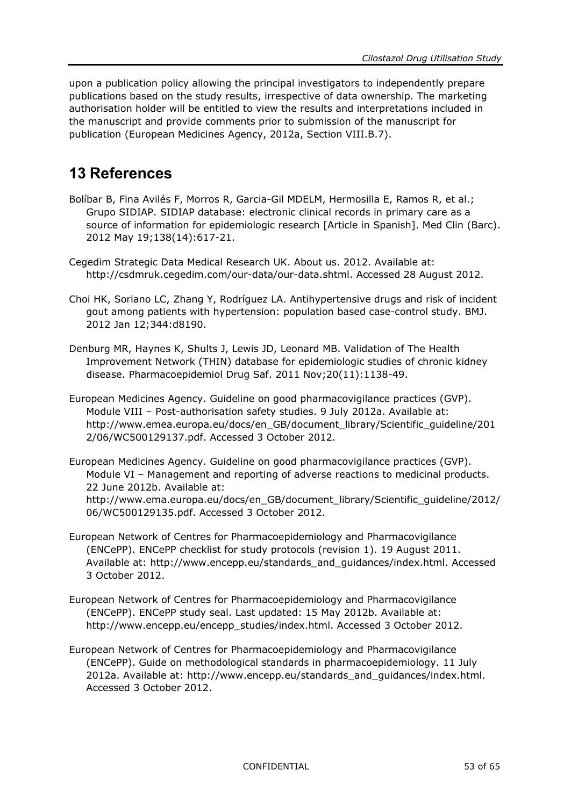upon a publication policy allowing the principal investigators to independently prepare publications based on the study results, irrespective of data ownership. The marketing authorisation holder will be entitled to view the results and interpretations included in the manuscript and provide comments prior to submission of the manuscript for publication (European Medicines Agency, 2012a, Section VIII.B.7).

# <span id="page-52-0"></span>**13 References**

- Bolíbar B, Fina Avilés F, Morros R, Garcia-Gil MDELM, Hermosilla E, Ramos R, et al.; Grupo SIDIAP. SIDIAP database: electronic clinical records in primary care as a source of information for epidemiologic research [Article in Spanish]. Med Clin (Barc). 2012 May 19;138(14):617-21.
- Cegedim Strategic Data Medical Research UK. About us. 2012. Available at: [http://csdmruk.cegedim.com/our-data/our-data.shtml.](http://csdmruk.cegedim.com/our-data/our-data.shtml) Accessed 28 August 2012.
- Choi HK, Soriano LC, Zhang Y, Rodríguez LA. Antihypertensive drugs and risk of incident gout among patients with hypertension: population based case-control study. BMJ. 2012 Jan 12;344:d8190.
- Denburg MR, Haynes K, Shults J, Lewis JD, Leonard MB. Validation of The Health Improvement Network (THIN) database for epidemiologic studies of chronic kidney disease. Pharmacoepidemiol Drug Saf. 2011 Nov;20(11):1138-49.
- European Medicines Agency. Guideline on good pharmacovigilance practices (GVP). Module VIII – Post-authorisation safety studies. 9 July 2012a. Available at: [http://www.emea.europa.eu/docs/en\\_GB/document\\_library/Scientific\\_guideline/201](http://www.emea.europa.eu/docs/en_GB/document_library/Scientific_guideline/2012/06/WC500129137.pdf) [2/06/WC500129137.pdf.](http://www.emea.europa.eu/docs/en_GB/document_library/Scientific_guideline/2012/06/WC500129137.pdf) Accessed 3 October 2012.

European Medicines Agency. Guideline on good pharmacovigilance practices (GVP). Module VI – Management and reporting of adverse reactions to medicinal products. 22 June 2012b. Available at: [http://www.ema.europa.eu/docs/en\\_GB/document\\_library/Scientific\\_guideline/2012/](http://www.ema.europa.eu/docs/en_GB/document_library/Scientific_guideline/2012/06/WC500129135.pdf) [06/WC500129135.pdf.](http://www.ema.europa.eu/docs/en_GB/document_library/Scientific_guideline/2012/06/WC500129135.pdf) Accessed 3 October 2012.

- European Network of Centres for Pharmacoepidemiology and Pharmacovigilance (ENCePP). ENCePP checklist for study protocols (revision 1). 19 August 2011. Available at: [http://www.encepp.eu/standards\\_and\\_guidances/index.html.](http://www.encepp.eu/standards_and_guidances/index.html) Accessed 3 October 2012.
- European Network of Centres for Pharmacoepidemiology and Pharmacovigilance (ENCePP). ENCePP study seal. Last updated: 15 May 2012b. Available at: [http://www.encepp.eu/encepp\\_studies/index.html.](http://www.encepp.eu/encepp_studies/index.html) Accessed 3 October 2012.
- European Network of Centres for Pharmacoepidemiology and Pharmacovigilance (ENCePP). Guide on methodological standards in pharmacoepidemiology. 11 July 2012a. Available at: [http://www.encepp.eu/standards\\_and\\_guidances/index.html.](http://www.encepp.eu/standards_and_guidances/index.html) Accessed 3 October 2012.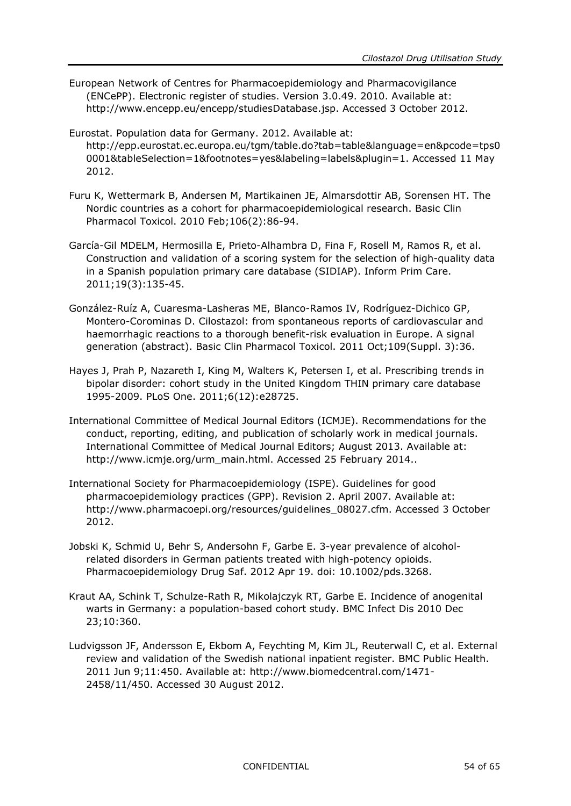- European Network of Centres for Pharmacoepidemiology and Pharmacovigilance (ENCePP). Electronic register of studies. Version 3.0.49. 2010. Available at: [http://www.encepp.eu/encepp/studiesDatabase.jsp.](http://www.encepp.eu/encepp/studiesDatabase.jsp) Accessed 3 October 2012.
- Eurostat. Population data for Germany. 2012. Available at: [http://epp.eurostat.ec.europa.eu/tgm/table.do?tab=table&language=en&pcode=tps0](http://epp.eurostat.ec.europa.eu/tgm/table.do?tab=table&language=en&pcode=tps00001&tableSelection=1&footnotes=yes&labeling=labels&plugin=1) [0001&tableSelection=1&footnotes=yes&labeling=labels&plugin=1.](http://epp.eurostat.ec.europa.eu/tgm/table.do?tab=table&language=en&pcode=tps00001&tableSelection=1&footnotes=yes&labeling=labels&plugin=1) Accessed 11 May 2012.
- Furu K, Wettermark B, Andersen M, Martikainen JE, Almarsdottir AB, Sorensen HT. The Nordic countries as a cohort for pharmacoepidemiological research. Basic Clin Pharmacol Toxicol. 2010 Feb;106(2):86-94.
- García-Gil MDELM, Hermosilla E, Prieto-Alhambra D, Fina F, Rosell M, Ramos R, et al. Construction and validation of a scoring system for the selection of high-quality data in a Spanish population primary care database (SIDIAP). Inform Prim Care. 2011;19(3):135-45.
- González-Ruíz A, Cuaresma-Lasheras ME, Blanco-Ramos IV, Rodríguez-Dichico GP, Montero-Corominas D. Cilostazol: from spontaneous reports of cardiovascular and haemorrhagic reactions to a thorough benefit-risk evaluation in Europe. A signal generation (abstract). Basic Clin Pharmacol Toxicol. 2011 Oct;109(Suppl. 3):36.
- Hayes J, Prah P, Nazareth I, King M, Walters K, Petersen I, et al. Prescribing trends in bipolar disorder: cohort study in the United Kingdom THIN primary care database 1995-2009. PLoS One. 2011;6(12):e28725.
- International Committee of Medical Journal Editors (ICMJE). Recommendations for the conduct, reporting, editing, and publication of scholarly work in medical journals. International Committee of Medical Journal Editors; August 2013. Available at: http://www.icmje.org/urm\_main.html. Accessed 25 February 2014..
- International Society for Pharmacoepidemiology (ISPE). Guidelines for good pharmacoepidemiology practices (GPP). Revision 2. April 2007. Available at: [http://www.pharmacoepi.org/resources/guidelines\\_08027.cfm.](http://www.pharmacoepi.org/resources/guidelines_08027.cfm) Accessed 3 October 2012.
- Jobski K, Schmid U, Behr S, Andersohn F, Garbe E. 3-year prevalence of alcoholrelated disorders in German patients treated with high-potency opioids. Pharmacoepidemiology Drug Saf. 2012 Apr 19. doi: 10.1002/pds.3268.
- Kraut AA, Schink T, Schulze-Rath R, Mikolajczyk RT, Garbe E. Incidence of anogenital warts in Germany: a population-based cohort study. BMC Infect Dis 2010 Dec 23;10:360.
- Ludvigsson JF, Andersson E, Ekbom A, Feychting M, Kim JL, Reuterwall C, et al. External review and validation of the Swedish national inpatient register. BMC Public Health. 2011 Jun 9;11:450. Available at: [http://www.biomedcentral.com/1471-](http://www.biomedcentral.com/1471-2458/11/450) [2458/11/450.](http://www.biomedcentral.com/1471-2458/11/450) Accessed 30 August 2012.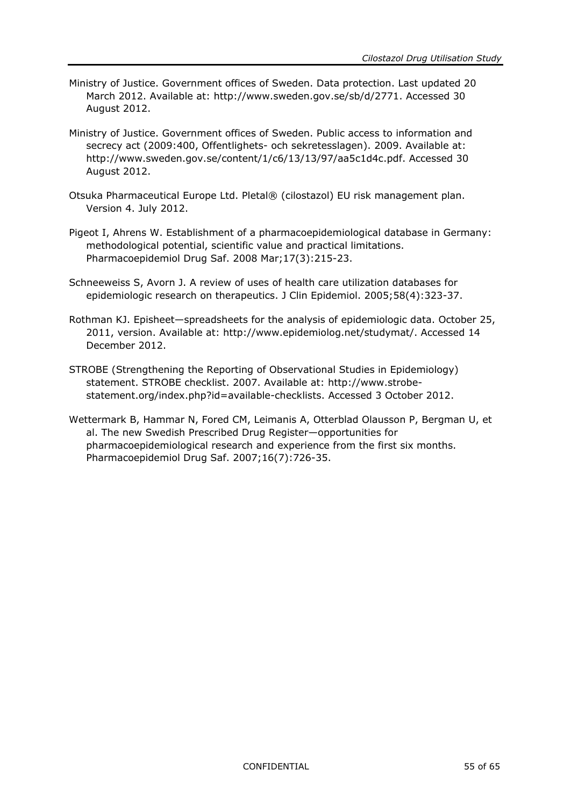- Ministry of Justice. Government offices of Sweden. Data protection. Last updated 20 March 2012. Available at: [http://www.sweden.gov.se/sb/d/2771.](http://www.sweden.gov.se/sb/d/2771) Accessed 30 August 2012.
- Ministry of Justice. Government offices of Sweden. Public access to information and secrecy act (2009:400, Offentlighets- och sekretesslagen). 2009. Available at: [http://www.sweden.gov.se/content/1/c6/13/13/97/aa5c1d4c.pdf.](http://www.sweden.gov.se/content/1/c6/13/13/97/aa5c1d4c.pdf) [Accessed 30](http://www.sweden.gov.se/sb/d/2771.%20Accessed%2028%20August%202012)  [August 2012.](http://www.sweden.gov.se/sb/d/2771.%20Accessed%2028%20August%202012)
- Otsuka Pharmaceutical Europe Ltd. Pletal® (cilostazol) EU risk management plan. Version 4. July 2012.
- Pigeot I, Ahrens W. Establishment of a pharmacoepidemiological database in Germany: methodological potential, scientific value and practical limitations. Pharmacoepidemiol Drug Saf. 2008 Mar;17(3):215-23.
- Schneeweiss S, Avorn J. A review of uses of health care utilization databases for epidemiologic research on therapeutics. J Clin Epidemiol. 2005;58(4):323-37.
- Rothman KJ. Episheet—spreadsheets for the analysis of epidemiologic data. October 25, 2011, version. Available at: [http://www.epidemiolog.net/studymat/.](http://www.epidemiolog.net/studymat/) Accessed 14 December 2012.
- STROBE (Strengthening the Reporting of Observational Studies in Epidemiology) statement. STROBE checklist. 2007. Available at: [http://www.strobe](http://www.strobe-statement.org/index.php?id=available-checklists)[statement.org/index.php?id=available-checklists.](http://www.strobe-statement.org/index.php?id=available-checklists) Accessed 3 October 2012.
- Wettermark B, Hammar N, Fored CM, Leimanis A, Otterblad Olausson P, Bergman U, et al. The new Swedish Prescribed Drug Register—opportunities for pharmacoepidemiological research and experience from the first six months. Pharmacoepidemiol Drug Saf. 2007;16(7):726-35.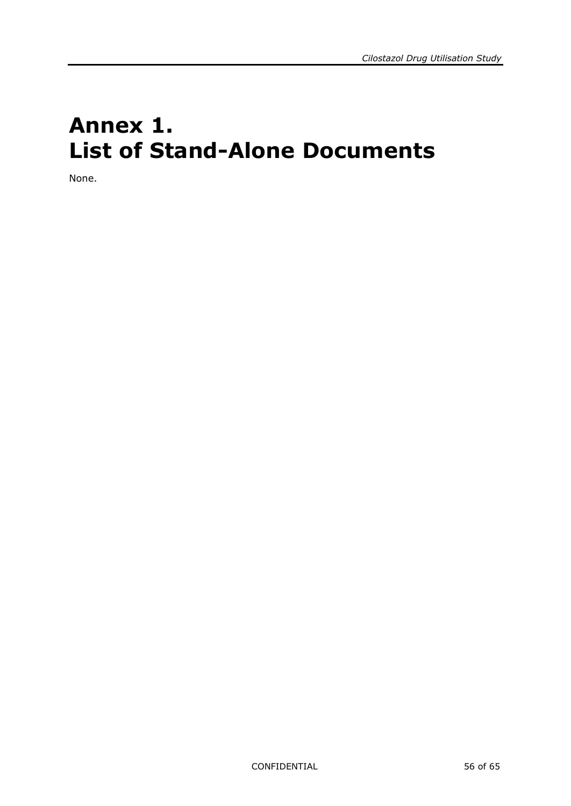# <span id="page-55-0"></span>**Annex 1. List of Stand-Alone Documents**

None.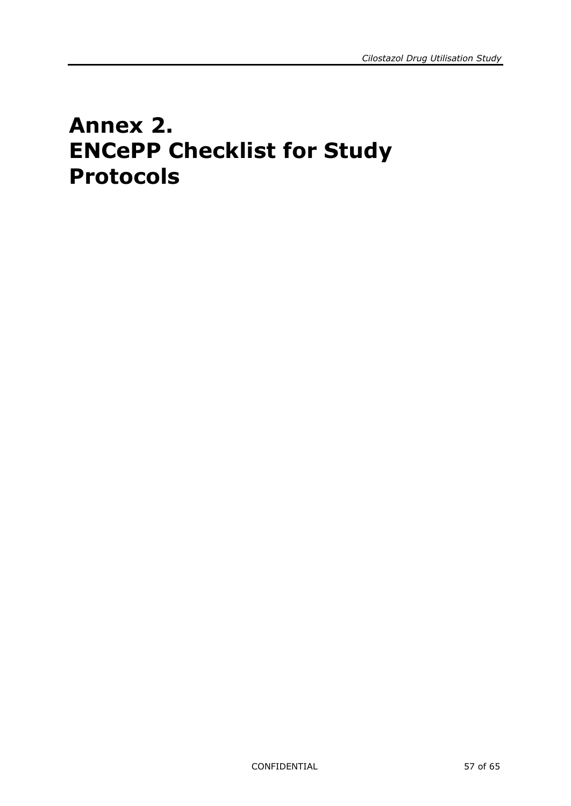# <span id="page-56-0"></span>**Annex 2. ENCePP Checklist for Study Protocols**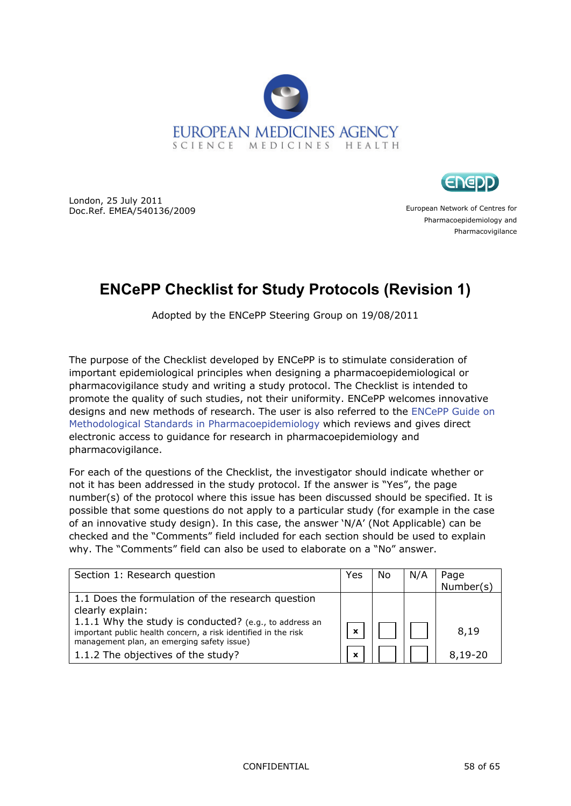



London, 25 July 2011 Doc.Ref. EMEA/540136/2009

European Network of Centres for Pharmacoepidemiology and Pharmacovigilance

# **ENCePP Checklist for Study Protocols (Revision 1)**

Adopted by the ENCePP Steering Group on 19/08/2011

The purpose of the Checklist developed by ENCePP is to stimulate consideration of important epidemiological principles when designing a pharmacoepidemiological or pharmacovigilance study and writing a study protocol. The Checklist is intended to promote the quality of such studies, not their uniformity. ENCePP welcomes innovative designs and new methods of research. The user is also referred to the [ENCePP Guide on](http://www.encepp.eu/standards_and_guidances/documents/ENCePPGuideofMethStandardsinPE.pdf)  [Methodological Standards in Pharmacoepidemiology](http://www.encepp.eu/standards_and_guidances/documents/ENCePPGuideofMethStandardsinPE.pdf) which reviews and gives direct electronic access to guidance for research in pharmacoepidemiology and pharmacovigilance.

For each of the questions of the Checklist, the investigator should indicate whether or not it has been addressed in the study protocol. If the answer is "Yes", the page number(s) of the protocol where this issue has been discussed should be specified. It is possible that some questions do not apply to a particular study (for example in the case of an innovative study design). In this case, the answer 'N/A' (Not Applicable) can be checked and the "Comments" field included for each section should be used to explain why. The "Comments" field can also be used to elaborate on a "No" answer.

| Section 1: Research question                                                                                                                                           | Yes | No | N/A | Page<br>Number(s) |
|------------------------------------------------------------------------------------------------------------------------------------------------------------------------|-----|----|-----|-------------------|
| 1.1 Does the formulation of the research question<br>clearly explain:                                                                                                  |     |    |     |                   |
| 1.1.1 Why the study is conducted? (e.g., to address an<br>important public health concern, a risk identified in the risk<br>management plan, an emerging safety issue) |     |    |     | 8,19              |
| 1.1.2 The objectives of the study?                                                                                                                                     |     |    |     | $8,19-20$         |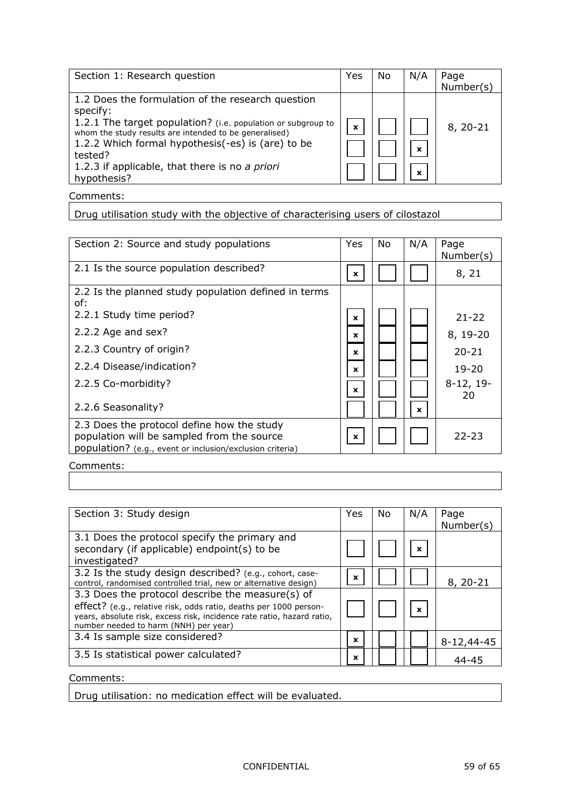| Section 1: Research question                                                                                                                                                                                                                                                                                             | Yes | No | N/A                                      | Page<br>Number(s) |
|--------------------------------------------------------------------------------------------------------------------------------------------------------------------------------------------------------------------------------------------------------------------------------------------------------------------------|-----|----|------------------------------------------|-------------------|
| 1.2 Does the formulation of the research question<br>specify:<br>1.2.1 The target population? (i.e. population or subgroup to<br>whom the study results are intended to be generalised)<br>1.2.2 Which formal hypothesis(-es) is (are) to be<br>tested?<br>1.2.3 if applicable, that there is no a priori<br>hypothesis? | x   |    | $\mathbf x$<br>$\boldsymbol{\mathsf{x}}$ | $8, 20 - 21$      |

Drug utilisation study with the objective of characterising users of cilostazol

| Section 2: Source and study populations                                                                                                               | Yes          | No | N/A | Page<br>Number(s) |
|-------------------------------------------------------------------------------------------------------------------------------------------------------|--------------|----|-----|-------------------|
| 2.1 Is the source population described?                                                                                                               | $\mathbf{x}$ |    |     | 8, 21             |
| 2.2 Is the planned study population defined in terms<br>of:                                                                                           |              |    |     |                   |
| 2.2.1 Study time period?                                                                                                                              | x            |    |     | $21 - 22$         |
| 2.2.2 Age and sex?                                                                                                                                    | x            |    |     | 8, 19-20          |
| 2.2.3 Country of origin?                                                                                                                              | x            |    |     | $20 - 21$         |
| 2.2.4 Disease/indication?                                                                                                                             | x            |    |     | $19 - 20$         |
| 2.2.5 Co-morbidity?                                                                                                                                   | x            |    |     | $8-12, 19-$<br>20 |
| 2.2.6 Seasonality?                                                                                                                                    |              |    | x   |                   |
| 2.3 Does the protocol define how the study<br>population will be sampled from the source<br>population? (e.g., event or inclusion/exclusion criteria) | x            |    |     | $22 - 23$         |

Comments:

| Section 3: Study design                                                                                                                                                                                                                  | Yes | No | N/A                       | Page<br>Number(s) |
|------------------------------------------------------------------------------------------------------------------------------------------------------------------------------------------------------------------------------------------|-----|----|---------------------------|-------------------|
| 3.1 Does the protocol specify the primary and<br>secondary (if applicable) endpoint(s) to be<br>investigated?                                                                                                                            |     |    | $\boldsymbol{\mathsf{x}}$ |                   |
| 3.2 Is the study design described? (e.g., cohort, case-<br>control, randomised controlled trial, new or alternative design)                                                                                                              | X   |    |                           | 8, 20-21          |
| 3.3 Does the protocol describe the measure(s) of<br>effect? (e.g., relative risk, odds ratio, deaths per 1000 person-<br>years, absolute risk, excess risk, incidence rate ratio, hazard ratio,<br>number needed to harm (NNH) per year) |     |    | $\boldsymbol{\mathsf{x}}$ |                   |
| 3.4 Is sample size considered?                                                                                                                                                                                                           | X   |    |                           | 8-12,44-45        |
| 3.5 Is statistical power calculated?                                                                                                                                                                                                     | x   |    |                           | $44 - 45$         |

Comments:

Drug utilisation: no medication effect will be evaluated.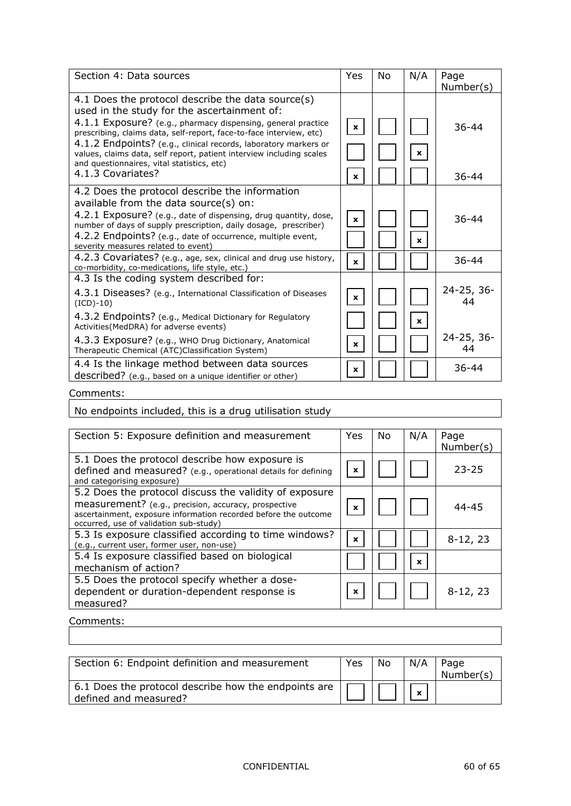| Section 4: Data sources                                                                                                                                                                                                                                                                                                                                                                                                          | Yes          | No. | N/A          | Page             |
|----------------------------------------------------------------------------------------------------------------------------------------------------------------------------------------------------------------------------------------------------------------------------------------------------------------------------------------------------------------------------------------------------------------------------------|--------------|-----|--------------|------------------|
|                                                                                                                                                                                                                                                                                                                                                                                                                                  |              |     |              | Number(s)        |
| 4.1 Does the protocol describe the data source(s)<br>used in the study for the ascertainment of:<br>4.1.1 Exposure? (e.g., pharmacy dispensing, general practice<br>prescribing, claims data, self-report, face-to-face interview, etc)<br>4.1.2 Endpoints? (e.g., clinical records, laboratory markers or<br>values, claims data, self report, patient interview including scales<br>and questionnaires, vital statistics, etc) | $\mathbf{x}$ |     | $\mathbf{x}$ | $36 - 44$        |
| 4.1.3 Covariates?                                                                                                                                                                                                                                                                                                                                                                                                                | x            |     |              | $36 - 44$        |
| 4.2 Does the protocol describe the information<br>available from the data source(s) on:<br>4.2.1 Exposure? (e.g., date of dispensing, drug quantity, dose,<br>number of days of supply prescription, daily dosage, prescriber)<br>4.2.2 Endpoints? (e.g., date of occurrence, multiple event,<br>severity measures related to event)                                                                                             | $\mathbf{x}$ |     | x            | $36 - 44$        |
| 4.2.3 Covariates? (e.g., age, sex, clinical and drug use history,<br>co-morbidity, co-medications, life style, etc.)                                                                                                                                                                                                                                                                                                             | $\mathbf{x}$ |     |              | $36 - 44$        |
| 4.3 Is the coding system described for:                                                                                                                                                                                                                                                                                                                                                                                          |              |     |              |                  |
| 4.3.1 Diseases? (e.g., International Classification of Diseases<br>$(ICD)-10)$                                                                                                                                                                                                                                                                                                                                                   | $\mathbf{x}$ |     |              | 24-25, 36-<br>44 |
| 4.3.2 Endpoints? (e.g., Medical Dictionary for Regulatory<br>Activities (MedDRA) for adverse events)                                                                                                                                                                                                                                                                                                                             |              |     | $\mathbf x$  |                  |
| 4.3.3 Exposure? (e.g., WHO Drug Dictionary, Anatomical<br>Therapeutic Chemical (ATC)Classification System)                                                                                                                                                                                                                                                                                                                       | $\mathbf x$  |     |              | 24-25, 36-<br>44 |
| 4.4 Is the linkage method between data sources<br>described? (e.g., based on a unique identifier or other)                                                                                                                                                                                                                                                                                                                       | x            |     |              | $36 - 44$        |

No endpoints included, this is a drug utilisation study

| Section 5: Exposure definition and measurement                                                                                                                                                                              | Yes | No | N/A         | Page<br>Number(s) |
|-----------------------------------------------------------------------------------------------------------------------------------------------------------------------------------------------------------------------------|-----|----|-------------|-------------------|
| 5.1 Does the protocol describe how exposure is<br>defined and measured? (e.g., operational details for defining<br>and categorising exposure)                                                                               | x   |    |             | $23 - 25$         |
| 5.2 Does the protocol discuss the validity of exposure<br>measurement? (e.g., precision, accuracy, prospective<br>ascertainment, exposure information recorded before the outcome<br>occurred, use of validation sub-study) | X   |    |             | $44 - 45$         |
| 5.3 Is exposure classified according to time windows?<br>(e.g., current user, former user, non-use)                                                                                                                         | X   |    |             | $8-12, 23$        |
| 5.4 Is exposure classified based on biological<br>mechanism of action?                                                                                                                                                      |     |    | $\mathbf x$ |                   |
| 5.5 Does the protocol specify whether a dose-<br>dependent or duration-dependent response is<br>measured?                                                                                                                   | x   |    |             | $8-12, 23$        |

#### Comments:

| Section 6: Endpoint definition and measurement                                | Yes | No. | N/A | Page<br>Number(s) |
|-------------------------------------------------------------------------------|-----|-----|-----|-------------------|
| 6.1 Does the protocol describe how the endpoints are<br>defined and measured? |     |     | X   |                   |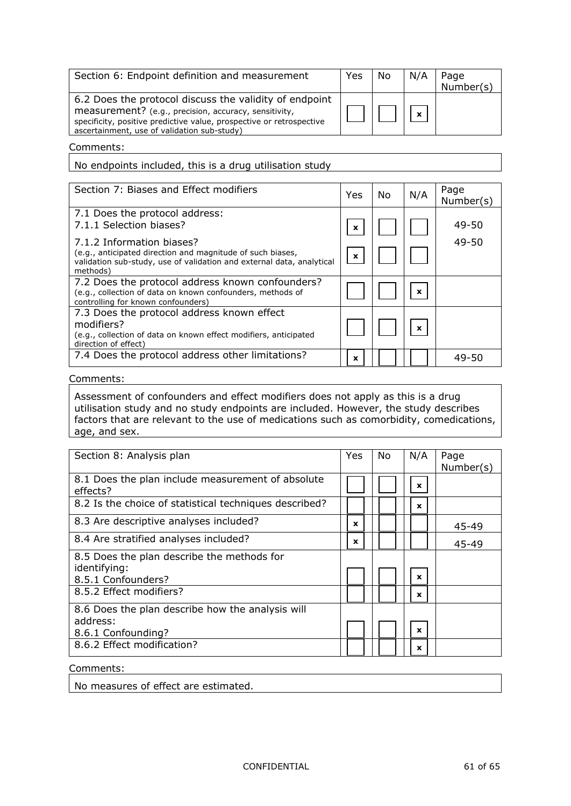| Section 6: Endpoint definition and measurement                                                                                                                                                                                         | Yes | No | N/A          | Page<br>Number(s) |
|----------------------------------------------------------------------------------------------------------------------------------------------------------------------------------------------------------------------------------------|-----|----|--------------|-------------------|
| 6.2 Does the protocol discuss the validity of endpoint<br>measurement? (e.g., precision, accuracy, sensitivity,<br>specificity, positive predictive value, prospective or retrospective<br>ascertainment, use of validation sub-study) |     |    | $\mathbf{x}$ |                   |

No endpoints included, this is a drug utilisation study

| Section 7: Biases and Effect modifiers                                                                                                                                       | Yes         | No | N/A | Page<br>Number(s) |
|------------------------------------------------------------------------------------------------------------------------------------------------------------------------------|-------------|----|-----|-------------------|
| 7.1 Does the protocol address:<br>7.1.1 Selection biases?                                                                                                                    | x           |    |     | $49 - 50$         |
| 7.1.2 Information biases?<br>(e.g., anticipated direction and magnitude of such biases,<br>validation sub-study, use of validation and external data, analytical<br>methods) | $\mathbf x$ |    |     | $49 - 50$         |
| 7.2 Does the protocol address known confounders?<br>(e.g., collection of data on known confounders, methods of<br>controlling for known confounders)                         |             |    | x   |                   |
| 7.3 Does the protocol address known effect<br>modifiers?<br>(e.g., collection of data on known effect modifiers, anticipated<br>direction of effect)                         |             |    | X   |                   |
| 7.4 Does the protocol address other limitations?                                                                                                                             | x           |    |     | 49-50             |

#### Comments:

Assessment of confounders and effect modifiers does not apply as this is a drug utilisation study and no study endpoints are included. However, the study describes factors that are relevant to the use of medications such as comorbidity, comedications, age, and sex.

| Section 8: Analysis plan                                      | Yes | No. | N/A         | Page      |
|---------------------------------------------------------------|-----|-----|-------------|-----------|
|                                                               |     |     |             | Number(s) |
| 8.1 Does the plan include measurement of absolute<br>effects? |     |     | $\mathbf x$ |           |
| 8.2 Is the choice of statistical techniques described?        |     |     | x           |           |
| 8.3 Are descriptive analyses included?                        | x   |     |             | 45-49     |
| 8.4 Are stratified analyses included?                         | x   |     |             | 45-49     |
| 8.5 Does the plan describe the methods for                    |     |     |             |           |
| identifying:                                                  |     |     |             |           |
| 8.5.1 Confounders?                                            |     |     | X           |           |
| 8.5.2 Effect modifiers?                                       |     |     | x           |           |
| 8.6 Does the plan describe how the analysis will              |     |     |             |           |
| address:                                                      |     |     |             |           |
| 8.6.1 Confounding?                                            |     |     | $\mathbf x$ |           |
| 8.6.2 Effect modification?                                    |     |     | x           |           |

#### Comments:

No measures of effect are estimated.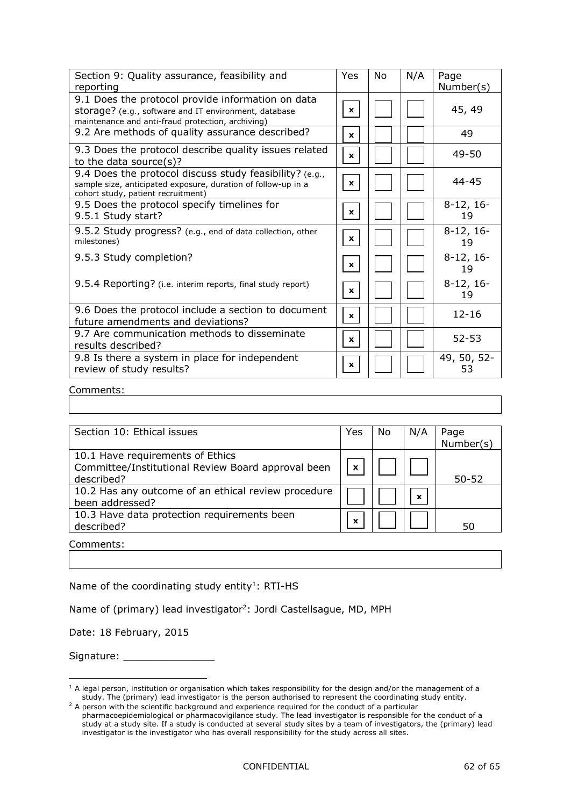| Section 9: Quality assurance, feasibility and<br>reporting                                                                                                      | Yes          | No | N/A | Page<br>Number(s) |
|-----------------------------------------------------------------------------------------------------------------------------------------------------------------|--------------|----|-----|-------------------|
| 9.1 Does the protocol provide information on data<br>storage? (e.g., software and IT environment, database<br>maintenance and anti-fraud protection, archiving) | $\mathbf{x}$ |    |     | 45, 49            |
| 9.2 Are methods of quality assurance described?                                                                                                                 | x            |    |     | 49                |
| 9.3 Does the protocol describe quality issues related<br>to the data source $(s)$ ?                                                                             | $\mathbf x$  |    |     | $49 - 50$         |
| 9.4 Does the protocol discuss study feasibility? (e.g.,<br>sample size, anticipated exposure, duration of follow-up in a<br>cohort study, patient recruitment)  | $\mathbf x$  |    |     | $44 - 45$         |
| 9.5 Does the protocol specify timelines for<br>9.5.1 Study start?                                                                                               | $\mathbf{x}$ |    |     | $8-12, 16-$<br>19 |
| 9.5.2 Study progress? (e.g., end of data collection, other<br>milestones)                                                                                       | $\mathbf{x}$ |    |     | $8-12, 16-$<br>19 |
| 9.5.3 Study completion?                                                                                                                                         | $\mathbf{x}$ |    |     | $8-12, 16-$<br>19 |
| 9.5.4 Reporting? (i.e. interim reports, final study report)                                                                                                     | $\mathbf{x}$ |    |     | $8-12, 16-$<br>19 |
| 9.6 Does the protocol include a section to document<br>future amendments and deviations?                                                                        | $\mathbf{x}$ |    |     | $12 - 16$         |
| 9.7 Are communication methods to disseminate<br>results described?                                                                                              | $\mathbf x$  |    |     | $52 - 53$         |
| 9.8 Is there a system in place for independent<br>review of study results?                                                                                      | x            |    |     | 49, 50, 52-<br>53 |

| Section 10: Ethical issues                          | Yes              | No | N/A                       | Page      |
|-----------------------------------------------------|------------------|----|---------------------------|-----------|
|                                                     |                  |    |                           | Number(s) |
| 10.1 Have requirements of Ethics                    |                  |    |                           |           |
| Committee/Institutional Review Board approval been  | $\boldsymbol{x}$ |    |                           |           |
| described?                                          |                  |    |                           | $50 - 52$ |
| 10.2 Has any outcome of an ethical review procedure |                  |    |                           |           |
| been addressed?                                     |                  |    | $\boldsymbol{\mathsf{x}}$ |           |
| 10.3 Have data protection requirements been         |                  |    |                           |           |
| described?                                          | X                |    |                           | 50        |
|                                                     |                  |    |                           |           |

Comments:

-

Name of the coordinating study entity<sup>1</sup>: RTI-HS

Name of (primary) lead investigator<sup>2</sup>: Jordi Castellsague, MD, MPH

Date: 18 February, 2015

Signature: \_\_\_\_\_\_\_\_\_\_\_\_\_\_\_

 $1$  A legal person, institution or organisation which takes responsibility for the design and/or the management of a study. The (primary) lead investigator is the person authorised to represent the coordinating study entity.

<sup>&</sup>lt;sup>2</sup> A person with the scientific background and experience required for the conduct of a particular pharmacoepidemiological or pharmacovigilance study. The lead investigator is responsible for the conduct of a study at a study site. If a study is conducted at several study sites by a team of investigators, the (primary) lead investigator is the investigator who has overall responsibility for the study across all sites.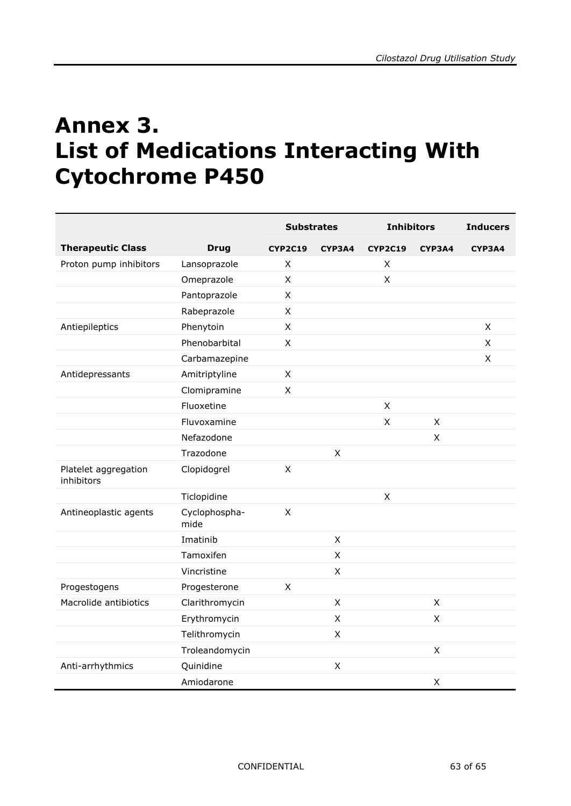# <span id="page-62-0"></span>**Annex 3. List of Medications Interacting With Cytochrome P450**

|                                    |                       | <b>Substrates</b> |                    | <b>Inhibitors</b> |        | <b>Inducers</b> |
|------------------------------------|-----------------------|-------------------|--------------------|-------------------|--------|-----------------|
| <b>Therapeutic Class</b>           | <b>Drug</b>           | <b>CYP2C19</b>    | CYP3A4             | <b>CYP2C19</b>    | CYP3A4 | CYP3A4          |
| Proton pump inhibitors             | Lansoprazole          | X                 |                    | X                 |        |                 |
|                                    | Omeprazole            | X                 |                    | $\mathsf X$       |        |                 |
|                                    | Pantoprazole          | X                 |                    |                   |        |                 |
|                                    | Rabeprazole           | $\pmb{\times}$    |                    |                   |        |                 |
| Antiepileptics                     | Phenytoin             | X                 |                    |                   |        | X               |
|                                    | Phenobarbital         | $\pmb{\times}$    |                    |                   |        | X               |
|                                    | Carbamazepine         |                   |                    |                   |        | X               |
| Antidepressants                    | Amitriptyline         | X                 |                    |                   |        |                 |
|                                    | Clomipramine          | X                 |                    |                   |        |                 |
|                                    | Fluoxetine            |                   |                    | $\pmb{\times}$    |        |                 |
|                                    | Fluvoxamine           |                   |                    | X                 | X      |                 |
|                                    | Nefazodone            |                   |                    |                   | X      |                 |
|                                    | Trazodone             |                   | X                  |                   |        |                 |
| Platelet aggregation<br>inhibitors | Clopidogrel           | $\pmb{\times}$    |                    |                   |        |                 |
|                                    | Ticlopidine           |                   |                    | X                 |        |                 |
| Antineoplastic agents              | Cyclophospha-<br>mide | $\pmb{\times}$    |                    |                   |        |                 |
|                                    | Imatinib              |                   | X                  |                   |        |                 |
|                                    | Tamoxifen             |                   | $\pmb{\mathsf{X}}$ |                   |        |                 |
|                                    | Vincristine           |                   | $\mathsf X$        |                   |        |                 |
| Progestogens                       | Progesterone          | X                 |                    |                   |        |                 |
| Macrolide antibiotics              | Clarithromycin        |                   | X                  |                   | X      |                 |
|                                    | Erythromycin          |                   | X                  |                   | X      |                 |
|                                    | Telithromycin         |                   | X                  |                   |        |                 |
|                                    | Troleandomycin        |                   |                    |                   | X      |                 |
| Anti-arrhythmics                   | Quinidine             |                   | X                  |                   |        |                 |
|                                    | Amiodarone            |                   |                    |                   | X      |                 |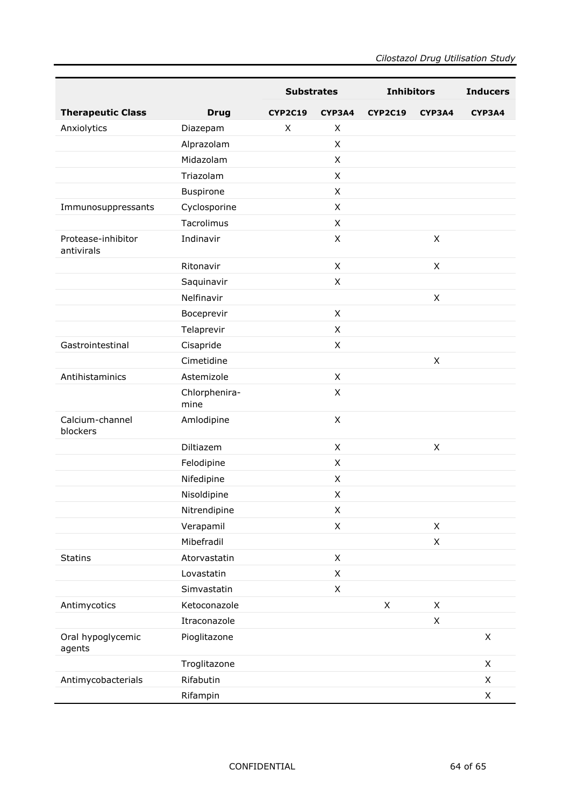|                                  |                       | <b>Substrates</b> |              | <b>Inhibitors</b> |                | <b>Inducers</b> |
|----------------------------------|-----------------------|-------------------|--------------|-------------------|----------------|-----------------|
| <b>Therapeutic Class</b>         | <b>Drug</b>           | <b>CYP2C19</b>    | CYP3A4       | <b>CYP2C19</b>    | CYP3A4         | CYP3A4          |
| Anxiolytics                      | Diazepam              | X                 | X            |                   |                |                 |
|                                  | Alprazolam            |                   | X            |                   |                |                 |
|                                  | Midazolam             |                   | X            |                   |                |                 |
|                                  | Triazolam             |                   | X            |                   |                |                 |
|                                  | Buspirone             |                   | X            |                   |                |                 |
| Immunosuppressants               | Cyclosporine          |                   | X            |                   |                |                 |
|                                  | Tacrolimus            |                   | X            |                   |                |                 |
| Protease-inhibitor<br>antivirals | Indinavir             |                   | X            |                   | $\mathsf{X}$   |                 |
|                                  | Ritonavir             |                   | X            |                   | X              |                 |
|                                  | Saquinavir            |                   | $\mathsf{x}$ |                   |                |                 |
|                                  | Nelfinavir            |                   |              |                   | $\mathsf{X}$   |                 |
|                                  | Boceprevir            |                   | X            |                   |                |                 |
|                                  | Telaprevir            |                   | X            |                   |                |                 |
| Gastrointestinal                 | Cisapride             |                   | X            |                   |                |                 |
|                                  | Cimetidine            |                   |              |                   | X              |                 |
| Antihistaminics                  | Astemizole            |                   | X            |                   |                |                 |
|                                  | Chlorphenira-<br>mine |                   | X            |                   |                |                 |
| Calcium-channel<br>blockers      | Amlodipine            |                   | $\mathsf{x}$ |                   |                |                 |
|                                  | Diltiazem             |                   | X            |                   | X              |                 |
|                                  | Felodipine            |                   | X            |                   |                |                 |
|                                  | Nifedipine            |                   | $\mathsf{x}$ |                   |                |                 |
|                                  | Nisoldipine           |                   | X            |                   |                |                 |
|                                  | Nitrendipine          |                   | Χ            |                   |                |                 |
|                                  | Verapamil             |                   | X            |                   | $\pmb{\times}$ |                 |
|                                  | Mibefradil            |                   |              |                   | $\mathsf X$    |                 |
| <b>Statins</b>                   | Atorvastatin          |                   | $\mathsf{X}$ |                   |                |                 |
|                                  | Lovastatin            |                   | X            |                   |                |                 |
|                                  | Simvastatin           |                   | X            |                   |                |                 |
| Antimycotics                     | Ketoconazole          |                   |              | $\mathsf X$       | $\pmb{\times}$ |                 |
|                                  | Itraconazole          |                   |              |                   | $\mathsf X$    |                 |
| Oral hypoglycemic<br>agents      | Pioglitazone          |                   |              |                   |                | X               |
|                                  | Troglitazone          |                   |              |                   |                | X               |
| Antimycobacterials               | Rifabutin             |                   |              |                   |                | X               |
|                                  | Rifampin              |                   |              |                   |                | X               |